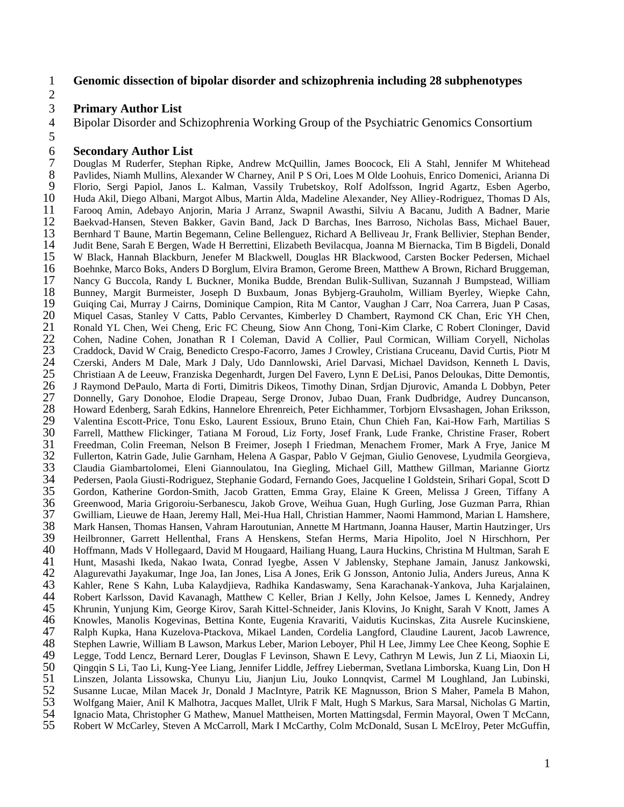#### 1 **Genomic dissection of bipolar disorder and schizophrenia including 28 subphenotypes**

#### 3 **Primary Author List**

4 Bipolar Disorder and Schizophrenia Working Group of the Psychiatric Genomics Consortium

5

2

# 6 **Secondary Author List**

7 Douglas M Ruderfer, Stephan Ripke, Andrew McQuillin, James Boocock, Eli A Stahl, Jennifer M Whitehead<br>8 Pavlides, Niamh Mullins, Alexander W Charney, Anil P S Ori, Loes M Olde Loohuis, Enrico Domenici, Arianna Di 8 Pavlides, Niamh Mullins, Alexander W Charney, Anil P S Ori, Loes M Olde Loohuis, Enrico Domenici, Arianna Di<br>8 Plorio, Sergi Papiol, Janos L. Kalman, Vassily Trubetskov, Rolf Adolfsson, Ingrid Agartz, Esben Agerbo, 9 Florio, Sergi Papiol, Janos L. Kalman, Vassily Trubetskoy, Rolf Adolfsson, Ingrid Agartz, Esben Agerbo, 10 Huda Akil, Diego Albani, Margot Albus, Martin Alda, Madeline Alexander, Ney Alliey-Rodriguez, Thomas D Als, 11 Farooq Amin, Adebayo Anjorin, Maria J Arranz, Swapnil Awasthi, Silviu A Bacanu, Judith A Badner, Marie 12 Baekvad-Hansen, Steven Bakker, Gavin Band, Jack D Barchas, Ines Barroso, Nicholas Bass, Michael Bauer, 13 Bernhard T Baune, Martin Begemann, Celine Bellenguez, Richard A Belliveau Jr, Frank Bellivier, Stephan Bender, 14 Judit Bene, Sarah E Bergen, Wade H Berrettini, Elizabeth Bevilacqua, Joanna M Biernacka, Tim B Bigdeli, Donald<br>15 W Black, Hannah Blackburn, Jenefer M Blackwell, Douglas HR Blackwood, Carsten Bocker Pedersen, Michael 15 W Black, Hannah Blackburn, Jenefer M Blackwell, Douglas HR Blackwood, Carsten Bocker Pedersen, Michael<br>16 Boehnke, Marco Boks, Anders D Borglum, Elvira Bramon, Gerome Breen, Matthew A Brown, Richard Bruggeman, 16 Boehnke, Marco Boks, Anders D Borglum, Elvira Bramon, Gerome Breen, Matthew A Brown, Richard Bruggeman, 17 Nancy G Buccola, Randy L Buckner, Monika Budde, Brendan Bulik-Sullivan, Suzannah J Bumpstead, William 17 Nancy G Buccola, Randy L Buckner, Monika Budde, Brendan Bulik-Sullivan, Suzannah J Bumpstead, William<br>18 Bunney, Margit Burmeister, Joseph D Buxbaum, Jonas Bybjerg-Grauholm, William Byerley, Wiepke Cahn, 18 Bunney, Margit Burmeister, Joseph D Buxbaum, Jonas Bybjerg-Grauholm, William Byerley, Wiepke Cahn, 19 Guiging Cai, Murray J Cairns, Dominique Campion, Rita M Cantor, Vaughan J Carr, Noa Carrera, Juan P Casas, 19 Guiqing Cai, Murray J Cairns, Dominique Campion, Rita M Cantor, Vaughan J Carr, Noa Carrera, Juan P Casas, 20 Miquel Casas, Stanley V Catts, Pablo Cervantes, Kimberley D Chambert, Raymond CK Chan, Eric YH Chen, 20 Miquel Casas, Stanley V Catts, Pablo Cervantes, Kimberley D Chambert, Raymond CK Chan, Eric YH Chen, 21 Ronald YL Chen, Wei Cheng, Eric FC Cheung, Siow Ann Chong, Toni-Kim Clarke, C Robert Cloninger, David 21 Ronald YL Chen, Wei Cheng, Eric FC Cheung, Siow Ann Chong, Toni-Kim Clarke, C Robert Cloninger, David Cohen, Nadine Cohen, Jonathan R I Coleman, David A Collier, Paul Cormican, William Coryell, Nicholas Craddock, David 22 Cohen, Nadine Cohen, Jonathan R I Coleman, David A Collier, Paul Cormican, William Coryell, Nicholas 23 Craddock, David W Craig, Benedicto Crespo-Facorro, James J Crowley, Cristiana Cruceanu, David Curtis, Piotr M<br>24 Czerski, Anders M Dale, Mark J Daly, Udo Dannlowski, Ariel Darvasi, Michael Davidson, Kenneth L Davis, 24 Czerski, Anders M Dale, Mark J Daly, Udo Dannlowski, Ariel Darvasi, Michael Davidson, Kenneth L Davis, Christiaan A de Leeuw, Franziska Degenhardt, Jurgen Del Favero, Lynn E DeLisi, Panos Deloukas, Ditte Demontis, 25 Christiaan A de Leeuw, Franziska Degenhardt, Jurgen Del Favero, Lynn E DeLisi, Panos Deloukas, Ditte Demontis,<br>26 J Raymond DePaulo, Marta di Forti, Dimitris Dikeos, Timothy Dinan, Srdjan Djurovic, Amanda L Dobbyn, Pete 26 J Raymond DePaulo, Marta di Forti, Dimitris Dikeos, Timothy Dinan, Srdjan Djurovic, Amanda L Dobbyn, Peter 27 Donnelly, Gary Donohoe, Elodie Drapeau, Serge Dronov, Jubao Duan, Frank Dudbridge, Audrey Duncanson, 1888 Howard Edenberg, Sarah Edkins, Hannelore Ehrenreich, Peter Eichhammer, Torbjorn Elvsashagen, Johan Eriksson, 28 Howard Edenberg, Sarah Edkins, Hannelore Ehrenreich, Peter Eichhammer, Torbjorn Elvsashagen, Johan Eriksson, 29 Valentina Escott-Price, Tonu Esko, Laurent Essioux, Bruno Etain, Chun Chieh Fan, Kai-How Farh, Martilias S 30 Farrell, Matthew Flickinger, Tatiana M Foroud, Liz Forty, Josef Frank, Lude Franke, Christine Fraser, Robert 31 Freedman, Colin Freeman, Nelson B Freimer, Joseph I Friedman, Menachem Fromer, Mark A Frye, Janice M 32 Fullerton, Katrin Gade, Julie Garnham, Helena A Gaspar, Pablo V Gejman, Giulio Genovese, Lyudmila Georgieva, 33 Claudia Giambartolomei, Eleni Giannoulatou, Ina Giegling, Michael Gill, Matthew Gillman, Marianne Giortz 34 Pedersen, Paola Giusti-Rodriguez, Stephanie Godard, Fernando Goes, Jacqueline I Goldstein, Srihari Gopal, Scott D 35 Gordon, Katherine Gordon-Smith, Jacob Gratten, Emma Gray, Elaine K Green, Melissa J Green, Tiffany A 36 Greenwood, Maria Grigoroiu-Serbanescu, Jakob Grove, Weihua Guan, Hugh Gurling, Jose Guzman Parra, Rhian<br>37 Gwilliam, Lieuwe de Haan, Jeremy Hall, Mei-Hua Hall, Christian Hammer, Naomi Hammond, Marian L Hamshere, 37 Gwilliam, Lieuwe de Haan, Jeremy Hall, Mei-Hua Hall, Christian Hammer, Naomi Hammond, Marian L Hamshere, 38<br>38 Mark Hansen, Thomas Hansen, Vahram Haroutunian, Annette M Hartmann, Joanna Hauser, Martin Hautzinger, Urs 38 Mark Hansen, Thomas Hansen, Vahram Haroutunian, Annette M Hartmann, Joanna Hauser, Martin Hautzinger, Urs 39 Heilbronner, Garrett Hellenthal, Frans A Henskens, Stefan Herms, Maria Hipolito, Joel N Hirschhorn, Per 40 Hoffmann, Mads V Hollegaard, David M Hougaard, Hailiang Huang, Laura Huckins, Christina M Hultman, Sarah E 41 Hunt, Masashi Ikeda, Nakao Iwata, Conrad Iyegbe, Assen V Jablensky, Stephane Jamain, Janusz Jankowski, 42 Alagurevathi Jayakumar, Inge Joa, Ian Jones, Lisa A Jones, Erik G Jonsson, Antonio Julia, Anders Jureus, Anna K 43 Kahler, Rene S Kahn, Luba Kalaydjieva, Radhika Kandaswamy, Sena Karachanak-Yankova, Juha Karjalainen, 44 Robert Karlsson, David Kavanagh, Matthew C Keller, Brian J Kelly, John Kelsoe, James L Kennedy, Andrey<br>45 Khrunin, Yunjung Kim, George Kirov, Sarah Kittel-Schneider, Janis Klovins, Jo Knight, Sarah V Knott, James A 45 Khrunin, Yunjung Kim, George Kirov, Sarah Kittel-Schneider, Janis Klovins, Jo Knight, Sarah V Knott, James A 46 Knowles, Manolis Kogevinas, Bettina Konte, Eugenia Kravariti, Vaidutis Kucinskas, Zita Ausrele Kucinskiene, 47 Ralph Kupka, Hana Kuzelova-Ptackova, Mikael Landen, Cordelia Langford, Claudine Laurent, Jacob Lawrence, 48 Stephen Lawrie, William B Lawson, Markus Leber, Marion Lebover, Phil H Lee, Jimmy Lee Chee Keong, Sophie E 48 Stephen Lawrie, William B Lawson, Markus Leber, Marion Leboyer, Phil H Lee, Jimmy Lee Chee Keong, Sophie E<br>49 Legge, Todd Lencz, Bernard Lerer, Douglas F Levinson, Shawn E Levy, Cathryn M Lewis, Jun Z Li, Miaoxin Li, 49 Legge, Todd Lencz, Bernard Lerer, Douglas F Levinson, Shawn E Levy, Cathryn M Lewis, Jun Z Li, Miaoxin Li, 50 Qingqin S Li, Tao Li, Kung-Yee Liang, Jennifer Liddle, Jeffrey Lieberman, Svetlana Limborska, Kuang Lin, Don H<br>51 Linszen, Jolanta Lissowska, Chunyu Liu, Jianjun Liu, Jouko Lonnqvist, Carmel M Loughland, Jan Lubinski, 51 Linszen, Jolanta Lissowska, Chunyu Liu, Jianjun Liu, Jouko Lonnqvist, Carmel M Loughland, Jan Lubinski, 52 Susanne Lucae, Milan Macek Jr. Donald J MacIntyre, Patrik KE Magnusson, Brion S Maher, Pamela B Mahon, 52 Susanne Lucae, Milan Macek Jr, Donald J MacIntyre, Patrik KE Magnusson, Brion S Maher, Pamela B Mahon, 53 Wolfgang Maier, Anil K Malhotra, Jacques Mallet, Ulrik F Malt, Hugh S Markus, Sara Marsal, Nicholas G Martin, 53 Wolfgang Maier, Anil K Malhotra, Jacques Mallet, Ulrik F Malt, Hugh S Markus, Sara Marsal, Nicholas G Martin,<br>54 Ignacio Mata, Christopher G Mathew, Manuel Mattheisen, Morten Mattingsdal, Fermin Mayoral, Owen T McCann, 54 Ignacio Mata, Christopher G Mathew, Manuel Mattheisen, Morten Mattingsdal, Fermin Mayoral, Owen T McCann, 55 Robert W McCarley, Steven A McCarroll, Mark I McCarthy, Colm McDonald, Susan L McElroy, Peter McGuffin, 55 Robert W McCarley, Steven A McCarroll, Mark I McCarthy, Colm McDonald, Susan L McElroy, Peter McGuffin,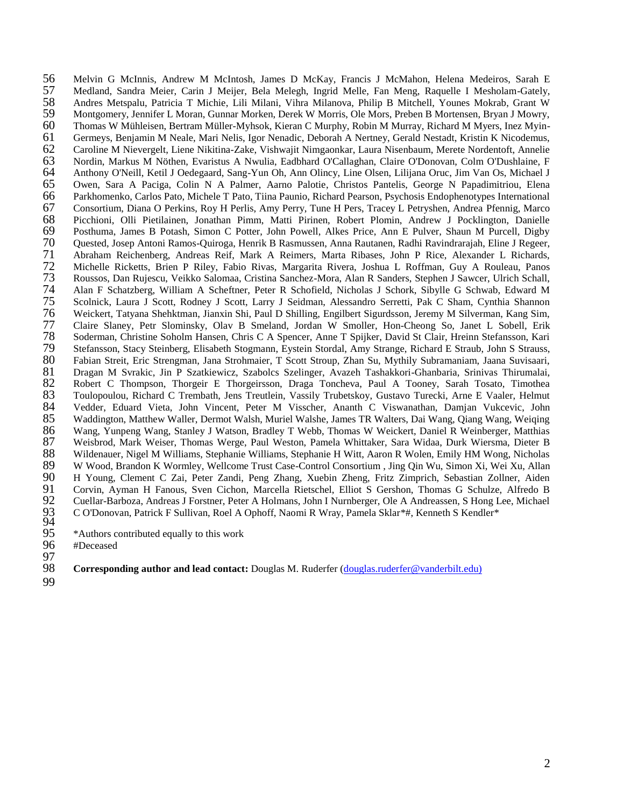56 Melvin G McInnis, Andrew M McIntosh, James D McKay, Francis J McMahon, Helena Medeiros, Sarah E<br>57 Medland, Sandra Meier, Carin J Meijer, Bela Melegh, Ingrid Melle, Fan Meng, Raquelle I Mesholam-Gately, 57 Medland, Sandra Meier, Carin J Meijer, Bela Melegh, Ingrid Melle, Fan Meng, Raquelle I Mesholam-Gately, 58 Andres Metspalu, Patricia T Michie, Lili Milani, Vihra Milanova, Philip B Mitchell, Younes Mokrab, Grant W 58 Andres Metspalu, Patricia T Michie, Lili Milani, Vihra Milanova, Philip B Mitchell, Younes Mokrab, Grant W<br>59 Montgomery, Jennifer L Moran, Gunnar Morken, Derek W Morris, Ole Mors, Preben B Mortensen, Bryan J Mowry, 59 Montgomery, Jennifer L Moran, Gunnar Morken, Derek W Morris, Ole Mors, Preben B Mortensen, Bryan J Mowry, 60 Thomas W Mühleisen, Bertram Müller-Myhsok, Kieran C Murphy, Robin M Murray, Richard M Myers, Inez Myin- Thomas W Mühleisen, Bertram Müller-Myhsok, Kieran C Murphy, Robin M Murray, Richard M Myers, Inez Myin-61 Germeys, Benjamin M Neale, Mari Nelis, Igor Nenadic, Deborah A Nertney, Gerald Nestadt, Kristin K Nicodemus,<br>62 Caroline M Nievergelt, Liene Nikitina-Zake, Vishwajit Nimgaonkar, Laura Nisenbaum, Merete Nordentoft, Annel 62 Caroline M Nievergelt, Liene Nikitina-Zake, Vishwajit Nimgaonkar, Laura Nisenbaum, Merete Nordentoft, Annelie<br>63 Nordin, Markus M Nöthen, Evaristus A Nwulia, Eadbhard O'Callaghan, Claire O'Donovan, Colm O'Dushlaine, F Nordin, Markus M Nöthen, Evaristus A Nwulia, Eadbhard O'Callaghan, Claire O'Donovan, Colm O'Dushlaine, F Anthony O'Neill, Ketil J Oedegaard, Sang-Yun Oh, Ann Olincy, Line Olsen, Lilijana Oruc, Jim Van Os, Michael J Owen, Sara A Paciga, Colin N A Palmer, Aarno Palotie, Christos Pantelis, George N Papadimitriou, Elena Parkhomenko, Carlos Pato, Michele T Pato, Tiina Paunio, Richard Pearson, Psychosis Endophenotypes International Consortium, Diana O Perkins, Roy H Perlis, Amy Perry, Tune H Pers, Tracey L Petryshen, Andrea Pfennig, Marco Picchioni, Olli Pietilainen, Jonathan Pimm, Matti Pirinen, Robert Plomin, Andrew J Pocklington, Danielle Posthuma, James B Potash, Simon C Potter, John Powell, Alkes Price, Ann E Pulver, Shaun M Purcell, Digby Quested, Josep Antoni Ramos-Quiroga, Henrik B Rasmussen, Anna Rautanen, Radhi Ravindrarajah, Eline J Regeer, Abraham Reichenberg, Andreas Reif, Mark A Reimers, Marta Ribases, John P Rice, Alexander L Richards, 72 Michelle Ricketts, Brien P Riley, Fabio Rivas, Margarita Rivera, Joshua L Roffman, Guy A Rouleau, Panos<br>73 Roussos, Dan Rujescu, Veikko Salomaa, Cristina Sanchez-Mora, Alan R Sanders, Stephen J Sawcer, Ulrich Schall, Roussos, Dan Rujescu, Veikko Salomaa, Cristina Sanchez-Mora, Alan R Sanders, Stephen J Sawcer, Ulrich Schall, Alan F Schatzberg, William A Scheftner, Peter R Schofield, Nicholas J Schork, Sibylle G Schwab, Edward M 75 Scolnick, Laura J Scott, Rodney J Scott, Larry J Seidman, Alessandro Serretti, Pak C Sham, Cynthia Shannon<br>76 Weickert, Tatyana Shehktman, Jianxin Shi, Paul D Shilling, Engilbert Sigurdsson, Jeremy M Silverman, Kang Sim Weickert, Tatyana Shehktman, Jianxin Shi, Paul D Shilling, Engilbert Sigurdsson, Jeremy M Silverman, Kang Sim, Claire Slaney, Petr Slominsky, Olav B Smeland, Jordan W Smoller, Hon-Cheong So, Janet L Sobell, Erik Soderman, Christine Soholm Hansen, Chris C A Spencer, Anne T Spijker, David St Clair, Hreinn Stefansson, Kari Stefansson, Stacy Steinberg, Elisabeth Stogmann, Eystein Stordal, Amy Strange, Richard E Straub, John S Strauss, 80 Fabian Streit, Eric Strengman, Jana Strohmaier, T Scott Stroup, Zhan Su, Mythily Subramaniam, Jaana Suvisaari, 81 Dragan M Syrakic, Jin P Szatkiewicz, Szabolcs Szelinger, Avazeh Tashakkori-Ghanbaria, Srinivas Thirumalai 81 Dragan M Svrakic, Jin P Szatkiewicz, Szabolcs Szelinger, Avazeh Tashakkori-Ghanbaria, Srinivas Thirumalai,<br>82 Robert C Thompson, Thorgeir E Thorgeirsson, Draga Toncheva, Paul A Tooney, Sarah Tosato, Timothea Robert C Thompson, Thorgeir E Thorgeirsson, Draga Toncheva, Paul A Tooney, Sarah Tosato, Timothea Toulopoulou, Richard C Trembath, Jens Treutlein, Vassily Trubetskoy, Gustavo Turecki, Arne E Vaaler, Helmut 84 Vedder, Eduard Vieta, John Vincent, Peter M Visscher, Ananth C Viswanathan, Damjan Vukcevic, John 85 Waddington, Matthew Waller, Dermot Walsh, Muriel Walshe, James TR Walters, Dai Wang, Qiang Wang, Weiging Waddington, Matthew Waller, Dermot Walsh, Muriel Walshe, James TR Walters, Dai Wang, Qiang Wang, Weiqing Wang, Yunpeng Wang, Stanley J Watson, Bradley T Webb, Thomas W Weickert, Daniel R Weinberger, Matthias 87 Weisbrod, Mark Weiser, Thomas Werge, Paul Weston, Pamela Whittaker, Sara Widaa, Durk Wiersma, Dieter B<br>88 Wildenauer, Nigel M Williams, Stephanie Williams, Stephanie H Witt, Aaron R Wolen, Emily HM Wong, Nicholas 88 Wildenauer, Nigel M Williams, Stephanie Williams, Stephanie H Witt, Aaron R Wolen, Emily HM Wong, Nicholas<br>89 W Wood, Brandon K Wormley, Wellcome Trust Case-Control Consortium, Jing Qin Wu, Simon Xi, Wei Xu, Allan W Wood, Brandon K Wormley, Wellcome Trust Case-Control Consortium , Jing Qin Wu, Simon Xi, Wei Xu, Allan H Young, Clement C Zai, Peter Zandi, Peng Zhang, Xuebin Zheng, Fritz Zimprich, Sebastian Zollner, Aiden Corvin, Ayman H Fanous, Sven Cichon, Marcella Rietschel, Elliot S Gershon, Thomas G Schulze, Alfredo B Cuellar-Barboza, Andreas J Forstner, Peter A Holmans, John I Nurnberger, Ole A Andreassen, S Hong Lee, Michael C O'Donovan, Patrick F Sullivan, Roel A Ophoff, Naomi R Wray, Pamela Sklar\*#, Kenneth S Kendler\* 92<br>93<br>94<br>95

- 95  $*$ Authors contributed equally to this work<br>96  $#$ Deceased
- #Deceased
- 97<br>98 **Corresponding author and lead contact:** Douglas M. Ruderfer [\(douglas.ruderfer@vanderbilt.edu\)](mailto:douglas.ruderfer@vanderbilt.edu))
-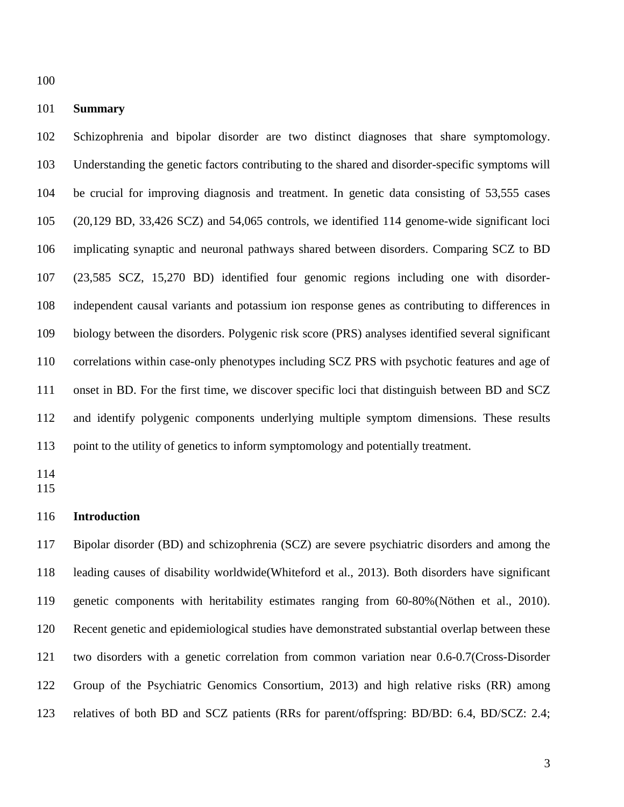## **Summary**

 Schizophrenia and bipolar disorder are two distinct diagnoses that share symptomology. Understanding the genetic factors contributing to the shared and disorder-specific symptoms will be crucial for improving diagnosis and treatment. In genetic data consisting of 53,555 cases (20,129 BD, 33,426 SCZ) and 54,065 controls, we identified 114 genome-wide significant loci implicating synaptic and neuronal pathways shared between disorders. Comparing SCZ to BD (23,585 SCZ, 15,270 BD) identified four genomic regions including one with disorder- independent causal variants and potassium ion response genes as contributing to differences in biology between the disorders. Polygenic risk score (PRS) analyses identified several significant correlations within case-only phenotypes including SCZ PRS with psychotic features and age of onset in BD. For the first time, we discover specific loci that distinguish between BD and SCZ and identify polygenic components underlying multiple symptom dimensions. These results point to the utility of genetics to inform symptomology and potentially treatment.

#### **Introduction**

 Bipolar disorder (BD) and schizophrenia (SCZ) are severe psychiatric disorders and among the leading causes of disability worldwide(Whiteford et al., 2013). Both disorders have significant genetic components with heritability estimates ranging from 60-80%(Nöthen et al., 2010). Recent genetic and epidemiological studies have demonstrated substantial overlap between these two disorders with a genetic correlation from common variation near 0.6-0.7(Cross-Disorder Group of the Psychiatric Genomics Consortium, 2013) and high relative risks (RR) among relatives of both BD and SCZ patients (RRs for parent/offspring: BD/BD: 6.4, BD/SCZ: 2.4;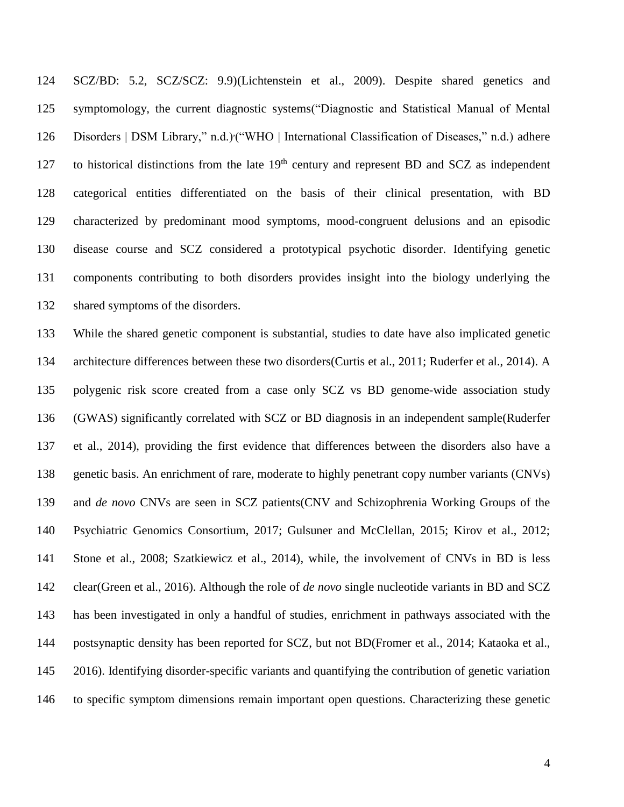SCZ/BD: 5.2, SCZ/SCZ: 9.9)(Lichtenstein et al., 2009). Despite shared genetics and symptomology, the current diagnostic systems("Diagnostic and Statistical Manual of Mental 126 Disorders | DSM Library," n.d.) ("WHO | International Classification of Diseases," n.d.) adhere 127 to historical distinctions from the late  $19<sup>th</sup>$  century and represent BD and SCZ as independent categorical entities differentiated on the basis of their clinical presentation, with BD characterized by predominant mood symptoms, mood-congruent delusions and an episodic disease course and SCZ considered a prototypical psychotic disorder. Identifying genetic components contributing to both disorders provides insight into the biology underlying the shared symptoms of the disorders.

 While the shared genetic component is substantial, studies to date have also implicated genetic architecture differences between these two disorders(Curtis et al., 2011; Ruderfer et al., 2014). A polygenic risk score created from a case only SCZ vs BD genome-wide association study (GWAS) significantly correlated with SCZ or BD diagnosis in an independent sample(Ruderfer et al., 2014), providing the first evidence that differences between the disorders also have a genetic basis. An enrichment of rare, moderate to highly penetrant copy number variants (CNVs) and *de novo* CNVs are seen in SCZ patients(CNV and Schizophrenia Working Groups of the Psychiatric Genomics Consortium, 2017; Gulsuner and McClellan, 2015; Kirov et al., 2012; Stone et al., 2008; Szatkiewicz et al., 2014), while, the involvement of CNVs in BD is less clear(Green et al., 2016). Although the role of *de novo* single nucleotide variants in BD and SCZ has been investigated in only a handful of studies, enrichment in pathways associated with the postsynaptic density has been reported for SCZ, but not BD(Fromer et al., 2014; Kataoka et al., 2016). Identifying disorder-specific variants and quantifying the contribution of genetic variation to specific symptom dimensions remain important open questions. Characterizing these genetic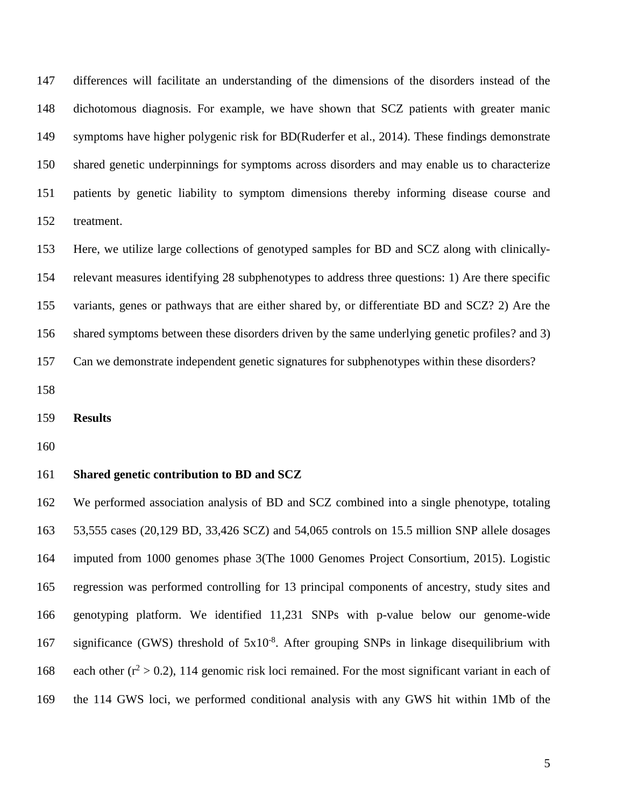differences will facilitate an understanding of the dimensions of the disorders instead of the dichotomous diagnosis. For example, we have shown that SCZ patients with greater manic symptoms have higher polygenic risk for BD(Ruderfer et al., 2014). These findings demonstrate shared genetic underpinnings for symptoms across disorders and may enable us to characterize patients by genetic liability to symptom dimensions thereby informing disease course and treatment.

 Here, we utilize large collections of genotyped samples for BD and SCZ along with clinically- relevant measures identifying 28 subphenotypes to address three questions: 1) Are there specific variants, genes or pathways that are either shared by, or differentiate BD and SCZ? 2) Are the shared symptoms between these disorders driven by the same underlying genetic profiles? and 3) Can we demonstrate independent genetic signatures for subphenotypes within these disorders?

#### **Results**

#### **Shared genetic contribution to BD and SCZ**

 We performed association analysis of BD and SCZ combined into a single phenotype, totaling 53,555 cases (20,129 BD, 33,426 SCZ) and 54,065 controls on 15.5 million SNP allele dosages imputed from 1000 genomes phase 3(The 1000 Genomes Project Consortium, 2015). Logistic regression was performed controlling for 13 principal components of ancestry, study sites and genotyping platform. We identified 11,231 SNPs with p-value below our genome-wide 167 significance (GWS) threshold of  $5x10^{-8}$ . After grouping SNPs in linkage disequilibrium with 168 each other  $(r^2 > 0.2)$ , 114 genomic risk loci remained. For the most significant variant in each of the 114 GWS loci, we performed conditional analysis with any GWS hit within 1Mb of the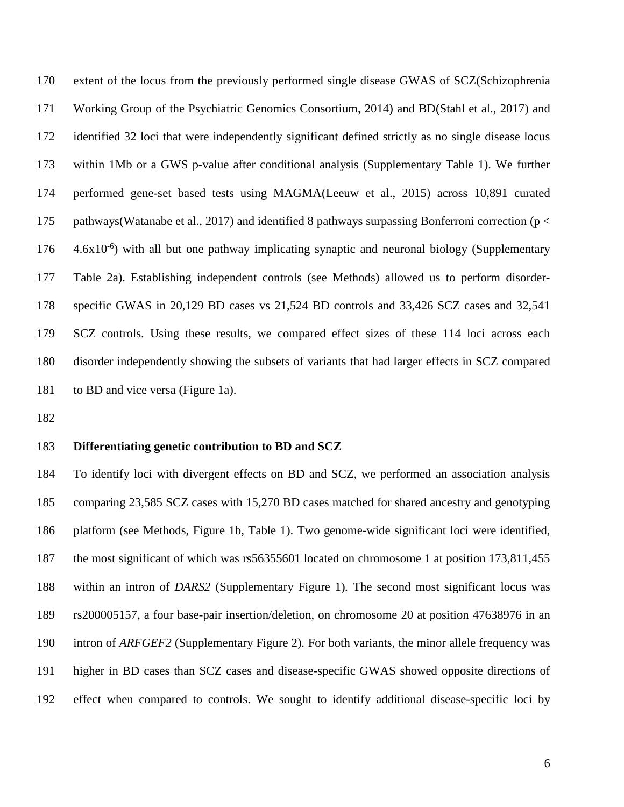extent of the locus from the previously performed single disease GWAS of SCZ(Schizophrenia Working Group of the Psychiatric Genomics Consortium, 2014) and BD(Stahl et al., 2017) and identified 32 loci that were independently significant defined strictly as no single disease locus within 1Mb or a GWS p-value after conditional analysis (Supplementary Table 1). We further performed gene-set based tests using MAGMA(Leeuw et al., 2015) across 10,891 curated 175 pathways (Watanabe et al., 2017) and identified 8 pathways surpassing Bonferroni correction ( $p <$ 176 4.6x10<sup>-6</sup>) with all but one pathway implicating synaptic and neuronal biology (Supplementary Table 2a). Establishing independent controls (see Methods) allowed us to perform disorder- specific GWAS in 20,129 BD cases vs 21,524 BD controls and 33,426 SCZ cases and 32,541 SCZ controls. Using these results, we compared effect sizes of these 114 loci across each disorder independently showing the subsets of variants that had larger effects in SCZ compared 181 to BD and vice versa (Figure 1a).

#### **Differentiating genetic contribution to BD and SCZ**

 To identify loci with divergent effects on BD and SCZ, we performed an association analysis comparing 23,585 SCZ cases with 15,270 BD cases matched for shared ancestry and genotyping platform (see Methods, Figure 1b, Table 1). Two genome-wide significant loci were identified, the most significant of which was rs56355601 located on chromosome 1 at position 173,811,455 within an intron of *DARS2* (Supplementary Figure 1)*.* The second most significant locus was rs200005157, a four base-pair insertion/deletion, on chromosome 20 at position 47638976 in an intron of *ARFGEF2* (Supplementary Figure 2)*.* For both variants, the minor allele frequency was higher in BD cases than SCZ cases and disease-specific GWAS showed opposite directions of effect when compared to controls. We sought to identify additional disease-specific loci by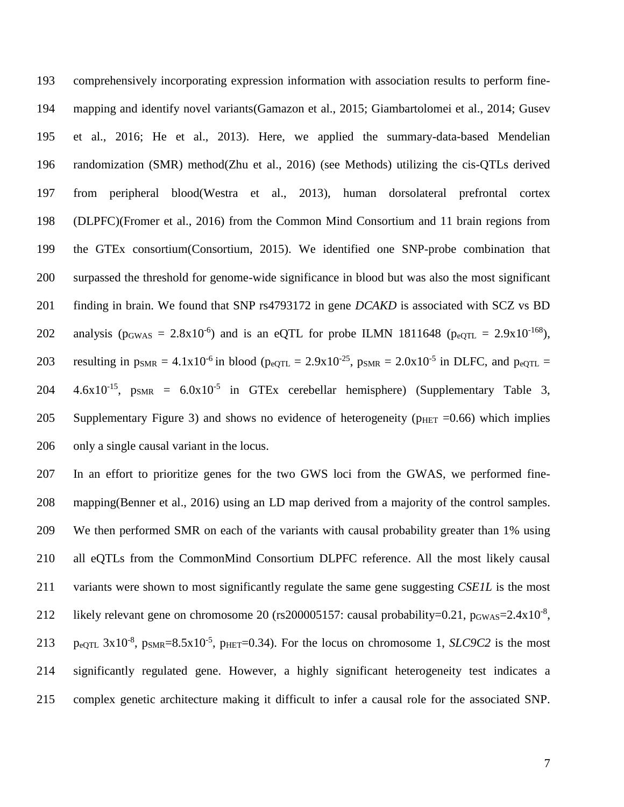comprehensively incorporating expression information with association results to perform fine- mapping and identify novel variants(Gamazon et al., 2015; Giambartolomei et al., 2014; Gusev et al., 2016; He et al., 2013). Here, we applied the summary-data-based Mendelian randomization (SMR) method(Zhu et al., 2016) (see Methods) utilizing the cis-QTLs derived from peripheral blood(Westra et al., 2013), human dorsolateral prefrontal cortex (DLPFC)(Fromer et al., 2016) from the Common Mind Consortium and 11 brain regions from the GTEx consortium(Consortium, 2015). We identified one SNP-probe combination that surpassed the threshold for genome-wide significance in blood but was also the most significant finding in brain. We found that SNP rs4793172 in gene *DCAKD* is associated with SCZ vs BD 202 analysis ( $p_{GWAS} = 2.8 \times 10^{-6}$ ) and is an eQTL for probe ILMN 1811648 ( $p_{eQTL} = 2.9 \times 10^{-168}$ ), 203 resulting in  $p_{SMR} = 4.1 \times 10^{-6}$  in blood ( $p_{eQTL} = 2.9 \times 10^{-25}$ ,  $p_{SMR} = 2.0 \times 10^{-5}$  in DLFC, and  $p_{eQTL} =$ 204 4.6x10<sup>-15</sup>,  $p_{\text{SMR}} = 6.0x10^{-5}$  in GTEx cerebellar hemisphere) (Supplementary Table 3, 205 Supplementary Figure 3) and shows no evidence of heterogeneity ( $p_{HET} = 0.66$ ) which implies only a single causal variant in the locus.

 In an effort to prioritize genes for the two GWS loci from the GWAS, we performed fine- mapping(Benner et al., 2016) using an LD map derived from a majority of the control samples. We then performed SMR on each of the variants with causal probability greater than 1% using all eQTLs from the CommonMind Consortium DLPFC reference. All the most likely causal variants were shown to most significantly regulate the same gene suggesting *CSE1L* is the most 212 likely relevant gene on chromosome 20 ( $rs200005157$ : causal probability=0.21,  $p_{GWAS} = 2.4 \times 10^{-8}$ , 213 p<sub>eQTL</sub>  $3x10^{-8}$ ,  $p_{SMR}=8.5x10^{-5}$ ,  $p_{HET}=0.34$ ). For the locus on chromosome 1, *SLC9C2* is the most significantly regulated gene. However, a highly significant heterogeneity test indicates a complex genetic architecture making it difficult to infer a causal role for the associated SNP.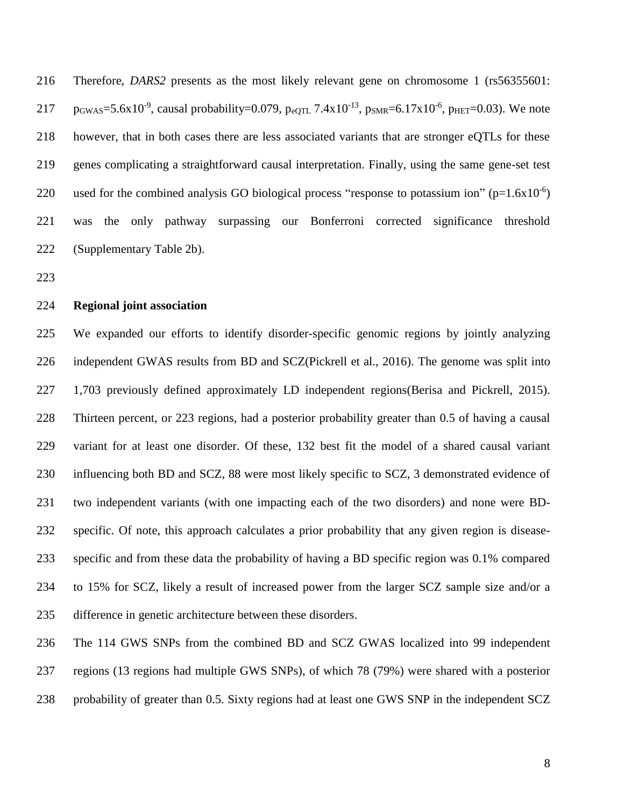Therefore, *DARS2* presents as the most likely relevant gene on chromosome 1 (rs56355601: 217 p<sub>GWAS</sub>=5.6x10<sup>-9</sup>, causal probability=0.079, p<sub>eQTL</sub> 7.4x10<sup>-13</sup>, p<sub>SMR</sub>=6.17x10<sup>-6</sup>, p<sub>HET</sub>=0.03). We note however, that in both cases there are less associated variants that are stronger eQTLs for these genes complicating a straightforward causal interpretation. Finally, using the same gene-set test 220 used for the combined analysis GO biological process "response to potassium ion" ( $p=1.6x10^{-6}$ ) was the only pathway surpassing our Bonferroni corrected significance threshold (Supplementary Table 2b).

#### **Regional joint association**

 We expanded our efforts to identify disorder-specific genomic regions by jointly analyzing independent GWAS results from BD and SCZ(Pickrell et al., 2016). The genome was split into 1,703 previously defined approximately LD independent regions(Berisa and Pickrell, 2015). Thirteen percent, or 223 regions, had a posterior probability greater than 0.5 of having a causal variant for at least one disorder. Of these, 132 best fit the model of a shared causal variant influencing both BD and SCZ, 88 were most likely specific to SCZ, 3 demonstrated evidence of two independent variants (with one impacting each of the two disorders) and none were BD- specific. Of note, this approach calculates a prior probability that any given region is disease- specific and from these data the probability of having a BD specific region was 0.1% compared to 15% for SCZ, likely a result of increased power from the larger SCZ sample size and/or a difference in genetic architecture between these disorders.

 The 114 GWS SNPs from the combined BD and SCZ GWAS localized into 99 independent regions (13 regions had multiple GWS SNPs), of which 78 (79%) were shared with a posterior

probability of greater than 0.5. Sixty regions had at least one GWS SNP in the independent SCZ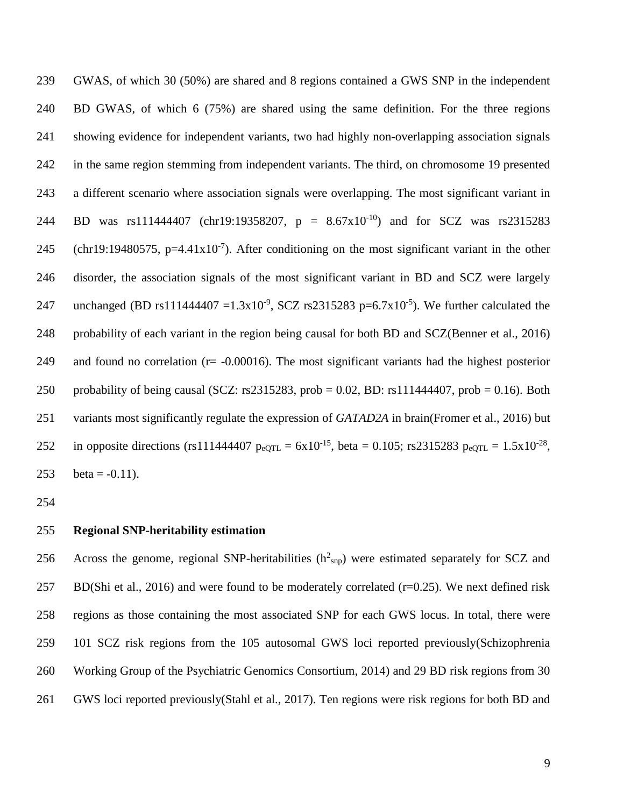GWAS, of which 30 (50%) are shared and 8 regions contained a GWS SNP in the independent BD GWAS, of which 6 (75%) are shared using the same definition. For the three regions showing evidence for independent variants, two had highly non-overlapping association signals in the same region stemming from independent variants. The third, on chromosome 19 presented a different scenario where association signals were overlapping. The most significant variant in 244 BD was rs111444407 (chr19:19358207,  $p = 8.67 \times 10^{-10}$ ) and for SCZ was rs2315283 245 (chr19:19480575, p=4.41 $x10^{-7}$ ). After conditioning on the most significant variant in the other disorder, the association signals of the most significant variant in BD and SCZ were largely 247 unchanged (BD rs111444407 =  $1.3x10^{-9}$ , SCZ rs2315283 p=6.7x10<sup>-5</sup>). We further calculated the probability of each variant in the region being causal for both BD and SCZ(Benner et al., 2016) and found no correlation (r= -0.00016). The most significant variants had the highest posterior 250 probability of being causal (SCZ: rs2315283, prob =  $0.02$ , BD: rs111444407, prob = 0.16). Both variants most significantly regulate the expression of *GATAD2A* in brain(Fromer et al., 2016) but 252 in opposite directions (rs111444407 p<sub>eQTL</sub> =  $6x10^{-15}$ , beta = 0.105; rs2315283 p<sub>eQTL</sub> = 1.5x10<sup>-28</sup>, 253 beta =  $-0.11$ ).

#### **Regional SNP-heritability estimation**

256 Across the genome, regional SNP-heritabilities  $(h^2_{\text{sup}})$  were estimated separately for SCZ and BD(Shi et al., 2016) and were found to be moderately correlated (r=0.25). We next defined risk regions as those containing the most associated SNP for each GWS locus. In total, there were 101 SCZ risk regions from the 105 autosomal GWS loci reported previously(Schizophrenia Working Group of the Psychiatric Genomics Consortium, 2014) and 29 BD risk regions from 30 GWS loci reported previously(Stahl et al., 2017). Ten regions were risk regions for both BD and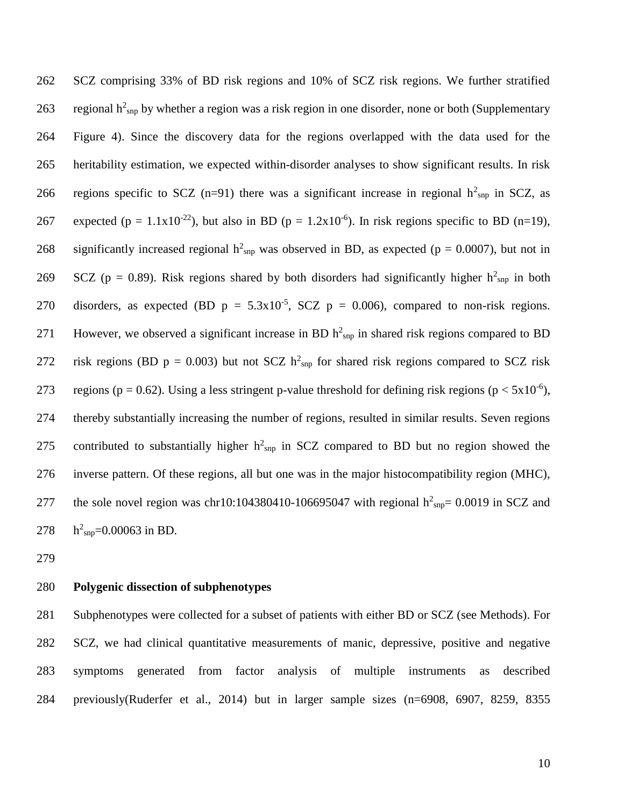262 SCZ comprising 33% of BD risk regions and 10% of SCZ risk regions. We further stratified 263 regional  $h^2$ <sub>snp</sub> by whether a region was a risk region in one disorder, none or both (Supplementary 264 Figure 4). Since the discovery data for the regions overlapped with the data used for the 265 heritability estimation, we expected within-disorder analyses to show significant results. In risk 266 regions specific to SCZ (n=91) there was a significant increase in regional  $h^{2}$ <sub>snp</sub> in SCZ, as 267 expected ( $p = 1.1x10^{-22}$ ), but also in BD ( $p = 1.2x10^{-6}$ ). In risk regions specific to BD (n=19), 268 significantly increased regional  $h^2_{\text{sup}}$  was observed in BD, as expected (p = 0.0007), but not in 269 SCZ (p = 0.89). Risk regions shared by both disorders had significantly higher  $h_{\text{sup}}^2$  in both 270 disorders, as expected (BD  $p = 5.3 \times 10^{-5}$ , SCZ  $p = 0.006$ ), compared to non-risk regions. 271 However, we observed a significant increase in BD  $h^2_{\text{sup}}$  in shared risk regions compared to BD 272 risk regions (BD  $p = 0.003$ ) but not SCZ  $h<sup>2</sup>_{\text{sup}}$  for shared risk regions compared to SCZ risk The regions (p = 0.62). Using a less stringent p-value threshold for defining risk regions (p <  $5x10^{-6}$ ), 274 thereby substantially increasing the number of regions, resulted in similar results. Seven regions 275 contributed to substantially higher  $h_{\text{sup}}^2$  in SCZ compared to BD but no region showed the 276 inverse pattern. Of these regions, all but one was in the major histocompatibility region (MHC), 277 the sole novel region was chr10:104380410-106695047 with regional  $h^2_{\text{sup}} = 0.0019$  in SCZ and 278  $h^2$ <sub>snp</sub>=0.00063 in BD.

279

#### 280 **Polygenic dissection of subphenotypes**

 Subphenotypes were collected for a subset of patients with either BD or SCZ (see Methods). For SCZ, we had clinical quantitative measurements of manic, depressive, positive and negative symptoms generated from factor analysis of multiple instruments as described previously(Ruderfer et al., 2014) but in larger sample sizes (n=6908, 6907, 8259, 8355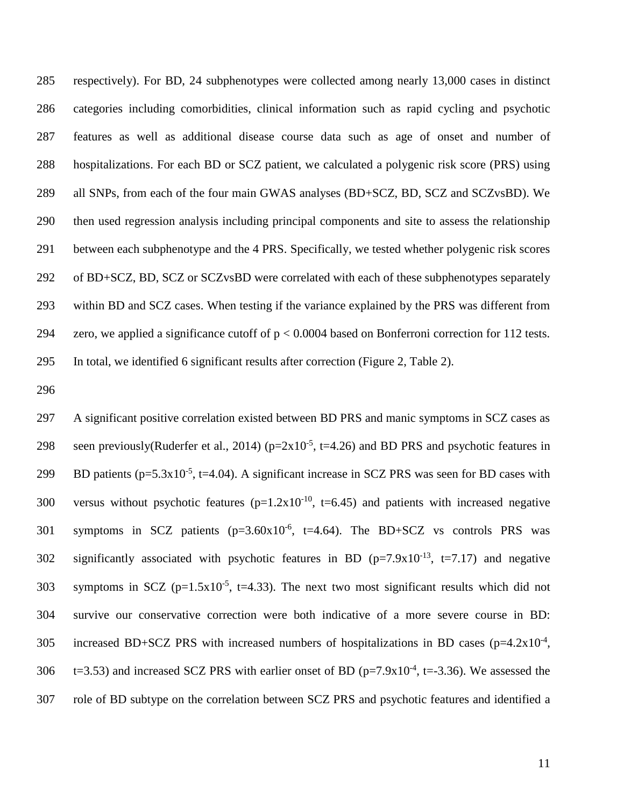respectively). For BD, 24 subphenotypes were collected among nearly 13,000 cases in distinct categories including comorbidities, clinical information such as rapid cycling and psychotic features as well as additional disease course data such as age of onset and number of hospitalizations. For each BD or SCZ patient, we calculated a polygenic risk score (PRS) using all SNPs, from each of the four main GWAS analyses (BD+SCZ, BD, SCZ and SCZvsBD). We then used regression analysis including principal components and site to assess the relationship between each subphenotype and the 4 PRS. Specifically, we tested whether polygenic risk scores of BD+SCZ, BD, SCZ or SCZvsBD were correlated with each of these subphenotypes separately within BD and SCZ cases. When testing if the variance explained by the PRS was different from 294 zero, we applied a significance cutoff of  $p < 0.0004$  based on Bonferroni correction for 112 tests. In total, we identified 6 significant results after correction (Figure 2, Table 2).

 A significant positive correlation existed between BD PRS and manic symptoms in SCZ cases as 298 seen previously(Ruderfer et al., 2014) ( $p=2x10^{-5}$ , t=4.26) and BD PRS and psychotic features in 299 BD patients ( $p=5.3x10^{-5}$ , t=4.04). A significant increase in SCZ PRS was seen for BD cases with 300 versus without psychotic features  $(p=1.2x10^{-10}, t=6.45)$  and patients with increased negative 301 symptoms in SCZ patients  $(p=3.60x10^{-6}, t=4.64)$ . The BD+SCZ vs controls PRS was 302 significantly associated with psychotic features in BD ( $p=7.9x10^{-13}$ ,  $t=7.17$ ) and negative 303 symptoms in SCZ ( $p=1.5x10^{-5}$ ,  $t=4.33$ ). The next two most significant results which did not survive our conservative correction were both indicative of a more severe course in BD: 305 increased BD+SCZ PRS with increased numbers of hospitalizations in BD cases ( $p=4.2x10^{-4}$ , 306  $t=3.53$ ) and increased SCZ PRS with earlier onset of BD ( $p=7.9x10^{-4}$ ,  $t=.3.36$ ). We assessed the role of BD subtype on the correlation between SCZ PRS and psychotic features and identified a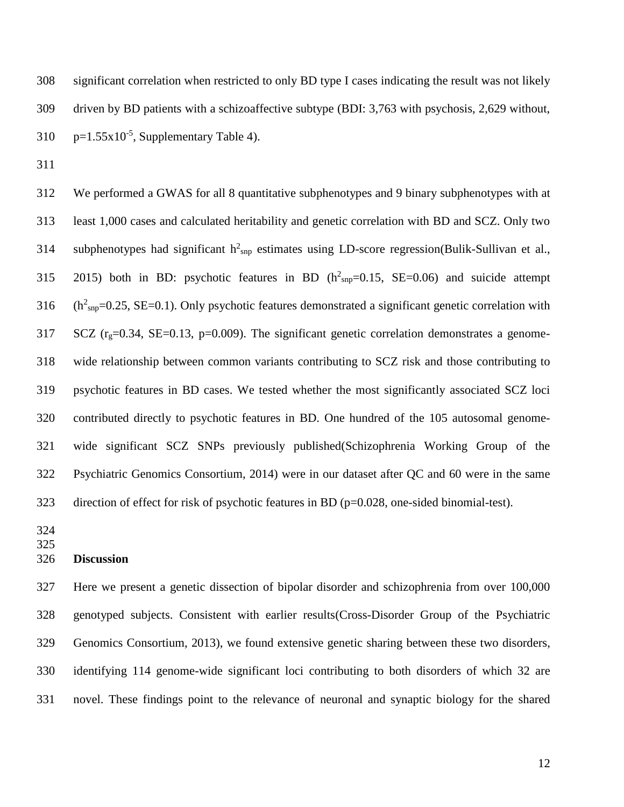significant correlation when restricted to only BD type I cases indicating the result was not likely driven by BD patients with a schizoaffective subtype (BDI: 3,763 with psychosis, 2,629 without, 310  $p=1.55x10^{-5}$ , Supplementary Table 4).

 We performed a GWAS for all 8 quantitative subphenotypes and 9 binary subphenotypes with at least 1,000 cases and calculated heritability and genetic correlation with BD and SCZ. Only two 314 subphenotypes had significant  $h^2_{\text{sup}}$  estimates using LD-score regression(Bulik-Sullivan et al., 315 2015) both in BD: psychotic features in BD  $(h^2_{\text{sup}}=0.15, \text{ SE}=0.06)$  and suicide attempt (h<sup>2</sup><sub>snp</sub>=0.25, SE=0.1). Only psychotic features demonstrated a significant genetic correlation with SCZ ( $r_g=0.34$ , SE=0.13, p=0.009). The significant genetic correlation demonstrates a genome- wide relationship between common variants contributing to SCZ risk and those contributing to psychotic features in BD cases. We tested whether the most significantly associated SCZ loci contributed directly to psychotic features in BD. One hundred of the 105 autosomal genome- wide significant SCZ SNPs previously published(Schizophrenia Working Group of the Psychiatric Genomics Consortium, 2014) were in our dataset after QC and 60 were in the same direction of effect for risk of psychotic features in BD (p=0.028, one-sided binomial-test).

# 

# **Discussion**

 Here we present a genetic dissection of bipolar disorder and schizophrenia from over 100,000 genotyped subjects. Consistent with earlier results(Cross-Disorder Group of the Psychiatric Genomics Consortium, 2013), we found extensive genetic sharing between these two disorders, identifying 114 genome-wide significant loci contributing to both disorders of which 32 are novel. These findings point to the relevance of neuronal and synaptic biology for the shared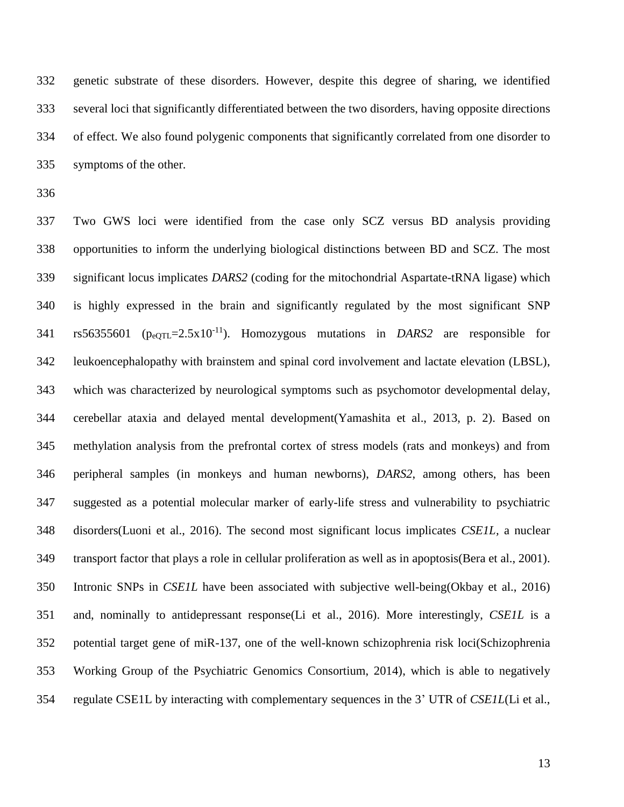genetic substrate of these disorders. However, despite this degree of sharing, we identified several loci that significantly differentiated between the two disorders, having opposite directions of effect. We also found polygenic components that significantly correlated from one disorder to symptoms of the other.

 Two GWS loci were identified from the case only SCZ versus BD analysis providing opportunities to inform the underlying biological distinctions between BD and SCZ. The most significant locus implicates *DARS2* (coding for the mitochondrial Aspartate-tRNA ligase) which is highly expressed in the brain and significantly regulated by the most significant SNP 341 rs56355601 ( $p_{e0TL} = 2.5 \times 10^{-11}$ ). Homozygous mutations in *DARS2* are responsible for leukoencephalopathy with brainstem and spinal cord involvement and lactate elevation (LBSL), which was characterized by neurological symptoms such as psychomotor developmental delay, cerebellar ataxia and delayed mental development(Yamashita et al., 2013, p. 2). Based on methylation analysis from the prefrontal cortex of stress models (rats and monkeys) and from peripheral samples (in monkeys and human newborns), *DARS2*, among others, has been suggested as a potential molecular marker of early-life stress and vulnerability to psychiatric disorders(Luoni et al., 2016). The second most significant locus implicates *CSE1L,* a nuclear transport factor that plays a role in cellular proliferation as well as in apoptosis(Bera et al., 2001). Intronic SNPs in *CSE1L* have been associated with subjective well-being(Okbay et al., 2016) and, nominally to antidepressant response(Li et al., 2016). More interestingly, *CSE1L* is a potential target gene of miR-137, one of the well-known schizophrenia risk loci(Schizophrenia Working Group of the Psychiatric Genomics Consortium, 2014), which is able to negatively regulate CSE1L by interacting with complementary sequences in the 3' UTR of *CSE1L*(Li et al.,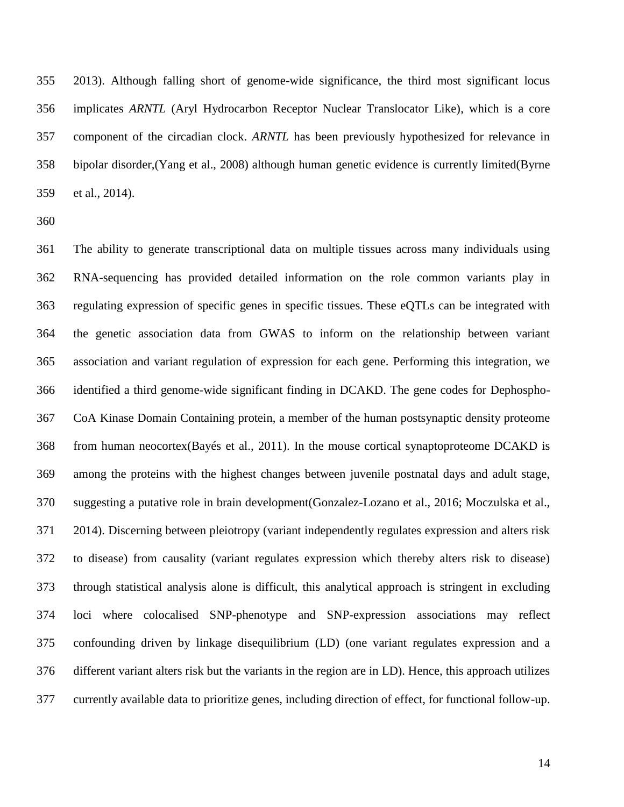2013). Although falling short of genome-wide significance, the third most significant locus implicates *ARNTL* (Aryl Hydrocarbon Receptor Nuclear Translocator Like), which is a core component of the circadian clock. *ARNTL* has been previously hypothesized for relevance in bipolar disorder,(Yang et al., 2008) although human genetic evidence is currently limited(Byrne et al., 2014).

 The ability to generate transcriptional data on multiple tissues across many individuals using RNA-sequencing has provided detailed information on the role common variants play in regulating expression of specific genes in specific tissues. These eQTLs can be integrated with the genetic association data from GWAS to inform on the relationship between variant association and variant regulation of expression for each gene. Performing this integration, we identified a third genome-wide significant finding in DCAKD. The gene codes for Dephospho- CoA Kinase Domain Containing protein, a member of the human postsynaptic density proteome from human neocortex(Bayés et al., 2011). In the mouse cortical synaptoproteome DCAKD is among the proteins with the highest changes between juvenile postnatal days and adult stage, suggesting a putative role in brain development(Gonzalez-Lozano et al., 2016; Moczulska et al., 2014). Discerning between pleiotropy (variant independently regulates expression and alters risk to disease) from causality (variant regulates expression which thereby alters risk to disease) through statistical analysis alone is difficult, this analytical approach is stringent in excluding loci where colocalised SNP-phenotype and SNP-expression associations may reflect confounding driven by linkage disequilibrium (LD) (one variant regulates expression and a different variant alters risk but the variants in the region are in LD). Hence, this approach utilizes currently available data to prioritize genes, including direction of effect, for functional follow-up.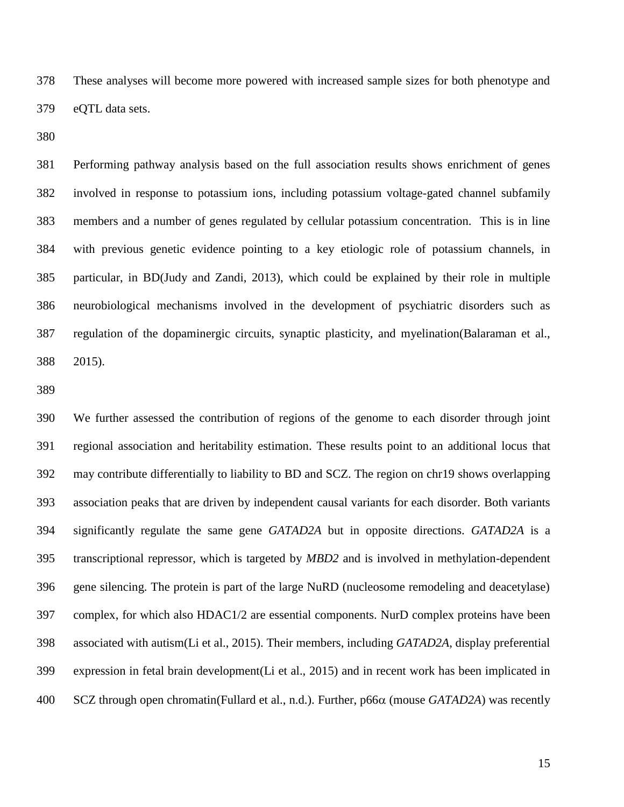These analyses will become more powered with increased sample sizes for both phenotype and eQTL data sets.

 Performing pathway analysis based on the full association results shows enrichment of genes involved in response to potassium ions, including potassium voltage-gated channel subfamily members and a number of genes regulated by cellular potassium concentration. This is in line with previous genetic evidence pointing to a key etiologic role of potassium channels, in particular, in BD(Judy and Zandi, 2013), which could be explained by their role in multiple neurobiological mechanisms involved in the development of psychiatric disorders such as regulation of the dopaminergic circuits, synaptic plasticity, and myelination(Balaraman et al., 2015).

 We further assessed the contribution of regions of the genome to each disorder through joint regional association and heritability estimation. These results point to an additional locus that may contribute differentially to liability to BD and SCZ. The region on chr19 shows overlapping association peaks that are driven by independent causal variants for each disorder. Both variants significantly regulate the same gene *GATAD2A* but in opposite directions. *GATAD2A* is a transcriptional repressor, which is targeted by *MBD2* and is involved in methylation-dependent gene silencing. The protein is part of the large NuRD (nucleosome remodeling and deacetylase) complex, for which also HDAC1/2 are essential components. NurD complex proteins have been associated with autism(Li et al., 2015). Their members, including *GATAD2A*, display preferential expression in fetal brain development(Li et al., 2015) and in recent work has been implicated in SCZ through open chromatin(Fullard et al., n.d.). Further, p66 (mouse *GATAD2A*) was recently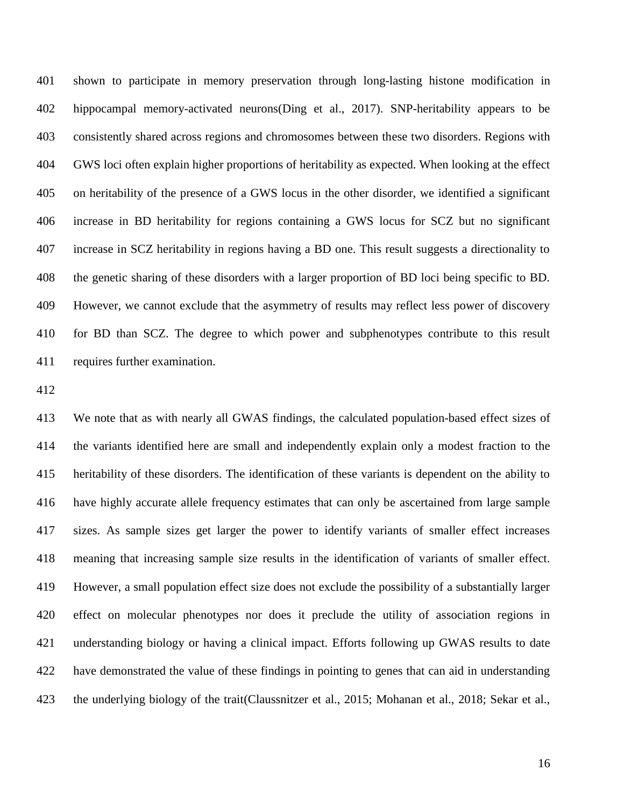shown to participate in memory preservation through long-lasting histone modification in hippocampal memory-activated neurons(Ding et al., 2017). SNP-heritability appears to be consistently shared across regions and chromosomes between these two disorders. Regions with GWS loci often explain higher proportions of heritability as expected. When looking at the effect on heritability of the presence of a GWS locus in the other disorder, we identified a significant increase in BD heritability for regions containing a GWS locus for SCZ but no significant increase in SCZ heritability in regions having a BD one. This result suggests a directionality to the genetic sharing of these disorders with a larger proportion of BD loci being specific to BD. However, we cannot exclude that the asymmetry of results may reflect less power of discovery for BD than SCZ. The degree to which power and subphenotypes contribute to this result requires further examination.

 We note that as with nearly all GWAS findings, the calculated population-based effect sizes of the variants identified here are small and independently explain only a modest fraction to the heritability of these disorders. The identification of these variants is dependent on the ability to have highly accurate allele frequency estimates that can only be ascertained from large sample sizes. As sample sizes get larger the power to identify variants of smaller effect increases meaning that increasing sample size results in the identification of variants of smaller effect. However, a small population effect size does not exclude the possibility of a substantially larger effect on molecular phenotypes nor does it preclude the utility of association regions in understanding biology or having a clinical impact. Efforts following up GWAS results to date have demonstrated the value of these findings in pointing to genes that can aid in understanding the underlying biology of the trait(Claussnitzer et al., 2015; Mohanan et al., 2018; Sekar et al.,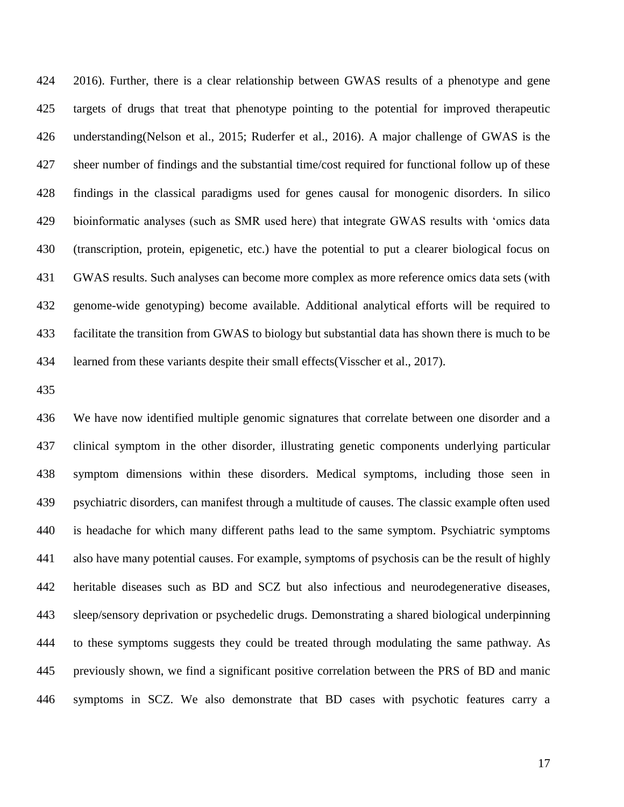2016). Further, there is a clear relationship between GWAS results of a phenotype and gene targets of drugs that treat that phenotype pointing to the potential for improved therapeutic understanding(Nelson et al., 2015; Ruderfer et al., 2016). A major challenge of GWAS is the sheer number of findings and the substantial time/cost required for functional follow up of these findings in the classical paradigms used for genes causal for monogenic disorders. In silico bioinformatic analyses (such as SMR used here) that integrate GWAS results with 'omics data (transcription, protein, epigenetic, etc.) have the potential to put a clearer biological focus on GWAS results. Such analyses can become more complex as more reference omics data sets (with genome-wide genotyping) become available. Additional analytical efforts will be required to facilitate the transition from GWAS to biology but substantial data has shown there is much to be learned from these variants despite their small effects(Visscher et al., 2017).

 We have now identified multiple genomic signatures that correlate between one disorder and a clinical symptom in the other disorder, illustrating genetic components underlying particular symptom dimensions within these disorders. Medical symptoms, including those seen in psychiatric disorders, can manifest through a multitude of causes. The classic example often used is headache for which many different paths lead to the same symptom. Psychiatric symptoms also have many potential causes. For example, symptoms of psychosis can be the result of highly heritable diseases such as BD and SCZ but also infectious and neurodegenerative diseases, sleep/sensory deprivation or psychedelic drugs. Demonstrating a shared biological underpinning to these symptoms suggests they could be treated through modulating the same pathway. As previously shown, we find a significant positive correlation between the PRS of BD and manic symptoms in SCZ. We also demonstrate that BD cases with psychotic features carry a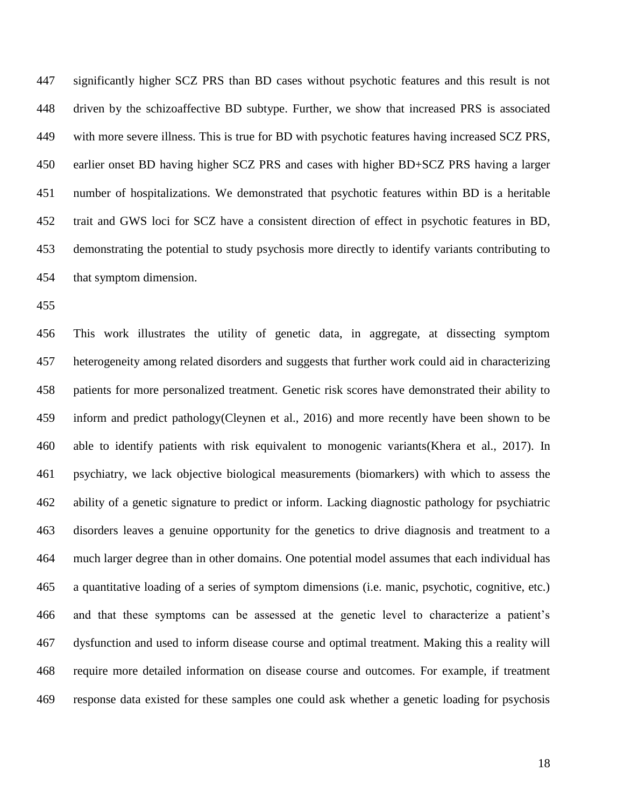significantly higher SCZ PRS than BD cases without psychotic features and this result is not driven by the schizoaffective BD subtype. Further, we show that increased PRS is associated with more severe illness. This is true for BD with psychotic features having increased SCZ PRS, earlier onset BD having higher SCZ PRS and cases with higher BD+SCZ PRS having a larger number of hospitalizations. We demonstrated that psychotic features within BD is a heritable trait and GWS loci for SCZ have a consistent direction of effect in psychotic features in BD, demonstrating the potential to study psychosis more directly to identify variants contributing to that symptom dimension.

 This work illustrates the utility of genetic data, in aggregate, at dissecting symptom heterogeneity among related disorders and suggests that further work could aid in characterizing patients for more personalized treatment. Genetic risk scores have demonstrated their ability to inform and predict pathology(Cleynen et al., 2016) and more recently have been shown to be able to identify patients with risk equivalent to monogenic variants(Khera et al., 2017). In psychiatry, we lack objective biological measurements (biomarkers) with which to assess the ability of a genetic signature to predict or inform. Lacking diagnostic pathology for psychiatric disorders leaves a genuine opportunity for the genetics to drive diagnosis and treatment to a much larger degree than in other domains. One potential model assumes that each individual has a quantitative loading of a series of symptom dimensions (i.e. manic, psychotic, cognitive, etc.) and that these symptoms can be assessed at the genetic level to characterize a patient's dysfunction and used to inform disease course and optimal treatment. Making this a reality will require more detailed information on disease course and outcomes. For example, if treatment response data existed for these samples one could ask whether a genetic loading for psychosis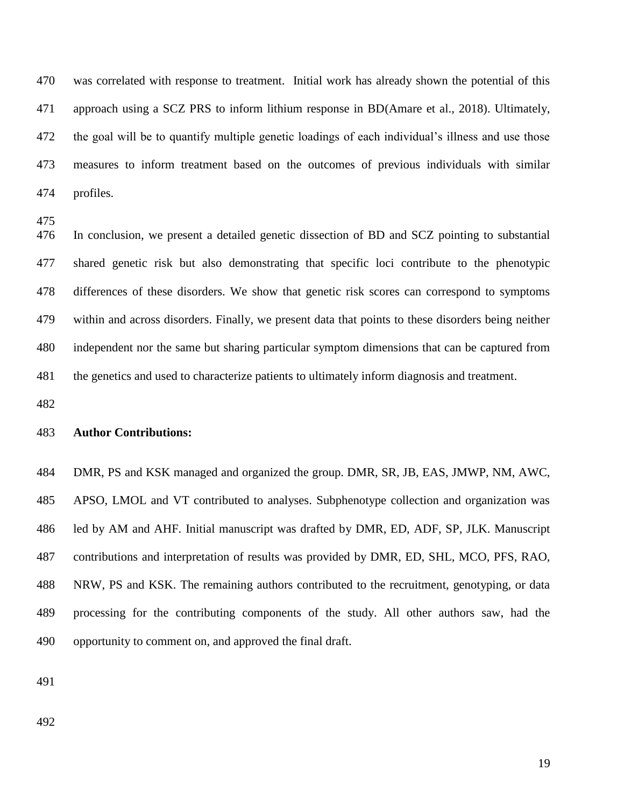was correlated with response to treatment. Initial work has already shown the potential of this approach using a SCZ PRS to inform lithium response in BD(Amare et al., 2018). Ultimately, the goal will be to quantify multiple genetic loadings of each individual's illness and use those measures to inform treatment based on the outcomes of previous individuals with similar profiles.

 In conclusion, we present a detailed genetic dissection of BD and SCZ pointing to substantial shared genetic risk but also demonstrating that specific loci contribute to the phenotypic differences of these disorders. We show that genetic risk scores can correspond to symptoms within and across disorders. Finally, we present data that points to these disorders being neither independent nor the same but sharing particular symptom dimensions that can be captured from the genetics and used to characterize patients to ultimately inform diagnosis and treatment.

# **Author Contributions:**

 DMR, PS and KSK managed and organized the group. DMR, SR, JB, EAS, JMWP, NM, AWC, APSO, LMOL and VT contributed to analyses. Subphenotype collection and organization was led by AM and AHF. Initial manuscript was drafted by DMR, ED, ADF, SP, JLK. Manuscript contributions and interpretation of results was provided by DMR, ED, SHL, MCO, PFS, RAO, NRW, PS and KSK. The remaining authors contributed to the recruitment, genotyping, or data processing for the contributing components of the study. All other authors saw, had the opportunity to comment on, and approved the final draft.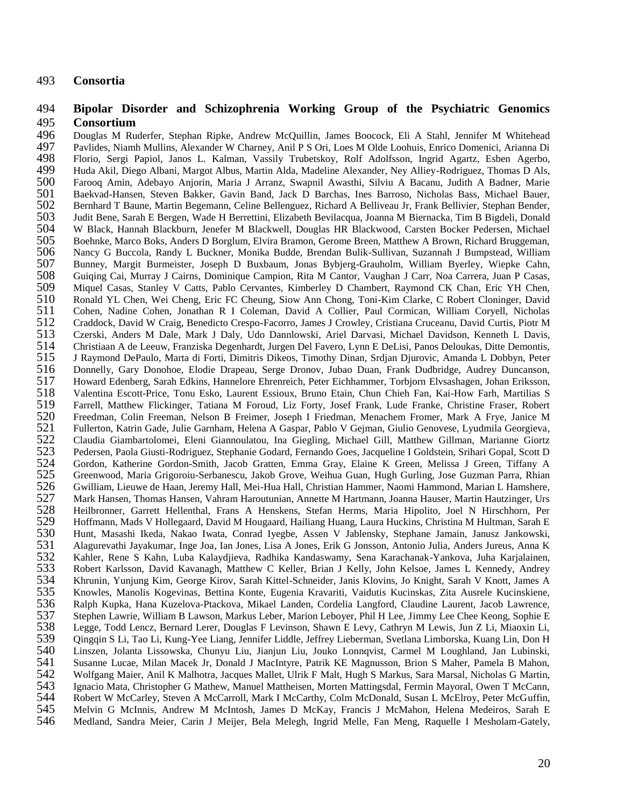#### 493 **Consortia**

# 494 **Bipolar Disorder and Schizophrenia Working Group of the Psychiatric Genomics**  495 **Consortium**

496 Douglas M Ruderfer, Stephan Ripke, Andrew McQuillin, James Boocock, Eli A Stahl, Jennifer M Whitehead Pavlides, Niamh Mullins, Alexander W Charney, Anil P S Ori, Loes M Olde Loohuis, Enrico Domenici, Arianna Di 497 Pavlides, Niamh Mullins, Alexander W Charney, Anil P S Ori, Loes M Olde Loohuis, Enrico Domenici, Arianna Di 498 Florio, Sergi Papiol, Janos L. Kalman, Vassily Trubetskoy, Rolf Adolfsson, Ingrid Agartz, Esben Agerbo, 499 Huda Akil, Diego Albani, Margot Albus, Martin Alda, Madeline Alexander, Ney Alliey-Rodriguez, Thomas D Als, 499 Huda Akil, Diego Albani, Margot Albus, Martin Alda, Madeline Alexander, Ney Alliey-Rodriguez, Thomas D Als, 500 Farooq Amin, Adebayo Anjorin, Maria J Arranz, Swapnil Awasthi, Silviu A Bacanu, Judith A Badner, Marie 501 Baekvad-Hansen, Steven Bakker, Gavin Band, Jack D Barchas, Ines Barroso, Nicholas Bass, Michael Bauer, 502 Bernhard T Baune, Martin Begemann, Celine Bellenguez, Richard A Belliveau Jr, Frank Bellivier, Stephan Bender, 502 Bernhard T Baune, Martin Begemann, Celine Bellenguez, Richard A Belliveau Jr, Frank Bellivier, Stephan Bender, 503 Judit Bene, Sarah E Bergen, Wade H Berrettini, Elizabeth Bevilacqua, Joanna M Biernacka, Tim B Bigdeli, Donald 504 W Black, Hannah Blackburn, Jenefer M Blackwell, Douglas HR Blackwood, Carsten Bocker Pedersen, Michael<br>505 Boehnke, Marco Boks, Anders D Borglum, Elvira Bramon, Gerome Breen, Matthew A Brown, Richard Bruggeman, 505 Boehnke, Marco Boks, Anders D Borglum, Elvira Bramon, Gerome Breen, Matthew A Brown, Richard Bruggeman, 506 Nancy G Buccola, Randy L Buckner, Monika Budde, Brendan Bulik-Sullivan, Suzannah J Bumpstead, William 506 Nancy G Buccola, Randy L Buckner, Monika Budde, Brendan Bulik-Sullivan, Suzannah J Bumpstead, William<br>507 Bunney, Margit Burmeister, Joseph D Buxbaum, Jonas Bybierg-Grauholm, William Byerley, Wiepke Cahn, 507 Bunney, Margit Burmeister, Joseph D Buxbaum, Jonas Bybjerg-Grauholm, William Byerley, Wiepke Cahn, 508 Guiging Cai, Murray J Cairns, Dominique Campion, Rita M Cantor, Vaughan J Carr, Noa Carrera, Juan P Casas, 508 Guiqing Cai, Murray J Cairns, Dominique Campion, Rita M Cantor, Vaughan J Carr, Noa Carrera, Juan P Casas, Stanley V Catts. Pablo Cervantes. Kimberley D Chambert. Raymond CK Chan, Eric YH Chen, 509 Miquel Casas, Stanley V Catts, Pablo Cervantes, Kimberley D Chambert, Raymond CK Chan, Eric YH Chen, 510 Ronald YL Chen, Wei Cheng, Eric FC Cheung, Siow Ann Chong, Toni-Kim Clarke, C Robert Cloninger, David 510 Ronald YL Chen, Wei Cheng, Eric FC Cheung, Siow Ann Chong, Toni-Kim Clarke, C Robert Cloninger, David 511 Cohen, Nadine Cohen, Jonathan R I Coleman, David A Collier, Paul Cormican, William Coryell, Nicholas 511 Cohen, Nadine Cohen, Jonathan R I Coleman, David A Collier, Paul Cormican, William Coryell, Nicholas<br>512 Craddock. David W Craig. Benedicto Crespo-Facorro. James J Crowley. Cristiana Cruceanu. David Curtis. Piotr M 512 Craddock, David W Craig, Benedicto Crespo-Facorro, James J Crowley, Cristiana Cruceanu, David Curtis, Piotr M<br>513 Czerski, Anders M Dale, Mark J Daly, Udo Dannlowski, Ariel Darvasi, Michael Davidson, Kenneth L Davis, 513 Czerski, Anders M Dale, Mark J Daly, Udo Dannlowski, Ariel Darvasi, Michael Davidson, Kenneth L Davis, 514 Christiaan A de Leeuw, Franziska Degenhardt, Jurgen Del Favero, Lynn E DeLisi, Panos Deloukas, Ditte Demontis, 515 J Raymond DePaulo, Marta di Forti, Dimitris Dikeos, Timothy Dinan, Srdjan Djurovic, Amanda L Dobbyn, Peter 516 Donnelly, Gary Donohoe, Elodie Drapeau, Serge Dronov, Jubao Duan, Frank Dudbridge, Audrey Duncanson, Howard Edenberg, Sarah Edkins, Hannelore Ehrenreich, Peter Eichhammer, Torbjorn Elvsashagen, Johan Eriksson, 517 Howard Edenberg, Sarah Edkins, Hannelore Ehrenreich, Peter Eichhammer, Torbjorn Elvsashagen, Johan Eriksson,<br>518 Valentina Escott-Price, Tonu Esko, Laurent Essioux, Bruno Etain, Chun Chieh Fan, Kai-How Farh, Martilias 518 Valentina Escott-Price, Tonu Esko, Laurent Essioux, Bruno Etain, Chun Chieh Fan, Kai-How Farh, Martilias S<br>519 Farrell, Matthew Flickinger, Tatiana M Foroud, Liz Forty, Josef Frank, Lude Franke, Christine Fraser, Rober 519 Farrell, Matthew Flickinger, Tatiana M Foroud, Liz Forty, Josef Frank, Lude Franke, Christine Fraser, Robert<br>520 Freedman, Colin Freeman, Nelson B Freimer, Joseph I Friedman, Menachem Fromer, Mark A Frve, Janice M 520 Freedman, Colin Freeman, Nelson B Freimer, Joseph I Friedman, Menachem Fromer, Mark A Frye, Janice M<br>521 Fullerton, Katrin Gade, Julie Garnham, Helena A Gaspar, Pablo V Geiman, Giulio Genovese, Lyudmila Georgieva 521 Fullerton, Katrin Gade, Julie Garnham, Helena A Gaspar, Pablo V Gejman, Giulio Genovese, Lyudmila Georgieva,<br>522 Claudia Giambartolomei, Eleni Giannoulatou, Ina Giegling, Michael Gill, Matthew Gillman, Marianne Giortz 522 Claudia Giambartolomei, Eleni Giannoulatou, Ina Giegling, Michael Gill, Matthew Gillman, Marianne Giortz<br>523 Pedersen, Paola Giusti-Rodriguez, Stephanie Godard, Fernando Goes, Jacqueline I Goldstein, Srihari Gopal, Sco 523 Pedersen, Paola Giusti-Rodriguez, Stephanie Godard, Fernando Goes, Jacqueline I Goldstein, Srihari Gopal, Scott D<br>524 Gordon, Katherine Gordon-Smith, Jacob Gratten, Emma Gray, Elaine K Green, Melissa J Green, Tiffany A 524 Gordon, Katherine Gordon-Smith, Jacob Gratten, Emma Gray, Elaine K Green, Melissa J Green, Tiffany A 525 Greenwood, Maria Grigoroiu-Serbanescu, Jakob Grove, Weihua Guan, Hugh Gurling, Jose Guzman Parra, Rhian 525 Greenwood, Maria Grigoroiu-Serbanescu, Jakob Grove, Weihua Guan, Hugh Gurling, Jose Guzman Parra, Rhian 526 Gwilliam, Lieuwe de Haan, Jeremy Hall, Mei-Hua Hall, Christian Hammer, Naomi Hammond, Marian L Hamshere, 527 Mark Hansen, Thomas Hansen, Vahram Haroutunian, Annette M Hartmann, Joanna Hauser, Martin Hautzinger, Urs 527 Mark Hansen, Thomas Hansen, Vahram Haroutunian, Annette M Hartmann, Joanna Hauser, Martin Hautzinger, Urs<br>528 Heilbronner, Garrett Hellenthal, Frans A Henskens, Stefan Herms, Maria Hipolito, Joel N Hirschhorn, Per 528 Heilbronner, Garrett Hellenthal, Frans A Henskens, Stefan Herms, Maria Hipolito, Joel N Hirschhorn, Per<br>529 Hoffmann, Mads V Hollegaard, David M Hougaard, Hailiang Huang, Laura Huckins, Christina M Hultman, Sarah E 529 Hoffmann, Mads V Hollegaard, David M Hougaard, Hailiang Huang, Laura Huckins, Christina M Hultman, Sarah E<br>530 Hunt, Masashi Ikeda, Nakao Iwata, Conrad Iyegbe, Assen V Jablensky, Stephane Jamain, Janusz Jankowski, 530 Hunt, Masashi Ikeda, Nakao Iwata, Conrad Iyegbe, Assen V Jablensky, Stephane Jamain, Janusz Jankowski, 531 Alagurevathi Javakumar, Inge Joa, Ian Jones, Lisa A Jones, Erik G Jonsson, Antonio Julia, Anders Jureus, Anna K 531 Alagurevathi Jayakumar, Inge Joa, Ian Jones, Lisa A Jones, Erik G Jonsson, Antonio Julia, Anders Jureus, Anna K 532 Kahler, Rene S Kahn, Luba Kalaydjieva, Radhika Kandaswamy, Sena Karachanak-Yankova, Juha Karjalainen, 533 Robert Karlsson, David Kavanagh, Matthew C Keller, Brian J Kelly, John Kelsoe, James L Kennedy, Andrey 533 Robert Karlsson, David Kavanagh, Matthew C Keller, Brian J Kelly, John Kelsoe, James L Kennedy, Andrey<br>534 Khrunin, Yunjung Kim, George Kirov, Sarah Kittel-Schneider, Janis Klovins, Jo Knight, Sarah V Knott, James 534 Khrunin, Yunjung Kim, George Kirov, Sarah Kittel-Schneider, Janis Klovins, Jo Knight, Sarah V Knott, James A<br>535 Knowles, Manolis Kogevinas, Bettina Konte, Eugenia Kravariti, Vaidutis Kucinskas, Zita Ausrele Kucinskien 535 Knowles, Manolis Kogevinas, Bettina Konte, Eugenia Kravariti, Vaidutis Kucinskas, Zita Ausrele Kucinskiene,<br>536 Ralph Kupka, Hana Kuzelova-Ptackova, Mikael Landen, Cordelia Langford, Claudine Laurent, Jacob Lawrence, 536 Ralph Kupka, Hana Kuzelova-Ptackova, Mikael Landen, Cordelia Langford, Claudine Laurent, Jacob Lawrence, 537 Stephen Lawrie, William B Lawson, Markus Leber, Marion Leboyer, Phil H Lee, Jimmy Lee Chee Keong, Sophie E 537 Stephen Lawrie, William B Lawson, Markus Leber, Marion Leboyer, Phil H Lee, Jimmy Lee Chee Keong, Sophie E<br>538 Legge, Todd Lencz, Bernard Lerer, Douglas F Levinson, Shawn E Levy, Cathryn M Lewis, Jun Z Li, Miaoxin Li, 538 Legge, Todd Lencz, Bernard Lerer, Douglas F Levinson, Shawn E Levy, Cathryn M Lewis, Jun Z Li, Miaoxin Li,<br>539 Oingqin S Li, Tao Li, Kung-Yee Liang, Jennifer Liddle, Jeffrey Lieberman, Svetlana Limborska, Kuang Lin, Do 539 Qingqin S Li, Tao Li, Kung-Yee Liang, Jennifer Liddle, Jeffrey Lieberman, Svetlana Limborska, Kuang Lin, Don H 540 Linszen, Jolanta Lissowska, Chunyu Liu, Jianjun Liu, Jouko Lonnqvist, Carmel M Loughland, Jan Lubinski, 541 Susanne Lucae, Milan Macek Jr, Donald J MacIntyre, Patrik KE Magnusson, Brion S Maher, Pamela B Mahon, 541 Susanne Lucae, Milan Macek Jr, Donald J MacIntyre, Patrik KE Magnusson, Brion S Maher, Pamela B Mahon, 542<br>542 Wolfgang Maier, Anil K Malhotra, Jacques Mallet, Ulrik F Malt, Hugh S Markus, Sara Marsal, Nicholas G Marti 542 Wolfgang Maier, Anil K Malhotra, Jacques Mallet, Ulrik F Malt, Hugh S Markus, Sara Marsal, Nicholas G Martin,<br>543 Ignacio Mata, Christopher G Mathew, Manuel Mattheisen, Morten Mattingsdal, Fermin Mayoral, Owen T McCann 543 Ignacio Mata, Christopher G Mathew, Manuel Mattheisen, Morten Mattingsdal, Fermin Mayoral, Owen T McCann,<br>544 Robert W McCarley, Steven A McCarroll, Mark I McCarthy, Colm McDonald, Susan L McElroy, Peter McGuffin, 544 Robert W McCarley, Steven A McCarroll, Mark I McCarthy, Colm McDonald, Susan L McElroy, Peter McGuffin, 545<br>545 Melvin G McInnis, Andrew M McIntosh, James D McKay, Francis J McMahon, Helena Medeiros, Sarah E 545 Melvin G McInnis, Andrew M McIntosh, James D McKay, Francis J McMahon, Helena Medeiros, Sarah E<br>546 Medland, Sandra Meier, Carin J Meijer, Bela Melegh, Ingrid Melle, Fan Meng, Raquelle I Mesholam-Gately, 546 Medland, Sandra Meier, Carin J Meijer, Bela Melegh, Ingrid Melle, Fan Meng, Raquelle I Mesholam-Gately,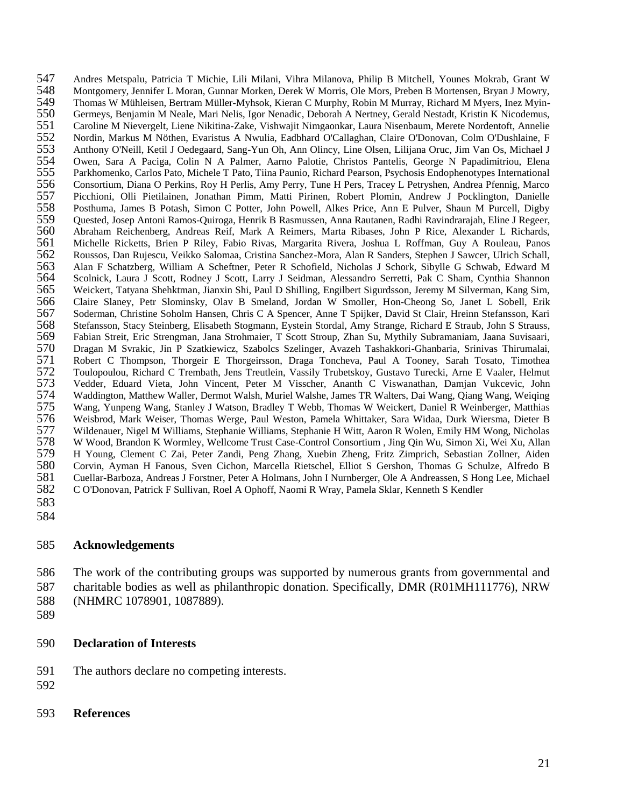547 Andres Metspalu, Patricia T Michie, Lili Milani, Vihra Milanova, Philip B Mitchell, Younes Mokrab, Grant W<br>548 Montgomery, Jennifer L Moran, Gunnar Morken, Derek W Morris, Ole Mors, Preben B Mortensen, Bryan J Mowry, 548 Montgomery, Jennifer L Moran, Gunnar Morken, Derek W Morris, Ole Mors, Preben B Mortensen, Bryan J Mowry,<br>549 Thomas W Mühleisen, Bertram Müller-Myhsok, Kieran C Murphy, Robin M Murray, Richard M Myers, Inez Myin-549 Thomas W Mühleisen, Bertram Müller-Myhsok, Kieran C Murphy, Robin M Murray, Richard M Myers, Inez Myin-<br>550 Germeys, Benjamin M Neale, Mari Nelis, Igor Nenadic, Deborah A Nertney, Gerald Nestadt, Kristin K Nicodemus, 550 Germeys, Benjamin M Neale, Mari Nelis, Igor Nenadic, Deborah A Nertney, Gerald Nestadt, Kristin K Nicodemus, 551 Caroline M Nievergelt, Liene Nikitina-Zake, Vishwajit Nimgaonkar, Laura Nisenbaum, Merete Nordentoft, Ann 551 Caroline M Nievergelt, Liene Nikitina-Zake, Vishwajit Nimgaonkar, Laura Nisenbaum, Merete Nordentoft, Annelie<br>552 Nordin, Markus M Nöthen, Evaristus A Nwulia, Eadbhard O'Callaghan, Claire O'Donovan, Colm O'Dushlaine, F 552 Nordin, Markus M Nöthen, Evaristus A Nwulia, Eadbhard O'Callaghan, Claire O'Donovan, Colm O'Dushlaine, F<br>553 Anthony O'Neill, Ketil J Oedegaard, Sang-Yun Oh, Ann Olincy, Line Olsen, Lilijana Oruc, Jim Van Os, Michael J 553 Anthony O'Neill, Ketil J Oedegaard, Sang-Yun Oh, Ann Olincy, Line Olsen, Lilijana Oruc, Jim Van Os, Michael J<br>554 Owen, Sara A Paciga, Colin N A Palmer, Aarno Palotie, Christos Pantelis, George N Papadimitriou, Elena 554 Owen, Sara A Paciga, Colin N A Palmer, Aarno Palotie, Christos Pantelis, George N Papadimitriou, Elena<br>555 Parkhomenko, Carlos Pato, Michele T Pato, Tiina Paunio, Richard Pearson, Psychosis Endophenotypes International 555 Parkhomenko, Carlos Pato, Michele T Pato, Tiina Paunio, Richard Pearson, Psychosis Endophenotypes International 556 Consortium, Diana O Perkins, Roy H Perlis, Amy Perry, Tune H Pers, Tracey L Petryshen, Andrea Pfennig, Marco 557 Picchioni, Olli Pietilainen, Jonathan Pimm, Matti Pirinen, Robert Plomin, Andrew J Pocklington, Danielle 558 Posthuma, James B Potash, Simon C Potter, John Powell, Alkes Price, Ann E Pulver, Shaun M Purcell, Digby<br>559 Ouested, Josep Antoni Ramos-Quiroga, Henrik B Rasmussen, Anna Rautanen, Radhi Ravindrarajah, Eline J Regeer, 559 Quested, Josep Antoni Ramos-Quiroga, Henrik B Rasmussen, Anna Rautanen, Radhi Ravindrarajah, Eline J Regeer, 560 Abraham Reichenberg, Andreas Reif, Mark A Reimers, Marta Ribases, John P Rice, Alexander L Richards, 560 Abraham Reichenberg, Andreas Reif, Mark A Reimers, Marta Ribases, John P Rice, Alexander L Richards, 561 Michelle Ricketts, Brien P Riley, Fabio Rivas, Margarita Rivera, Joshua L Roffman, Guy A Rouleau, Panos<br>562 Roussos, Dan Rujescu, Veikko Salomaa, Cristina Sanchez-Mora, Alan R Sanders, Stephen J Sawcer, Ulrich Schall, 562 Roussos, Dan Rujescu, Veikko Salomaa, Cristina Sanchez-Mora, Alan R Sanders, Stephen J Sawcer, Ulrich Schall, 563 Alan F Schatzberg, William A Scheftner, Peter R Schofield, Nicholas J Schork, Sibylle G Schwab, Edward M<br>564 Scolnick, Laura J Scott, Rodney J Scott, Larry J Seidman, Alessandro Serretti, Pak C Sham, Cynthia Shannon 564 Scolnick, Laura J Scott, Rodney J Scott, Larry J Seidman, Alessandro Serretti, Pak C Sham, Cynthia Shannon<br>565 Weickert, Tatyana Shehktman, Jianxin Shi, Paul D Shilling, Engilbert Sigurdsson, Jeremy M Silverman, Kang S 565 Weickert, Tatyana Shehktman, Jianxin Shi, Paul D Shilling, Engilbert Sigurdsson, Jeremy M Silverman, Kang Sim, 566 Claire Slaney, Petr Slominsky, Olav B Smeland, Jordan W Smoller, Hon-Cheong So, Janet L Sobell, Erik 567 Soderman, Christine Soholm Hansen, Chris C A Spencer, Anne T Spijker, David St Clair, Hreinn Stefansson, Kari 568 Stefansson, Stacy Steinberg, Elisabeth Stogmann, Eystein Stordal, Amy Strange, Richard E Straub, John S Strauss, 569 Fabian Streit, Eric Strengman, Jana Strohmaier, T Scott Stroup, Zhan Su, Mythily Subramaniam, Jaana Suvisaari, 570 Dragan M Svrakic, Jin P Szatkiewicz, Szabolcs Szelinger, Avazeh Tashakkori-Ghanbaria, Srinivas Thirumalai, 571 Robert C Thompson. Thorgeir E Thorgeirsson. Draga Toncheva. Paul A Tooney. Sarah Tosato. Timothea 571 Robert C Thompson, Thorgeir E Thorgeirsson, Draga Toncheva, Paul A Tooney, Sarah Tosato, Timothea<br>572 Toulopoulou, Richard C Trembath, Jens Treutlein, Vassily Trubetskoy, Gustavo Turecki, Arne E Vaaler, Helmut 572 Toulopoulou, Richard C Trembath, Jens Treutlein, Vassily Trubetskoy, Gustavo Turecki, Arne E Vaaler, Helmut<br>573 Vedder, Eduard Vieta, John Vincent, Peter M Visscher, Ananth C Viswanathan, Damjan Vukcevic, John 573 Vedder, Eduard Vieta, John Vincent, Peter M Visscher, Ananth C Viswanathan, Damjan Vukcevic, John 574 Waddington, Matthew Waller, Dermot Walsh, Muriel Walshe, James TR Walters, Dai Wang, Oiang Wang, Weiging 574 Waddington, Matthew Waller, Dermot Walsh, Muriel Walshe, James TR Walters, Dai Wang, Qiang Wang, Weiqing<br>575 Wang, Yunpeng Wang, Stanley J Watson, Bradley T Webb, Thomas W Weickert, Daniel R Weinberger, Matthias 575 Wang, Yunpeng Wang, Stanley J Watson, Bradley T Webb, Thomas W Weickert, Daniel R Weinberger, Matthias<br>576 Weisbrod, Mark Weiser, Thomas Werge, Paul Weston, Pamela Whittaker, Sara Widaa, Durk Wiersma, Dieter B 576 Weisbrod, Mark Weiser, Thomas Werge, Paul Weston, Pamela Whittaker, Sara Widaa, Durk Wiersma, Dieter B<br>577 Wildenauer, Nigel M Williams, Stephanie Williams, Stephanie H Witt, Aaron R Wolen, Emily HM Wong, Nicholas 577 Wildenauer, Nigel M Williams, Stephanie Williams, Stephanie H Witt, Aaron R Wolen, Emily HM Wong, Nicholas<br>578 W Wood, Brandon K Wormley, Wellcome Trust Case-Control Consortium, Jing Qin Wu, Simon Xi, Wei Xu, Allan 578 W Wood, Brandon K Wormley, Wellcome Trust Case-Control Consortium , Jing Qin Wu, Simon Xi, Wei Xu, Allan<br>579 H Young, Clement C Zai, Peter Zandi, Peng Zhang, Xuebin Zheng, Fritz Zimprich, Sebastian Zollner, Aiden 579 H Young, Clement C Zai, Peter Zandi, Peng Zhang, Xuebin Zheng, Fritz Zimprich, Sebastian Zollner, Aiden 580 Corvin, Ayman H Fanous, Sven Cichon, Marcella Rietschel, Elliot S Gershon, Thomas G Schulze, Alfredo B Cuellar-Barboza, Andreas J Forstner, Peter A Holmans, John I Nurnberger, Ole A Andreassen, S Hong Lee, Michael 581 Cuellar-Barboza, Andreas J Forstner, Peter A Holmans, John I Nurnberger, Ole A Andreassen, S Hong Lee, Michael<br>582 C O'Donovan, Patrick F Sullivan, Roel A Ophoff, Naomi R Wray, Pamela Sklar, Kenneth S Kendler 582 C O'Donovan, Patrick F Sullivan, Roel A Ophoff, Naomi R Wray, Pamela Sklar, Kenneth S Kendler 583

584

# 585 **Acknowledgements**

586 The work of the contributing groups was supported by numerous grants from governmental and 587 charitable bodies as well as philanthropic donation. Specifically, DMR (R01MH111776), NRW 588 (NHMRC 1078901, 1087889).

589

#### 590 **Declaration of Interests**

- 591 The authors declare no competing interests.
- 592
- 593 **References**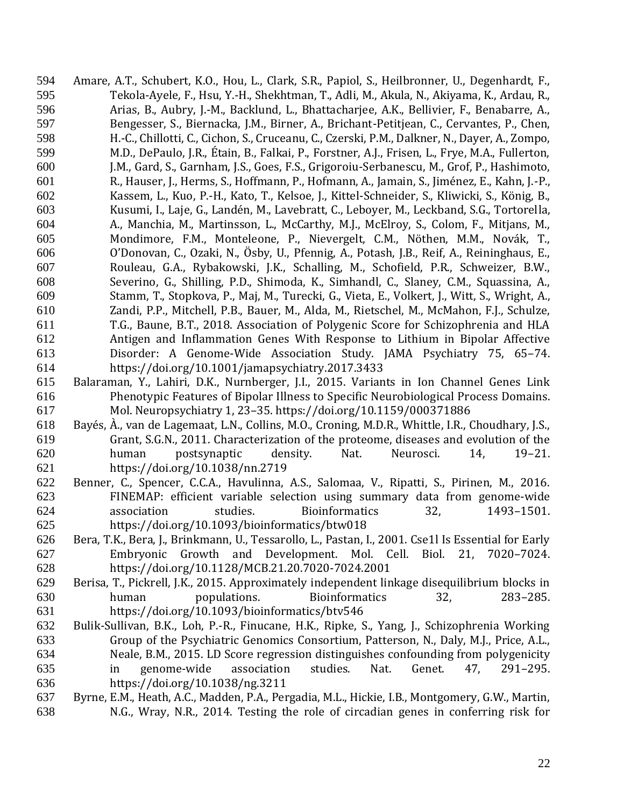Amare, A.T., Schubert, K.O., Hou, L., Clark, S.R., Papiol, S., Heilbronner, U., Degenhardt, F., Tekola-Ayele, F., Hsu, Y.-H., Shekhtman, T., Adli, M., Akula, N., Akiyama, K., Ardau, R., Arias, B., Aubry, J.-M., Backlund, L., Bhattacharjee, A.K., Bellivier, F., Benabarre, A., Bengesser, S., Biernacka, J.M., Birner, A., Brichant-Petitjean, C., Cervantes, P., Chen, H.-C., Chillotti, C., Cichon, S., Cruceanu, C., Czerski, P.M., Dalkner, N., Dayer, A., Zompo, M.D., DePaulo, J.R., Étain, B., Falkai, P., Forstner, A.J., Frisen, L., Frye, M.A., Fullerton, J.M., Gard, S., Garnham, J.S., Goes, F.S., Grigoroiu-Serbanescu, M., Grof, P., Hashimoto, R., Hauser, J., Herms, S., Hoffmann, P., Hofmann, A., Jamain, S., Jiménez, E., Kahn, J.-P., Kassem, L., Kuo, P.-H., Kato, T., Kelsoe, J., Kittel-Schneider, S., Kliwicki, S., König, B., Kusumi, I., Laje, G., Landén, M., Lavebratt, C., Leboyer, M., Leckband, S.G., Tortorella, A., Manchia, M., Martinsson, L., McCarthy, M.J., McElroy, S., Colom, F., Mitjans, M., Mondimore, F.M., Monteleone, P., Nievergelt, C.M., Nöthen, M.M., Novák, T., O'Donovan, C., Ozaki, N., Ösby, U., Pfennig, A., Potash, J.B., Reif, A., Reininghaus, E., Rouleau, G.A., Rybakowski, J.K., Schalling, M., Schofield, P.R., Schweizer, B.W., Severino, G., Shilling, P.D., Shimoda, K., Simhandl, C., Slaney, C.M., Squassina, A., Stamm, T., Stopkova, P., Maj, M., Turecki, G., Vieta, E., Volkert, J., Witt, S., Wright, A., Zandi, P.P., Mitchell, P.B., Bauer, M., Alda, M., Rietschel, M., McMahon, F.J., Schulze, T.G., Baune, B.T., 2018. Association of Polygenic Score for Schizophrenia and HLA Antigen and Inflammation Genes With Response to Lithium in Bipolar Affective Disorder: A Genome-Wide Association Study. JAMA Psychiatry 75, 65–74. https://doi.org/10.1001/jamapsychiatry.2017.3433

- Balaraman, Y., Lahiri, D.K., Nurnberger, J.I., 2015. Variants in Ion Channel Genes Link Phenotypic Features of Bipolar Illness to Specific Neurobiological Process Domains. Mol. Neuropsychiatry 1, 23–35. https://doi.org/10.1159/000371886
- Bayés, À., van de Lagemaat, L.N., Collins, M.O., Croning, M.D.R., Whittle, I.R., Choudhary, J.S., Grant, S.G.N., 2011. Characterization of the proteome, diseases and evolution of the human postsynaptic density. Nat. Neurosci. 14, 19–21. https://doi.org/10.1038/nn.2719
- Benner, C., Spencer, C.C.A., Havulinna, A.S., Salomaa, V., Ripatti, S., Pirinen, M., 2016. FINEMAP: efficient variable selection using summary data from genome-wide association studies. Bioinformatics 32, 1493–1501. https://doi.org/10.1093/bioinformatics/btw018
- Bera, T.K., Bera, J., Brinkmann, U., Tessarollo, L., Pastan, I., 2001. Cse1l Is Essential for Early Embryonic Growth and Development. Mol. Cell. Biol. 21, 7020–7024. https://doi.org/10.1128/MCB.21.20.7020-7024.2001
- Berisa, T., Pickrell, J.K., 2015. Approximately independent linkage disequilibrium blocks in human populations. Bioinformatics 32, 283–285. https://doi.org/10.1093/bioinformatics/btv546
- Bulik-Sullivan, B.K., Loh, P.-R., Finucane, H.K., Ripke, S., Yang, J., Schizophrenia Working Group of the Psychiatric Genomics Consortium, Patterson, N., Daly, M.J., Price, A.L., Neale, B.M., 2015. LD Score regression distinguishes confounding from polygenicity in genome-wide association studies. Nat. Genet. 47, 291–295. https://doi.org/10.1038/ng.3211
- Byrne, E.M., Heath, A.C., Madden, P.A., Pergadia, M.L., Hickie, I.B., Montgomery, G.W., Martin, N.G., Wray, N.R., 2014. Testing the role of circadian genes in conferring risk for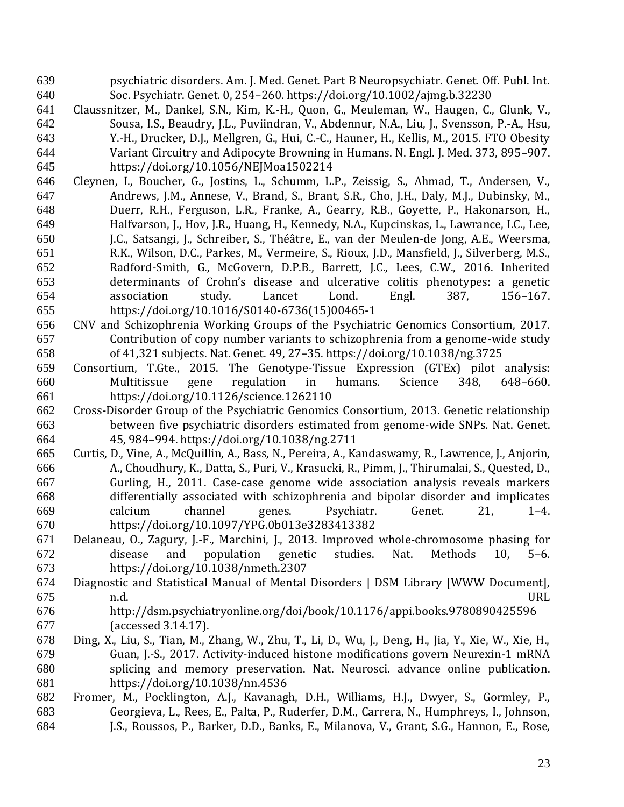- psychiatric disorders. Am. J. Med. Genet. Part B Neuropsychiatr. Genet. Off. Publ. Int. Soc. Psychiatr. Genet. 0, 254–260. https://doi.org/10.1002/ajmg.b.32230
- Claussnitzer, M., Dankel, S.N., Kim, K.-H., Quon, G., Meuleman, W., Haugen, C., Glunk, V., Sousa, I.S., Beaudry, J.L., Puviindran, V., Abdennur, N.A., Liu, J., Svensson, P.-A., Hsu, Y.-H., Drucker, D.J., Mellgren, G., Hui, C.-C., Hauner, H., Kellis, M., 2015. FTO Obesity Variant Circuitry and Adipocyte Browning in Humans. N. Engl. J. Med. 373, 895–907. https://doi.org/10.1056/NEJMoa1502214
- Cleynen, I., Boucher, G., Jostins, L., Schumm, L.P., Zeissig, S., Ahmad, T., Andersen, V., Andrews, J.M., Annese, V., Brand, S., Brant, S.R., Cho, J.H., Daly, M.J., Dubinsky, M., Duerr, R.H., Ferguson, L.R., Franke, A., Gearry, R.B., Goyette, P., Hakonarson, H., Halfvarson, J., Hov, J.R., Huang, H., Kennedy, N.A., Kupcinskas, L., Lawrance, I.C., Lee, J.C., Satsangi, J., Schreiber, S., Théâtre, E., van der Meulen-de Jong, A.E., Weersma, R.K., Wilson, D.C., Parkes, M., Vermeire, S., Rioux, J.D., Mansfield, J., Silverberg, M.S., Radford-Smith, G., McGovern, D.P.B., Barrett, J.C., Lees, C.W., 2016. Inherited determinants of Crohn's disease and ulcerative colitis phenotypes: a genetic association study. Lancet Lond. Engl. 387, 156–167. https://doi.org/10.1016/S0140-6736(15)00465-1
- CNV and Schizophrenia Working Groups of the Psychiatric Genomics Consortium, 2017. Contribution of copy number variants to schizophrenia from a genome-wide study of 41,321 subjects. Nat. Genet. 49, 27–35. https://doi.org/10.1038/ng.3725
- Consortium, T.Gte., 2015. The Genotype-Tissue Expression (GTEx) pilot analysis: Multitissue gene regulation in humans. Science 348, 648–660. https://doi.org/10.1126/science.1262110
- Cross-Disorder Group of the Psychiatric Genomics Consortium, 2013. Genetic relationship between five psychiatric disorders estimated from genome-wide SNPs. Nat. Genet. 45, 984–994. https://doi.org/10.1038/ng.2711
- Curtis, D., Vine, A., McQuillin, A., Bass, N., Pereira, A., Kandaswamy, R., Lawrence, J., Anjorin, A., Choudhury, K., Datta, S., Puri, V., Krasucki, R., Pimm, J., Thirumalai, S., Quested, D., Gurling, H., 2011. Case-case genome wide association analysis reveals markers differentially associated with schizophrenia and bipolar disorder and implicates calcium channel genes. Psychiatr. Genet. 21, 1–4. https://doi.org/10.1097/YPG.0b013e3283413382
- Delaneau, O., Zagury, J.-F., Marchini, J., 2013. Improved whole-chromosome phasing for disease and population genetic studies. Nat. Methods 10, 5–6. https://doi.org/10.1038/nmeth.2307
- Diagnostic and Statistical Manual of Mental Disorders | DSM Library [WWW Document], n.d. URL
- http://dsm.psychiatryonline.org/doi/book/10.1176/appi.books.9780890425596 (accessed 3.14.17).
- Ding, X., Liu, S., Tian, M., Zhang, W., Zhu, T., Li, D., Wu, J., Deng, H., Jia, Y., Xie, W., Xie, H., Guan, J.-S., 2017. Activity-induced histone modifications govern Neurexin-1 mRNA splicing and memory preservation. Nat. Neurosci. advance online publication. https://doi.org/10.1038/nn.4536
- Fromer, M., Pocklington, A.J., Kavanagh, D.H., Williams, H.J., Dwyer, S., Gormley, P., Georgieva, L., Rees, E., Palta, P., Ruderfer, D.M., Carrera, N., Humphreys, I., Johnson, J.S., Roussos, P., Barker, D.D., Banks, E., Milanova, V., Grant, S.G., Hannon, E., Rose,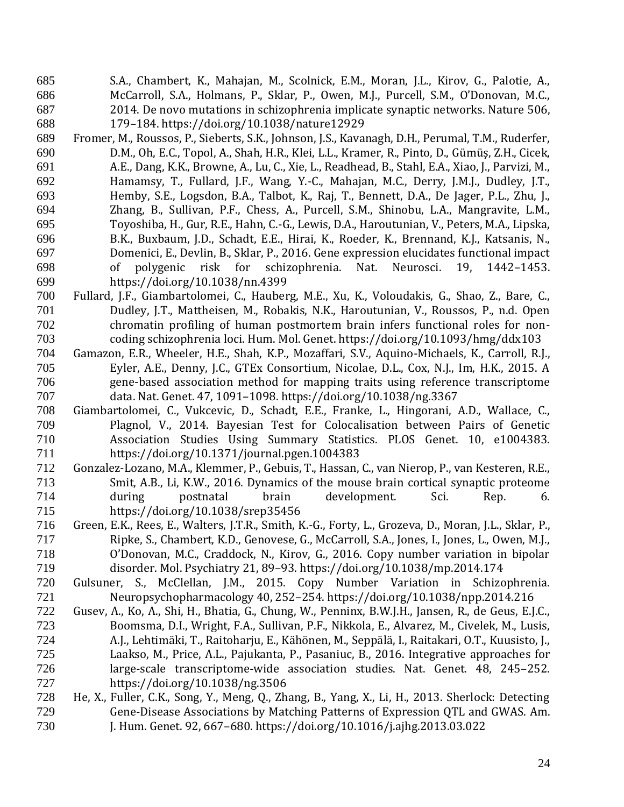S.A., Chambert, K., Mahajan, M., Scolnick, E.M., Moran, J.L., Kirov, G., Palotie, A., McCarroll, S.A., Holmans, P., Sklar, P., Owen, M.J., Purcell, S.M., O'Donovan, M.C., 2014. De novo mutations in schizophrenia implicate synaptic networks. Nature 506, 179–184. https://doi.org/10.1038/nature12929

- Fromer, M., Roussos, P., Sieberts, S.K., Johnson, J.S., Kavanagh, D.H., Perumal, T.M., Ruderfer, D.M., Oh, E.C., Topol, A., Shah, H.R., Klei, L.L., Kramer, R., Pinto, D., Gümüş, Z.H., Cicek, A.E., Dang, K.K., Browne, A., Lu, C., Xie, L., Readhead, B., Stahl, E.A., Xiao, J., Parvizi, M., Hamamsy, T., Fullard, J.F., Wang, Y.-C., Mahajan, M.C., Derry, J.M.J., Dudley, J.T., Hemby, S.E., Logsdon, B.A., Talbot, K., Raj, T., Bennett, D.A., De Jager, P.L., Zhu, J., Zhang, B., Sullivan, P.F., Chess, A., Purcell, S.M., Shinobu, L.A., Mangravite, L.M., Toyoshiba, H., Gur, R.E., Hahn, C.-G., Lewis, D.A., Haroutunian, V., Peters, M.A., Lipska, B.K., Buxbaum, J.D., Schadt, E.E., Hirai, K., Roeder, K., Brennand, K.J., Katsanis, N., Domenici, E., Devlin, B., Sklar, P., 2016. Gene expression elucidates functional impact of polygenic risk for schizophrenia. Nat. Neurosci. 19, 1442–1453. https://doi.org/10.1038/nn.4399
- Fullard, J.F., Giambartolomei, C., Hauberg, M.E., Xu, K., Voloudakis, G., Shao, Z., Bare, C., Dudley, J.T., Mattheisen, M., Robakis, N.K., Haroutunian, V., Roussos, P., n.d. Open chromatin profiling of human postmortem brain infers functional roles for non-coding schizophrenia loci. Hum. Mol. Genet. https://doi.org/10.1093/hmg/ddx103
- Gamazon, E.R., Wheeler, H.E., Shah, K.P., Mozaffari, S.V., Aquino-Michaels, K., Carroll, R.J., Eyler, A.E., Denny, J.C., GTEx Consortium, Nicolae, D.L., Cox, N.J., Im, H.K., 2015. A gene-based association method for mapping traits using reference transcriptome data. Nat. Genet. 47, 1091–1098. https://doi.org/10.1038/ng.3367
- Giambartolomei, C., Vukcevic, D., Schadt, E.E., Franke, L., Hingorani, A.D., Wallace, C., Plagnol, V., 2014. Bayesian Test for Colocalisation between Pairs of Genetic Association Studies Using Summary Statistics. PLOS Genet. 10, e1004383. https://doi.org/10.1371/journal.pgen.1004383
- Gonzalez-Lozano, M.A., Klemmer, P., Gebuis, T., Hassan, C., van Nierop, P., van Kesteren, R.E., Smit, A.B., Li, K.W., 2016. Dynamics of the mouse brain cortical synaptic proteome during postnatal brain development. Sci. Rep. 6. https://doi.org/10.1038/srep35456
- Green, E.K., Rees, E., Walters, J.T.R., Smith, K.-G., Forty, L., Grozeva, D., Moran, J.L., Sklar, P., Ripke, S., Chambert, K.D., Genovese, G., McCarroll, S.A., Jones, I., Jones, L., Owen, M.J., O'Donovan, M.C., Craddock, N., Kirov, G., 2016. Copy number variation in bipolar disorder. Mol. Psychiatry 21, 89–93. https://doi.org/10.1038/mp.2014.174
- Gulsuner, S., McClellan, J.M., 2015. Copy Number Variation in Schizophrenia. Neuropsychopharmacology 40, 252–254. https://doi.org/10.1038/npp.2014.216
- Gusev, A., Ko, A., Shi, H., Bhatia, G., Chung, W., Penninx, B.W.J.H., Jansen, R., de Geus, E.J.C., Boomsma, D.I., Wright, F.A., Sullivan, P.F., Nikkola, E., Alvarez, M., Civelek, M., Lusis, A.J., Lehtimäki, T., Raitoharju, E., Kähönen, M., Seppälä, I., Raitakari, O.T., Kuusisto, J., Laakso, M., Price, A.L., Pajukanta, P., Pasaniuc, B., 2016. Integrative approaches for large-scale transcriptome-wide association studies. Nat. Genet. 48, 245–252. https://doi.org/10.1038/ng.3506
- He, X., Fuller, C.K., Song, Y., Meng, Q., Zhang, B., Yang, X., Li, H., 2013. Sherlock: Detecting Gene-Disease Associations by Matching Patterns of Expression QTL and GWAS. Am. J. Hum. Genet. 92, 667–680. https://doi.org/10.1016/j.ajhg.2013.03.022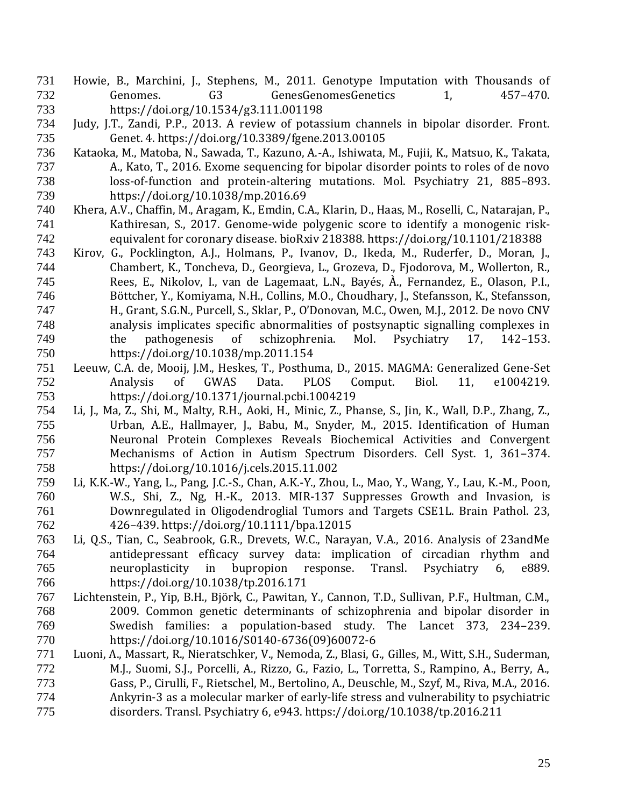- Howie, B., Marchini, J., Stephens, M., 2011. Genotype Imputation with Thousands of Genomes. G3 GenesGenomesGenetics 1, 457–470. https://doi.org/10.1534/g3.111.001198
- Judy, J.T., Zandi, P.P., 2013. A review of potassium channels in bipolar disorder. Front. Genet. 4. https://doi.org/10.3389/fgene.2013.00105
- Kataoka, M., Matoba, N., Sawada, T., Kazuno, A.-A., Ishiwata, M., Fujii, K., Matsuo, K., Takata, A., Kato, T., 2016. Exome sequencing for bipolar disorder points to roles of de novo loss-of-function and protein-altering mutations. Mol. Psychiatry 21, 885–893. https://doi.org/10.1038/mp.2016.69
- Khera, A.V., Chaffin, M., Aragam, K., Emdin, C.A., Klarin, D., Haas, M., Roselli, C., Natarajan, P., Kathiresan, S., 2017. Genome-wide polygenic score to identify a monogenic risk-equivalent for coronary disease. bioRxiv 218388. https://doi.org/10.1101/218388
- Kirov, G., Pocklington, A.J., Holmans, P., Ivanov, D., Ikeda, M., Ruderfer, D., Moran, J., Chambert, K., Toncheva, D., Georgieva, L., Grozeva, D., Fjodorova, M., Wollerton, R., Rees, E., Nikolov, I., van de Lagemaat, L.N., Bayés, À., Fernandez, E., Olason, P.I., Böttcher, Y., Komiyama, N.H., Collins, M.O., Choudhary, J., Stefansson, K., Stefansson, H., Grant, S.G.N., Purcell, S., Sklar, P., O'Donovan, M.C., Owen, M.J., 2012. De novo CNV analysis implicates specific abnormalities of postsynaptic signalling complexes in the pathogenesis of schizophrenia. Mol. Psychiatry 17, 142–153. https://doi.org/10.1038/mp.2011.154
- Leeuw, C.A. de, Mooij, J.M., Heskes, T., Posthuma, D., 2015. MAGMA: Generalized Gene-Set Analysis of GWAS Data. PLOS Comput. Biol. 11, e1004219. https://doi.org/10.1371/journal.pcbi.1004219
- Li, J., Ma, Z., Shi, M., Malty, R.H., Aoki, H., Minic, Z., Phanse, S., Jin, K., Wall, D.P., Zhang, Z., Urban, A.E., Hallmayer, J., Babu, M., Snyder, M., 2015. Identification of Human Neuronal Protein Complexes Reveals Biochemical Activities and Convergent Mechanisms of Action in Autism Spectrum Disorders. Cell Syst. 1, 361–374. https://doi.org/10.1016/j.cels.2015.11.002
- Li, K.K.-W., Yang, L., Pang, J.C.-S., Chan, A.K.-Y., Zhou, L., Mao, Y., Wang, Y., Lau, K.-M., Poon, W.S., Shi, Z., Ng, H.-K., 2013. MIR-137 Suppresses Growth and Invasion, is Downregulated in Oligodendroglial Tumors and Targets CSE1L. Brain Pathol. 23, 426–439. https://doi.org/10.1111/bpa.12015
- Li, Q.S., Tian, C., Seabrook, G.R., Drevets, W.C., Narayan, V.A., 2016. Analysis of 23andMe antidepressant efficacy survey data: implication of circadian rhythm and neuroplasticity in bupropion response. Transl. Psychiatry 6, e889. https://doi.org/10.1038/tp.2016.171
- Lichtenstein, P., Yip, B.H., Björk, C., Pawitan, Y., Cannon, T.D., Sullivan, P.F., Hultman, C.M., 2009. Common genetic determinants of schizophrenia and bipolar disorder in Swedish families: a population-based study. The Lancet 373, 234–239. https://doi.org/10.1016/S0140-6736(09)60072-6
- Luoni, A., Massart, R., Nieratschker, V., Nemoda, Z., Blasi, G., Gilles, M., Witt, S.H., Suderman, M.J., Suomi, S.J., Porcelli, A., Rizzo, G., Fazio, L., Torretta, S., Rampino, A., Berry, A., Gass, P., Cirulli, F., Rietschel, M., Bertolino, A., Deuschle, M., Szyf, M., Riva, M.A., 2016. Ankyrin-3 as a molecular marker of early-life stress and vulnerability to psychiatric disorders. Transl. Psychiatry 6, e943. https://doi.org/10.1038/tp.2016.211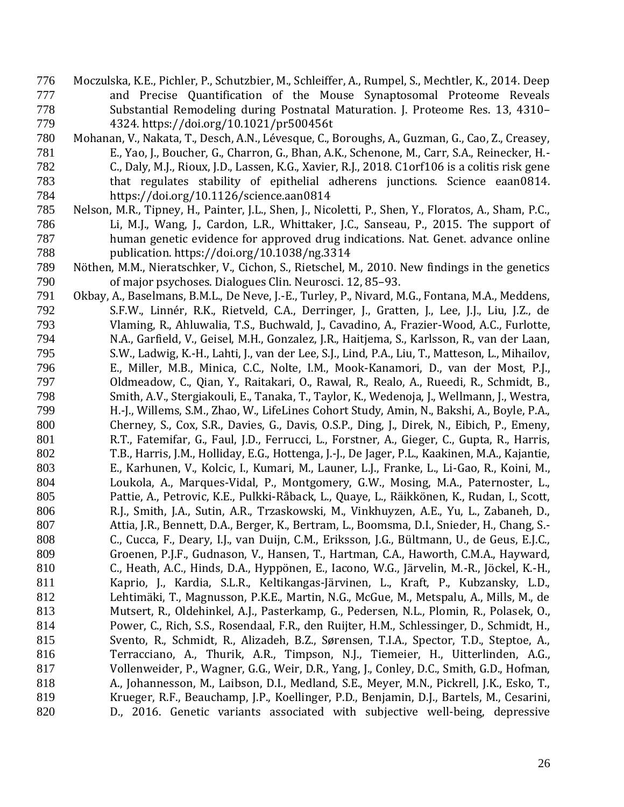- Moczulska, K.E., Pichler, P., Schutzbier, M., Schleiffer, A., Rumpel, S., Mechtler, K., 2014. Deep and Precise Quantification of the Mouse Synaptosomal Proteome Reveals Substantial Remodeling during Postnatal Maturation. J. Proteome Res. 13, 4310– 4324. https://doi.org/10.1021/pr500456t
- Mohanan, V., Nakata, T., Desch, A.N., Lévesque, C., Boroughs, A., Guzman, G., Cao, Z., Creasey, E., Yao, J., Boucher, G., Charron, G., Bhan, A.K., Schenone, M., Carr, S.A., Reinecker, H.- C., Daly, M.J., Rioux, J.D., Lassen, K.G., Xavier, R.J., 2018. C1orf106 is a colitis risk gene that regulates stability of epithelial adherens junctions. Science eaan0814. https://doi.org/10.1126/science.aan0814
- Nelson, M.R., Tipney, H., Painter, J.L., Shen, J., Nicoletti, P., Shen, Y., Floratos, A., Sham, P.C., Li, M.J., Wang, J., Cardon, L.R., Whittaker, J.C., Sanseau, P., 2015. The support of human genetic evidence for approved drug indications. Nat. Genet. advance online publication. https://doi.org/10.1038/ng.3314
- Nöthen, M.M., Nieratschker, V., Cichon, S., Rietschel, M., 2010. New findings in the genetics of major psychoses. Dialogues Clin. Neurosci. 12, 85–93.
- Okbay, A., Baselmans, B.M.L., De Neve, J.-E., Turley, P., Nivard, M.G., Fontana, M.A., Meddens, S.F.W., Linnér, R.K., Rietveld, C.A., Derringer, J., Gratten, J., Lee, J.J., Liu, J.Z., de Vlaming, R., Ahluwalia, T.S., Buchwald, J., Cavadino, A., Frazier-Wood, A.C., Furlotte, N.A., Garfield, V., Geisel, M.H., Gonzalez, J.R., Haitjema, S., Karlsson, R., van der Laan, S.W., Ladwig, K.-H., Lahti, J., van der Lee, S.J., Lind, P.A., Liu, T., Matteson, L., Mihailov, E., Miller, M.B., Minica, C.C., Nolte, I.M., Mook-Kanamori, D., van der Most, P.J., Oldmeadow, C., Qian, Y., Raitakari, O., Rawal, R., Realo, A., Rueedi, R., Schmidt, B., Smith, A.V., Stergiakouli, E., Tanaka, T., Taylor, K., Wedenoja, J., Wellmann, J., Westra, H.-J., Willems, S.M., Zhao, W., LifeLines Cohort Study, Amin, N., Bakshi, A., Boyle, P.A., Cherney, S., Cox, S.R., Davies, G., Davis, O.S.P., Ding, J., Direk, N., Eibich, P., Emeny, R.T., Fatemifar, G., Faul, J.D., Ferrucci, L., Forstner, A., Gieger, C., Gupta, R., Harris, T.B., Harris, J.M., Holliday, E.G., Hottenga, J.-J., De Jager, P.L., Kaakinen, M.A., Kajantie, E., Karhunen, V., Kolcic, I., Kumari, M., Launer, L.J., Franke, L., Li-Gao, R., Koini, M., Loukola, A., Marques-Vidal, P., Montgomery, G.W., Mosing, M.A., Paternoster, L., Pattie, A., Petrovic, K.E., Pulkki-Råback, L., Quaye, L., Räikkönen, K., Rudan, I., Scott, R.J., Smith, J.A., Sutin, A.R., Trzaskowski, M., Vinkhuyzen, A.E., Yu, L., Zabaneh, D., Attia, J.R., Bennett, D.A., Berger, K., Bertram, L., Boomsma, D.I., Snieder, H., Chang, S.- C., Cucca, F., Deary, I.J., van Duijn, C.M., Eriksson, J.G., Bültmann, U., de Geus, E.J.C., Groenen, P.J.F., Gudnason, V., Hansen, T., Hartman, C.A., Haworth, C.M.A., Hayward, C., Heath, A.C., Hinds, D.A., Hyppönen, E., Iacono, W.G., Järvelin, M.-R., Jöckel, K.-H., Kaprio, J., Kardia, S.L.R., Keltikangas-Järvinen, L., Kraft, P., Kubzansky, L.D., Lehtimäki, T., Magnusson, P.K.E., Martin, N.G., McGue, M., Metspalu, A., Mills, M., de Mutsert, R., Oldehinkel, A.J., Pasterkamp, G., Pedersen, N.L., Plomin, R., Polasek, O., Power, C., Rich, S.S., Rosendaal, F.R., den Ruijter, H.M., Schlessinger, D., Schmidt, H., Svento, R., Schmidt, R., Alizadeh, B.Z., Sørensen, T.I.A., Spector, T.D., Steptoe, A., Terracciano, A., Thurik, A.R., Timpson, N.J., Tiemeier, H., Uitterlinden, A.G., Vollenweider, P., Wagner, G.G., Weir, D.R., Yang, J., Conley, D.C., Smith, G.D., Hofman, A., Johannesson, M., Laibson, D.I., Medland, S.E., Meyer, M.N., Pickrell, J.K., Esko, T., Krueger, R.F., Beauchamp, J.P., Koellinger, P.D., Benjamin, D.J., Bartels, M., Cesarini, D., 2016. Genetic variants associated with subjective well-being, depressive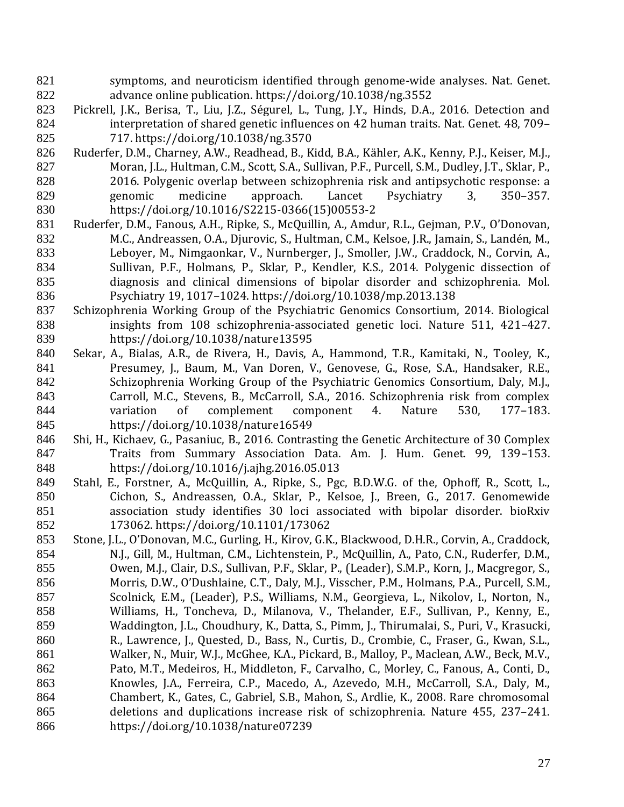- symptoms, and neuroticism identified through genome-wide analyses. Nat. Genet. advance online publication. https://doi.org/10.1038/ng.3552
- Pickrell, J.K., Berisa, T., Liu, J.Z., Ségurel, L., Tung, J.Y., Hinds, D.A., 2016. Detection and interpretation of shared genetic influences on 42 human traits. Nat. Genet. 48, 709– 717. https://doi.org/10.1038/ng.3570
- Ruderfer, D.M., Charney, A.W., Readhead, B., Kidd, B.A., Kähler, A.K., Kenny, P.J., Keiser, M.J., Moran, J.L., Hultman, C.M., Scott, S.A., Sullivan, P.F., Purcell, S.M., Dudley, J.T., Sklar, P., 2016. Polygenic overlap between schizophrenia risk and antipsychotic response: a genomic medicine approach. Lancet Psychiatry 3, 350–357. https://doi.org/10.1016/S2215-0366(15)00553-2
- Ruderfer, D.M., Fanous, A.H., Ripke, S., McQuillin, A., Amdur, R.L., Gejman, P.V., O'Donovan, M.C., Andreassen, O.A., Djurovic, S., Hultman, C.M., Kelsoe, J.R., Jamain, S., Landén, M., Leboyer, M., Nimgaonkar, V., Nurnberger, J., Smoller, J.W., Craddock, N., Corvin, A., Sullivan, P.F., Holmans, P., Sklar, P., Kendler, K.S., 2014. Polygenic dissection of diagnosis and clinical dimensions of bipolar disorder and schizophrenia. Mol. Psychiatry 19, 1017–1024. https://doi.org/10.1038/mp.2013.138
- Schizophrenia Working Group of the Psychiatric Genomics Consortium, 2014. Biological insights from 108 schizophrenia-associated genetic loci. Nature 511, 421–427. https://doi.org/10.1038/nature13595
- Sekar, A., Bialas, A.R., de Rivera, H., Davis, A., Hammond, T.R., Kamitaki, N., Tooley, K., Presumey, J., Baum, M., Van Doren, V., Genovese, G., Rose, S.A., Handsaker, R.E., Schizophrenia Working Group of the Psychiatric Genomics Consortium, Daly, M.J., Carroll, M.C., Stevens, B., McCarroll, S.A., 2016. Schizophrenia risk from complex variation of complement component 4. Nature 530, 177–183. https://doi.org/10.1038/nature16549
- Shi, H., Kichaev, G., Pasaniuc, B., 2016. Contrasting the Genetic Architecture of 30 Complex Traits from Summary Association Data. Am. J. Hum. Genet. 99, 139–153. https://doi.org/10.1016/j.ajhg.2016.05.013
- Stahl, E., Forstner, A., McQuillin, A., Ripke, S., Pgc, B.D.W.G. of the, Ophoff, R., Scott, L., Cichon, S., Andreassen, O.A., Sklar, P., Kelsoe, J., Breen, G., 2017. Genomewide association study identifies 30 loci associated with bipolar disorder. bioRxiv 173062. https://doi.org/10.1101/173062
- Stone, J.L., O'Donovan, M.C., Gurling, H., Kirov, G.K., Blackwood, D.H.R., Corvin, A., Craddock, N.J., Gill, M., Hultman, C.M., Lichtenstein, P., McQuillin, A., Pato, C.N., Ruderfer, D.M., Owen, M.J., Clair, D.S., Sullivan, P.F., Sklar, P., (Leader), S.M.P., Korn, J., Macgregor, S., Morris, D.W., O'Dushlaine, C.T., Daly, M.J., Visscher, P.M., Holmans, P.A., Purcell, S.M., Scolnick, E.M., (Leader), P.S., Williams, N.M., Georgieva, L., Nikolov, I., Norton, N., Williams, H., Toncheva, D., Milanova, V., Thelander, E.F., Sullivan, P., Kenny, E., Waddington, J.L., Choudhury, K., Datta, S., Pimm, J., Thirumalai, S., Puri, V., Krasucki, R., Lawrence, J., Quested, D., Bass, N., Curtis, D., Crombie, C., Fraser, G., Kwan, S.L., Walker, N., Muir, W.J., McGhee, K.A., Pickard, B., Malloy, P., Maclean, A.W., Beck, M.V., Pato, M.T., Medeiros, H., Middleton, F., Carvalho, C., Morley, C., Fanous, A., Conti, D., Knowles, J.A., Ferreira, C.P., Macedo, A., Azevedo, M.H., McCarroll, S.A., Daly, M., Chambert, K., Gates, C., Gabriel, S.B., Mahon, S., Ardlie, K., 2008. Rare chromosomal deletions and duplications increase risk of schizophrenia. Nature 455, 237–241. https://doi.org/10.1038/nature07239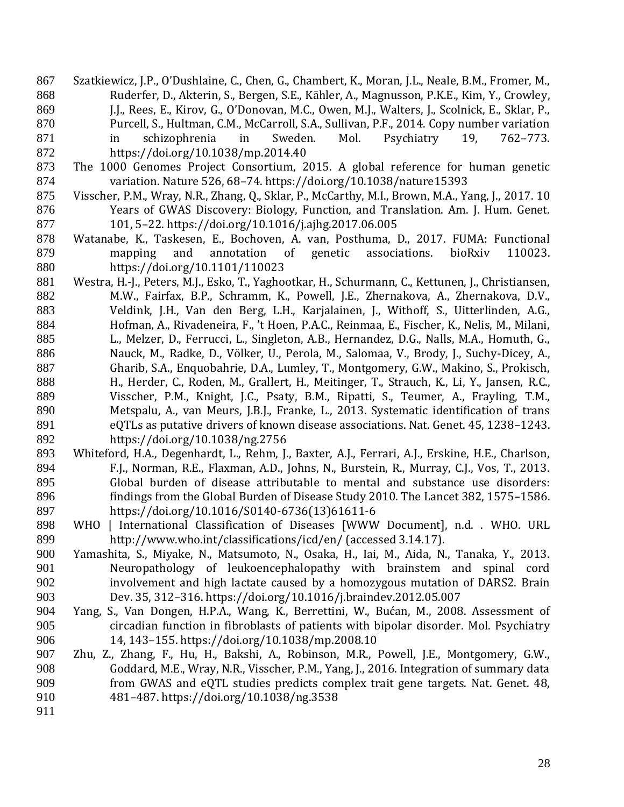- Szatkiewicz, J.P., O'Dushlaine, C., Chen, G., Chambert, K., Moran, J.L., Neale, B.M., Fromer, M., Ruderfer, D., Akterin, S., Bergen, S.E., Kähler, A., Magnusson, P.K.E., Kim, Y., Crowley, 869 J.J., Rees, E., Kirov, G., O'Donovan, M.C., Owen, M.J., Walters, J., Scolnick, E., Sklar, P., Purcell, S., Hultman, C.M., McCarroll, S.A., Sullivan, P.F., 2014. Copy number variation in schizophrenia in Sweden. Mol. Psychiatry 19, 762–773. https://doi.org/10.1038/mp.2014.40
- The 1000 Genomes Project Consortium, 2015. A global reference for human genetic variation. Nature 526, 68–74. https://doi.org/10.1038/nature15393
- Visscher, P.M., Wray, N.R., Zhang, Q., Sklar, P., McCarthy, M.I., Brown, M.A., Yang, J., 2017. 10 Years of GWAS Discovery: Biology, Function, and Translation. Am. J. Hum. Genet. 101, 5–22. https://doi.org/10.1016/j.ajhg.2017.06.005
- Watanabe, K., Taskesen, E., Bochoven, A. van, Posthuma, D., 2017. FUMA: Functional mapping and annotation of genetic associations. bioRxiv 110023. https://doi.org/10.1101/110023
- Westra, H.-J., Peters, M.J., Esko, T., Yaghootkar, H., Schurmann, C., Kettunen, J., Christiansen, M.W., Fairfax, B.P., Schramm, K., Powell, J.E., Zhernakova, A., Zhernakova, D.V., Veldink, J.H., Van den Berg, L.H., Karjalainen, J., Withoff, S., Uitterlinden, A.G., Hofman, A., Rivadeneira, F., 't Hoen, P.A.C., Reinmaa, E., Fischer, K., Nelis, M., Milani, L., Melzer, D., Ferrucci, L., Singleton, A.B., Hernandez, D.G., Nalls, M.A., Homuth, G., Nauck, M., Radke, D., Völker, U., Perola, M., Salomaa, V., Brody, J., Suchy-Dicey, A., Gharib, S.A., Enquobahrie, D.A., Lumley, T., Montgomery, G.W., Makino, S., Prokisch, H., Herder, C., Roden, M., Grallert, H., Meitinger, T., Strauch, K., Li, Y., Jansen, R.C., Visscher, P.M., Knight, J.C., Psaty, B.M., Ripatti, S., Teumer, A., Frayling, T.M., Metspalu, A., van Meurs, J.B.J., Franke, L., 2013. Systematic identification of trans eQTLs as putative drivers of known disease associations. Nat. Genet. 45, 1238–1243. https://doi.org/10.1038/ng.2756
- Whiteford, H.A., Degenhardt, L., Rehm, J., Baxter, A.J., Ferrari, A.J., Erskine, H.E., Charlson, F.J., Norman, R.E., Flaxman, A.D., Johns, N., Burstein, R., Murray, C.J., Vos, T., 2013. Global burden of disease attributable to mental and substance use disorders: findings from the Global Burden of Disease Study 2010. The Lancet 382, 1575–1586. https://doi.org/10.1016/S0140-6736(13)61611-6
- WHO | International Classification of Diseases [WWW Document], n.d. . WHO. URL http://www.who.int/classifications/icd/en/ (accessed 3.14.17).
- Yamashita, S., Miyake, N., Matsumoto, N., Osaka, H., Iai, M., Aida, N., Tanaka, Y., 2013. Neuropathology of leukoencephalopathy with brainstem and spinal cord involvement and high lactate caused by a homozygous mutation of DARS2. Brain Dev. 35, 312–316. https://doi.org/10.1016/j.braindev.2012.05.007
- Yang, S., Van Dongen, H.P.A., Wang, K., Berrettini, W., Bućan, M., 2008. Assessment of circadian function in fibroblasts of patients with bipolar disorder. Mol. Psychiatry 14, 143–155. https://doi.org/10.1038/mp.2008.10
- Zhu, Z., Zhang, F., Hu, H., Bakshi, A., Robinson, M.R., Powell, J.E., Montgomery, G.W., Goddard, M.E., Wray, N.R., Visscher, P.M., Yang, J., 2016. Integration of summary data from GWAS and eQTL studies predicts complex trait gene targets. Nat. Genet. 48, 481–487. https://doi.org/10.1038/ng.3538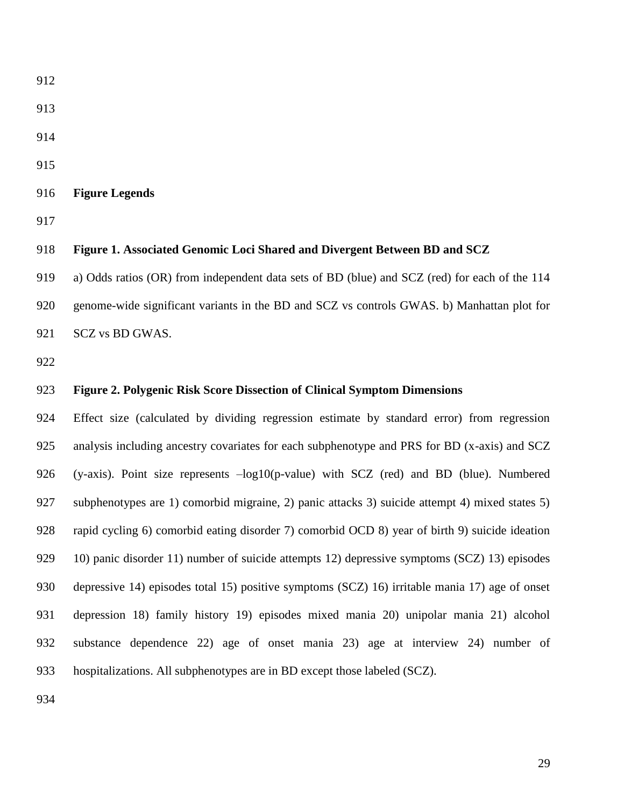- 
- 
- 
- 
- **Figure Legends**
- 

# **Figure 1. Associated Genomic Loci Shared and Divergent Between BD and SCZ**

a) Odds ratios (OR) from independent data sets of BD (blue) and SCZ (red) for each of the 114

genome-wide significant variants in the BD and SCZ vs controls GWAS. b) Manhattan plot for

SCZ vs BD GWAS.

# **Figure 2. Polygenic Risk Score Dissection of Clinical Symptom Dimensions**

 Effect size (calculated by dividing regression estimate by standard error) from regression analysis including ancestry covariates for each subphenotype and PRS for BD (x-axis) and SCZ (y-axis). Point size represents –log10(p-value) with SCZ (red) and BD (blue). Numbered subphenotypes are 1) comorbid migraine, 2) panic attacks 3) suicide attempt 4) mixed states 5) rapid cycling 6) comorbid eating disorder 7) comorbid OCD 8) year of birth 9) suicide ideation 10) panic disorder 11) number of suicide attempts 12) depressive symptoms (SCZ) 13) episodes depressive 14) episodes total 15) positive symptoms (SCZ) 16) irritable mania 17) age of onset depression 18) family history 19) episodes mixed mania 20) unipolar mania 21) alcohol substance dependence 22) age of onset mania 23) age at interview 24) number of hospitalizations. All subphenotypes are in BD except those labeled (SCZ).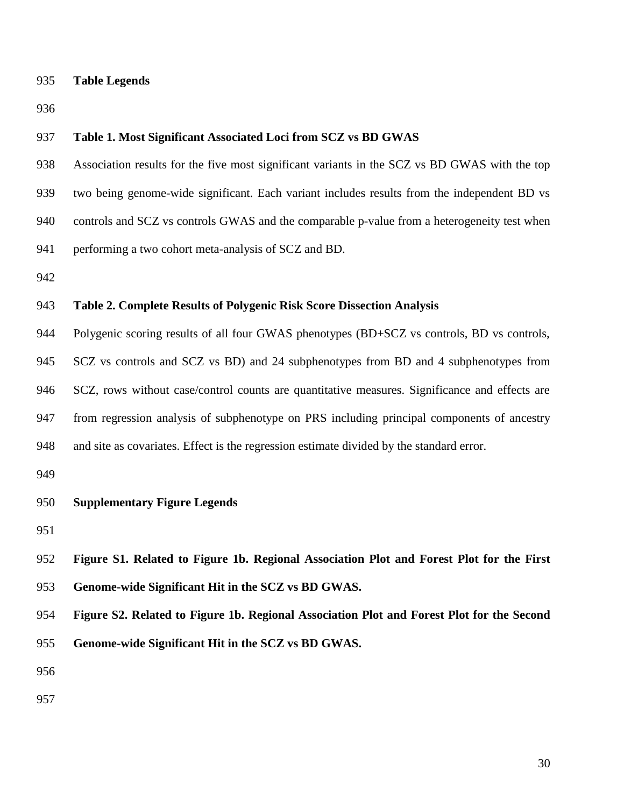| 935 | <b>Table Legends</b> |
|-----|----------------------|
|     |                      |

| 937 | Table 1. Most Significant Associated Loci from SCZ vs BD GWAS                                 |
|-----|-----------------------------------------------------------------------------------------------|
| 938 | Association results for the five most significant variants in the SCZ vs BD GWAS with the top |
| 939 | two being genome-wide significant. Each variant includes results from the independent BD vs   |
| 940 | controls and SCZ vs controls GWAS and the comparable p-value from a heterogeneity test when   |
| 941 | performing a two cohort meta-analysis of SCZ and BD.                                          |
| 942 |                                                                                               |
| 943 | Table 2. Complete Results of Polygenic Risk Score Dissection Analysis                         |
| 944 | Polygenic scoring results of all four GWAS phenotypes (BD+SCZ vs controls, BD vs controls,    |
| 945 | SCZ vs controls and SCZ vs BD) and 24 subphenotypes from BD and 4 subphenotypes from          |
| 946 | SCZ, rows without case/control counts are quantitative measures. Significance and effects are |
| 947 | from regression analysis of subphenotype on PRS including principal components of ancestry    |
| 948 | and site as covariates. Effect is the regression estimate divided by the standard error.      |
| 949 |                                                                                               |
| 950 | <b>Supplementary Figure Legends</b>                                                           |
| 951 |                                                                                               |
| 952 | Figure S1. Related to Figure 1b. Regional Association Plot and Forest Plot for the First      |
| 953 | Genome-wide Significant Hit in the SCZ vs BD GWAS.                                            |
| 954 | Figure S2. Related to Figure 1b. Regional Association Plot and Forest Plot for the Second     |
| 955 | Genome-wide Significant Hit in the SCZ vs BD GWAS.                                            |
| 956 |                                                                                               |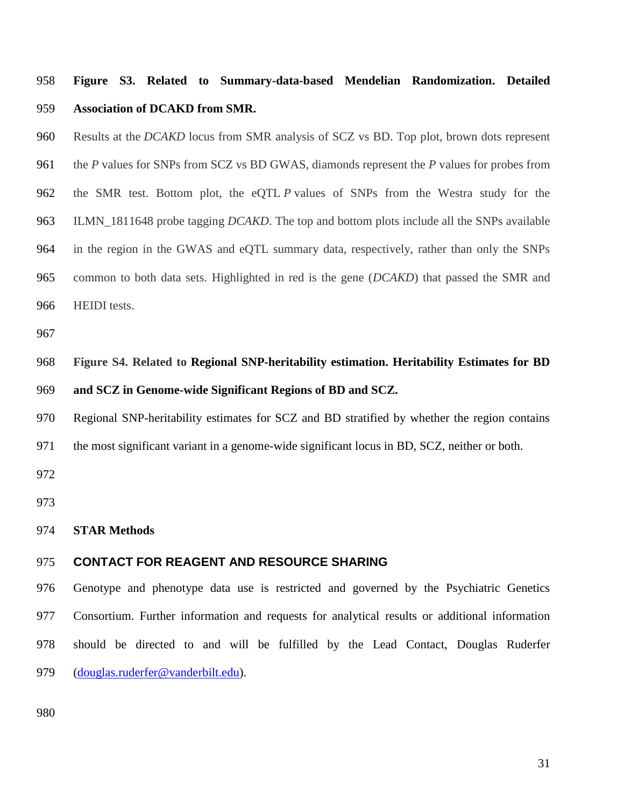**Figure S3. Related to Summary-data-based Mendelian Randomization. Detailed Association of DCAKD from SMR.**

 Results at the *DCAKD* locus from SMR analysis of SCZ vs BD. Top plot, brown dots represent the *P* values for SNPs from SCZ vs BD GWAS, diamonds represent the *P* values for probes from the SMR test. Bottom plot, the eQTL *P* values of SNPs from the Westra study for the ILMN\_1811648 probe tagging *DCAKD*. The top and bottom plots include all the SNPs available in the region in the GWAS and eQTL summary data, respectively, rather than only the SNPs common to both data sets. Highlighted in red is the gene (*DCAKD*) that passed the SMR and HEIDI tests.

 **Figure S4. Related to Regional SNP-heritability estimation. Heritability Estimates for BD and SCZ in Genome-wide Significant Regions of BD and SCZ.**

Regional SNP-heritability estimates for SCZ and BD stratified by whether the region contains

971 the most significant variant in a genome-wide significant locus in BD, SCZ, neither or both.

**STAR Methods**

# **CONTACT FOR REAGENT AND RESOURCE SHARING**

 Genotype and phenotype data use is restricted and governed by the Psychiatric Genetics Consortium. Further information and requests for analytical results or additional information should be directed to and will be fulfilled by the Lead Contact, Douglas Ruderfer [\(douglas.ruderfer@vanderbilt.edu\)](mailto:douglas.ruderfer@vanderbilt.edu).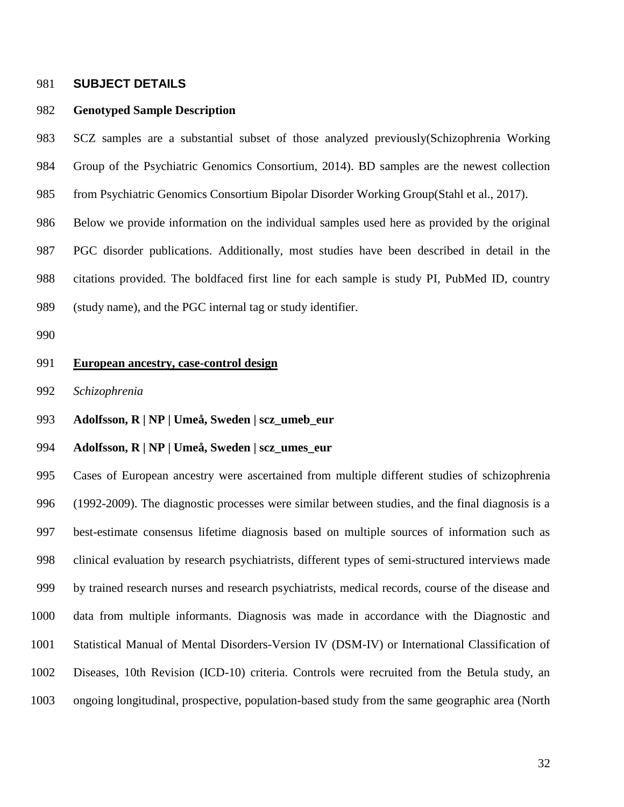#### **SUBJECT DETAILS**

#### **Genotyped Sample Description**

SCZ samples are a substantial subset of those analyzed previously(Schizophrenia Working

- Group of the Psychiatric Genomics Consortium, 2014). BD samples are the newest collection
- 985 from Psychiatric Genomics Consortium Bipolar Disorder Working Group(Stahl et al., 2017).

 Below we provide information on the individual samples used here as provided by the original PGC disorder publications. Additionally, most studies have been described in detail in the citations provided. The boldfaced first line for each sample is study PI, PubMed ID, country

- (study name), and the PGC internal tag or study identifier.
- 

#### **European ancestry, case-control design**

- *Schizophrenia*
- **Adolfsson, R | NP | Umeå, Sweden | scz\_umeb\_eur**

#### **Adolfsson, R | NP | Umeå, Sweden | scz\_umes\_eur**

 Cases of European ancestry were ascertained from multiple different studies of schizophrenia (1992-2009). The diagnostic processes were similar between studies, and the final diagnosis is a best-estimate consensus lifetime diagnosis based on multiple sources of information such as clinical evaluation by research psychiatrists, different types of semi-structured interviews made by trained research nurses and research psychiatrists, medical records, course of the disease and data from multiple informants. Diagnosis was made in accordance with the Diagnostic and Statistical Manual of Mental Disorders-Version IV (DSM-IV) or International Classification of Diseases, 10th Revision (ICD-10) criteria. Controls were recruited from the Betula study, an ongoing longitudinal, prospective, population-based study from the same geographic area (North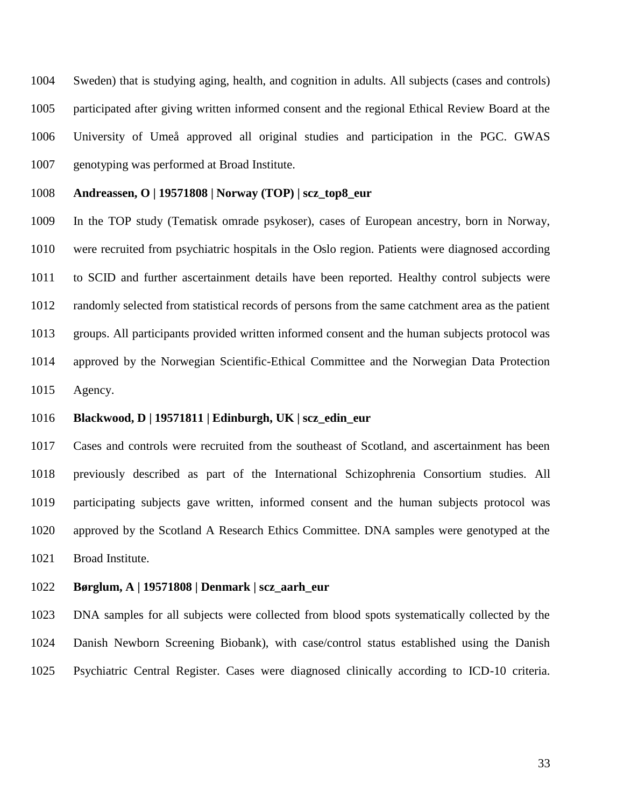Sweden) that is studying aging, health, and cognition in adults. All subjects (cases and controls) participated after giving written informed consent and the regional Ethical Review Board at the University of Umeå approved all original studies and participation in the PGC. GWAS genotyping was performed at Broad Institute.

# **Andreassen, O | 19571808 | Norway (TOP) | scz\_top8\_eur**

 In the TOP study (Tematisk omrade psykoser), cases of European ancestry, born in Norway, were recruited from psychiatric hospitals in the Oslo region. Patients were diagnosed according to SCID and further ascertainment details have been reported. Healthy control subjects were randomly selected from statistical records of persons from the same catchment area as the patient groups. All participants provided written informed consent and the human subjects protocol was approved by the Norwegian Scientific-Ethical Committee and the Norwegian Data Protection Agency.

# **Blackwood, D | 19571811 | Edinburgh, UK | scz\_edin\_eur**

 Cases and controls were recruited from the southeast of Scotland, and ascertainment has been previously described as part of the International Schizophrenia Consortium studies. All participating subjects gave written, informed consent and the human subjects protocol was approved by the Scotland A Research Ethics Committee. DNA samples were genotyped at the Broad Institute.

#### **Børglum, A | 19571808 | Denmark | scz\_aarh\_eur**

 DNA samples for all subjects were collected from blood spots systematically collected by the Danish Newborn Screening Biobank), with case/control status established using the Danish Psychiatric Central Register. Cases were diagnosed clinically according to ICD-10 criteria.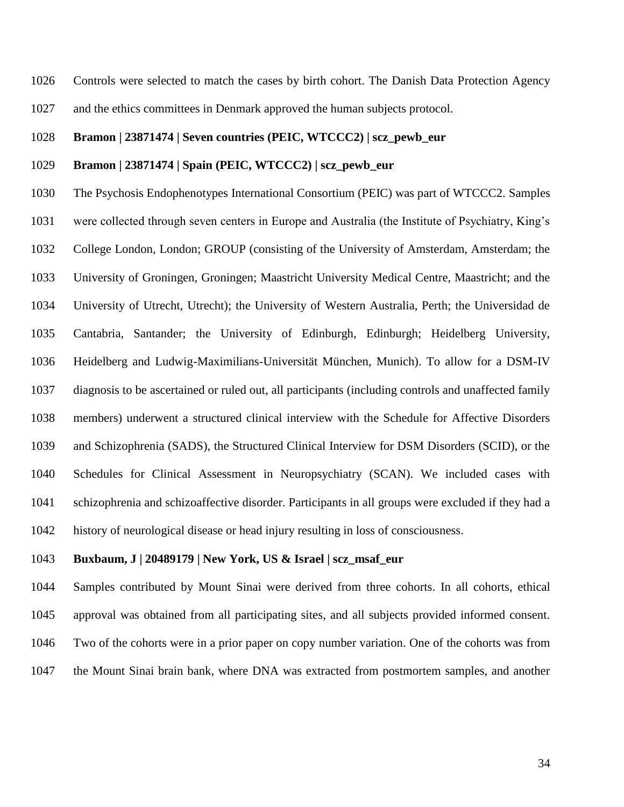Controls were selected to match the cases by birth cohort. The Danish Data Protection Agency and the ethics committees in Denmark approved the human subjects protocol.

### **Bramon | 23871474 | Seven countries (PEIC, WTCCC2) | scz\_pewb\_eur**

#### **Bramon | 23871474 | Spain (PEIC, WTCCC2) | scz\_pewb\_eur**

 The Psychosis Endophenotypes International Consortium (PEIC) was part of WTCCC2. Samples were collected through seven centers in Europe and Australia (the Institute of Psychiatry, King's College London, London; GROUP (consisting of the University of Amsterdam, Amsterdam; the University of Groningen, Groningen; Maastricht University Medical Centre, Maastricht; and the University of Utrecht, Utrecht); the University of Western Australia, Perth; the Universidad de Cantabria, Santander; the University of Edinburgh, Edinburgh; Heidelberg University, Heidelberg and Ludwig-Maximilians-Universität München, Munich). To allow for a DSM-IV diagnosis to be ascertained or ruled out, all participants (including controls and unaffected family members) underwent a structured clinical interview with the Schedule for Affective Disorders and Schizophrenia (SADS), the Structured Clinical Interview for DSM Disorders (SCID), or the Schedules for Clinical Assessment in Neuropsychiatry (SCAN). We included cases with schizophrenia and schizoaffective disorder. Participants in all groups were excluded if they had a history of neurological disease or head injury resulting in loss of consciousness.

#### **Buxbaum, J | 20489179 | New York, US & Israel | scz\_msaf\_eur**

 Samples contributed by Mount Sinai were derived from three cohorts. In all cohorts, ethical approval was obtained from all participating sites, and all subjects provided informed consent. Two of the cohorts were in a prior paper on copy number variation. One of the cohorts was from the Mount Sinai brain bank, where DNA was extracted from postmortem samples, and another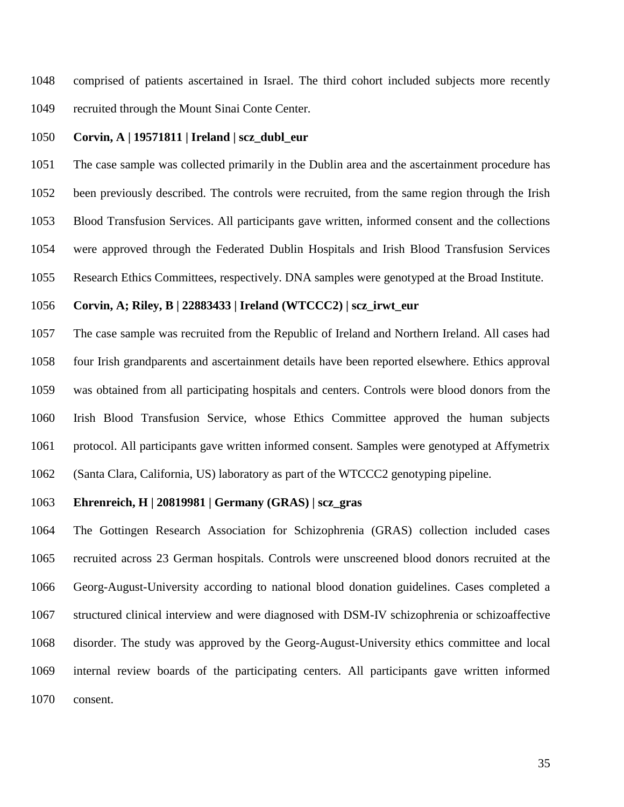comprised of patients ascertained in Israel. The third cohort included subjects more recently recruited through the Mount Sinai Conte Center.

### **Corvin, A | 19571811 | Ireland | scz\_dubl\_eur**

 The case sample was collected primarily in the Dublin area and the ascertainment procedure has been previously described. The controls were recruited, from the same region through the Irish Blood Transfusion Services. All participants gave written, informed consent and the collections were approved through the Federated Dublin Hospitals and Irish Blood Transfusion Services Research Ethics Committees, respectively. DNA samples were genotyped at the Broad Institute.

#### **Corvin, A; Riley, B | 22883433 | Ireland (WTCCC2) | scz\_irwt\_eur**

 The case sample was recruited from the Republic of Ireland and Northern Ireland. All cases had four Irish grandparents and ascertainment details have been reported elsewhere. Ethics approval was obtained from all participating hospitals and centers. Controls were blood donors from the Irish Blood Transfusion Service, whose Ethics Committee approved the human subjects protocol. All participants gave written informed consent. Samples were genotyped at Affymetrix (Santa Clara, California, US) laboratory as part of the WTCCC2 genotyping pipeline.

### **Ehrenreich, H | 20819981 | Germany (GRAS) | scz\_gras**

 The Gottingen Research Association for Schizophrenia (GRAS) collection included cases recruited across 23 German hospitals. Controls were unscreened blood donors recruited at the Georg-August-University according to national blood donation guidelines. Cases completed a structured clinical interview and were diagnosed with DSM-IV schizophrenia or schizoaffective disorder. The study was approved by the Georg-August-University ethics committee and local internal review boards of the participating centers. All participants gave written informed consent.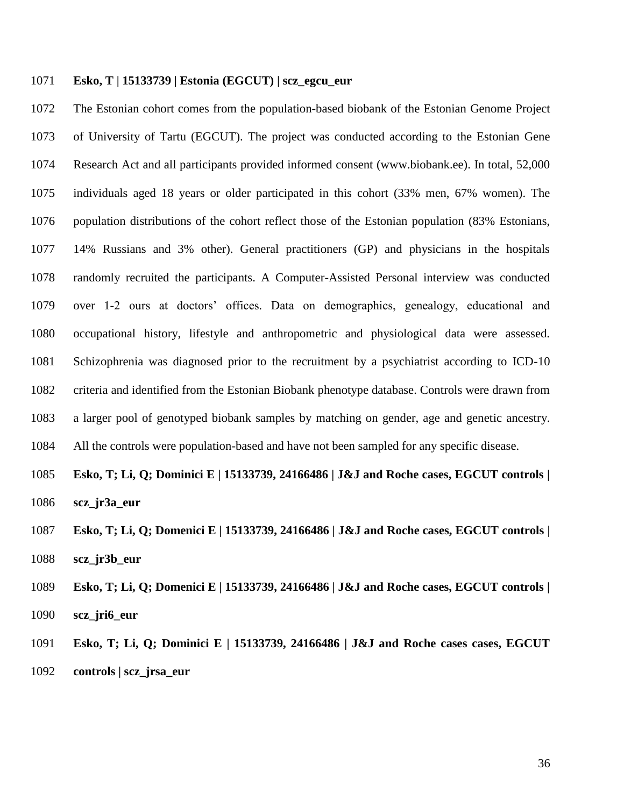### **Esko, T | 15133739 | Estonia (EGCUT) | scz\_egcu\_eur**

 The Estonian cohort comes from the population-based biobank of the Estonian Genome Project of University of Tartu (EGCUT). The project was conducted according to the Estonian Gene Research Act and all participants provided informed consent (www.biobank.ee). In total, 52,000 individuals aged 18 years or older participated in this cohort (33% men, 67% women). The population distributions of the cohort reflect those of the Estonian population (83% Estonians, 14% Russians and 3% other). General practitioners (GP) and physicians in the hospitals randomly recruited the participants. A Computer-Assisted Personal interview was conducted over 1-2 ours at doctors' offices. Data on demographics, genealogy, educational and occupational history, lifestyle and anthropometric and physiological data were assessed. Schizophrenia was diagnosed prior to the recruitment by a psychiatrist according to ICD-10 criteria and identified from the Estonian Biobank phenotype database. Controls were drawn from a larger pool of genotyped biobank samples by matching on gender, age and genetic ancestry. All the controls were population-based and have not been sampled for any specific disease.

 **Esko, T; Li, Q; Dominici E | 15133739, 24166486 | J&J and Roche cases, EGCUT controls | scz\_jr3a\_eur** 

 **Esko, T; Li, Q; Domenici E | 15133739, 24166486 | J&J and Roche cases, EGCUT controls | scz\_jr3b\_eur** 

- **Esko, T; Li, Q; Domenici E | 15133739, 24166486 | J&J and Roche cases, EGCUT controls | scz\_jri6\_eur**
- **Esko, T; Li, Q; Dominici E | 15133739, 24166486 | J&J and Roche cases cases, EGCUT controls | scz\_jrsa\_eur**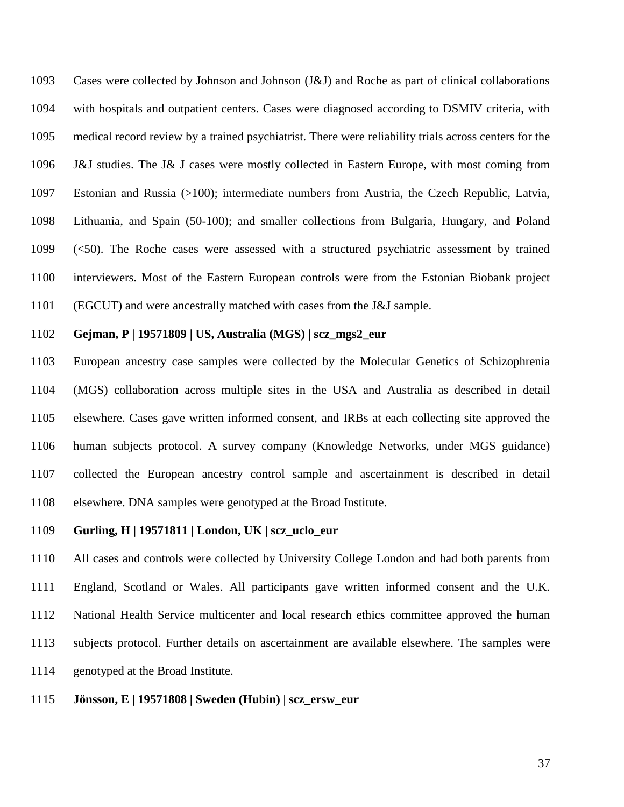Cases were collected by Johnson and Johnson (J&J) and Roche as part of clinical collaborations with hospitals and outpatient centers. Cases were diagnosed according to DSMIV criteria, with medical record review by a trained psychiatrist. There were reliability trials across centers for the J&J studies. The J& J cases were mostly collected in Eastern Europe, with most coming from Estonian and Russia (>100); intermediate numbers from Austria, the Czech Republic, Latvia, Lithuania, and Spain (50-100); and smaller collections from Bulgaria, Hungary, and Poland (<50). The Roche cases were assessed with a structured psychiatric assessment by trained interviewers. Most of the Eastern European controls were from the Estonian Biobank project (EGCUT) and were ancestrally matched with cases from the J&J sample.

#### **Gejman, P | 19571809 | US, Australia (MGS) | scz\_mgs2\_eur**

 European ancestry case samples were collected by the Molecular Genetics of Schizophrenia (MGS) collaboration across multiple sites in the USA and Australia as described in detail elsewhere. Cases gave written informed consent, and IRBs at each collecting site approved the human subjects protocol. A survey company (Knowledge Networks, under MGS guidance) collected the European ancestry control sample and ascertainment is described in detail elsewhere. DNA samples were genotyped at the Broad Institute.

## **Gurling, H | 19571811 | London, UK | scz\_uclo\_eur**

 All cases and controls were collected by University College London and had both parents from England, Scotland or Wales. All participants gave written informed consent and the U.K. National Health Service multicenter and local research ethics committee approved the human subjects protocol. Further details on ascertainment are available elsewhere. The samples were genotyped at the Broad Institute.

# **Jönsson, E | 19571808 | Sweden (Hubin) | scz\_ersw\_eur**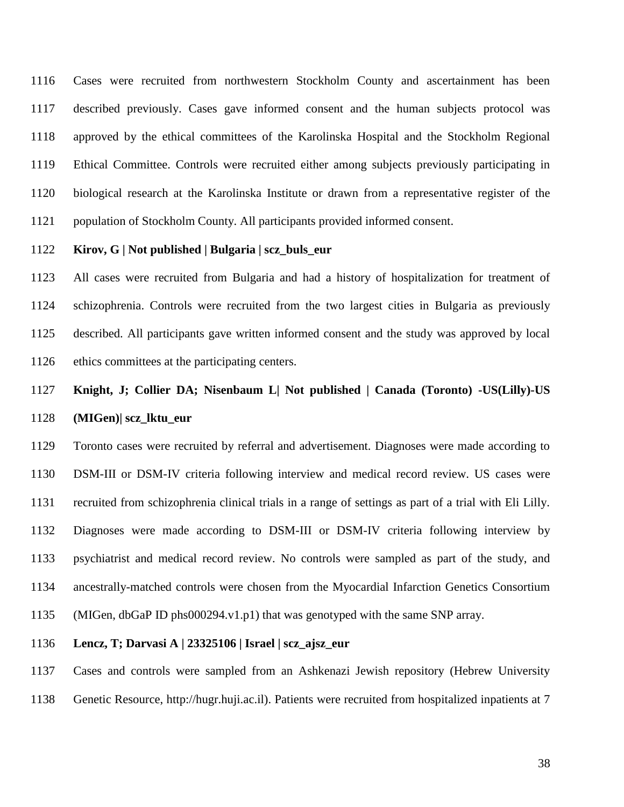Cases were recruited from northwestern Stockholm County and ascertainment has been described previously. Cases gave informed consent and the human subjects protocol was approved by the ethical committees of the Karolinska Hospital and the Stockholm Regional Ethical Committee. Controls were recruited either among subjects previously participating in biological research at the Karolinska Institute or drawn from a representative register of the population of Stockholm County. All participants provided informed consent.

# **Kirov, G | Not published | Bulgaria | scz\_buls\_eur**

 All cases were recruited from Bulgaria and had a history of hospitalization for treatment of schizophrenia. Controls were recruited from the two largest cities in Bulgaria as previously described. All participants gave written informed consent and the study was approved by local ethics committees at the participating centers.

# **Knight, J; Collier DA; Nisenbaum L| Not published | Canada (Toronto) -US(Lilly)-US (MIGen)| scz\_lktu\_eur**

 Toronto cases were recruited by referral and advertisement. Diagnoses were made according to DSM-III or DSM-IV criteria following interview and medical record review. US cases were recruited from schizophrenia clinical trials in a range of settings as part of a trial with Eli Lilly. Diagnoses were made according to DSM-III or DSM-IV criteria following interview by psychiatrist and medical record review. No controls were sampled as part of the study, and ancestrally-matched controls were chosen from the Myocardial Infarction Genetics Consortium (MIGen, dbGaP ID phs000294.v1.p1) that was genotyped with the same SNP array.

#### **Lencz, T; Darvasi A | 23325106 | Israel | scz\_ajsz\_eur**

Cases and controls were sampled from an Ashkenazi Jewish repository (Hebrew University

Genetic Resource, http://hugr.huji.ac.il). Patients were recruited from hospitalized inpatients at 7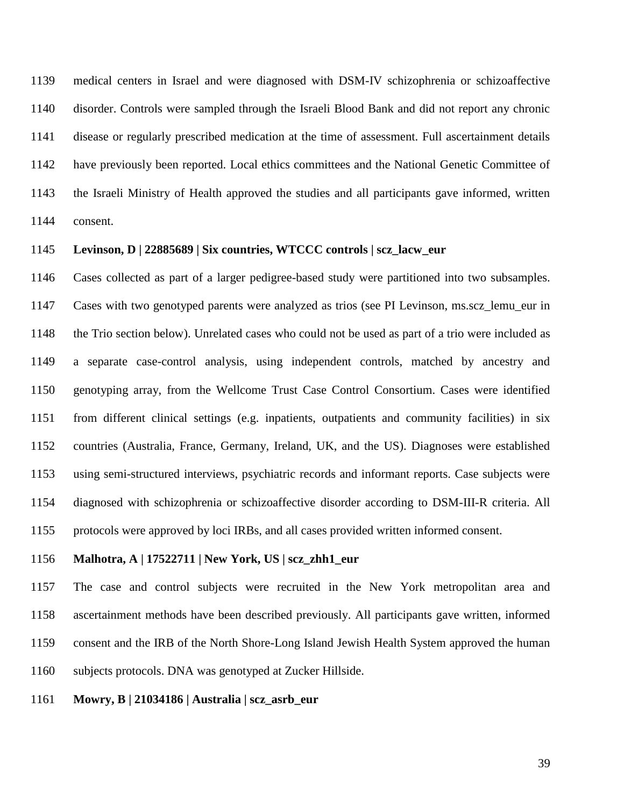medical centers in Israel and were diagnosed with DSM-IV schizophrenia or schizoaffective disorder. Controls were sampled through the Israeli Blood Bank and did not report any chronic disease or regularly prescribed medication at the time of assessment. Full ascertainment details have previously been reported. Local ethics committees and the National Genetic Committee of the Israeli Ministry of Health approved the studies and all participants gave informed, written consent.

# **Levinson, D | 22885689 | Six countries, WTCCC controls | scz\_lacw\_eur**

 Cases collected as part of a larger pedigree-based study were partitioned into two subsamples. Cases with two genotyped parents were analyzed as trios (see PI Levinson, ms.scz\_lemu\_eur in the Trio section below). Unrelated cases who could not be used as part of a trio were included as a separate case-control analysis, using independent controls, matched by ancestry and genotyping array, from the Wellcome Trust Case Control Consortium. Cases were identified from different clinical settings (e.g. inpatients, outpatients and community facilities) in six countries (Australia, France, Germany, Ireland, UK, and the US). Diagnoses were established using semi-structured interviews, psychiatric records and informant reports. Case subjects were diagnosed with schizophrenia or schizoaffective disorder according to DSM-III-R criteria. All protocols were approved by loci IRBs, and all cases provided written informed consent.

#### **Malhotra, A | 17522711 | New York, US | scz\_zhh1\_eur**

 The case and control subjects were recruited in the New York metropolitan area and ascertainment methods have been described previously. All participants gave written, informed consent and the IRB of the North Shore-Long Island Jewish Health System approved the human subjects protocols. DNA was genotyped at Zucker Hillside.

#### **Mowry, B | 21034186 | Australia | scz\_asrb\_eur**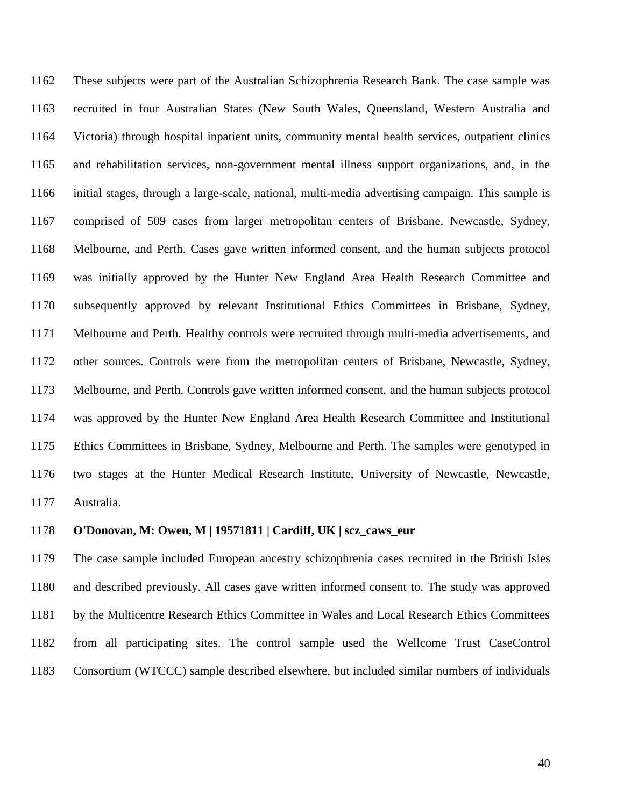These subjects were part of the Australian Schizophrenia Research Bank. The case sample was recruited in four Australian States (New South Wales, Queensland, Western Australia and Victoria) through hospital inpatient units, community mental health services, outpatient clinics and rehabilitation services, non-government mental illness support organizations, and, in the initial stages, through a large-scale, national, multi-media advertising campaign. This sample is comprised of 509 cases from larger metropolitan centers of Brisbane, Newcastle, Sydney, Melbourne, and Perth. Cases gave written informed consent, and the human subjects protocol was initially approved by the Hunter New England Area Health Research Committee and subsequently approved by relevant Institutional Ethics Committees in Brisbane, Sydney, Melbourne and Perth. Healthy controls were recruited through multi-media advertisements, and other sources. Controls were from the metropolitan centers of Brisbane, Newcastle, Sydney, Melbourne, and Perth. Controls gave written informed consent, and the human subjects protocol was approved by the Hunter New England Area Health Research Committee and Institutional Ethics Committees in Brisbane, Sydney, Melbourne and Perth. The samples were genotyped in two stages at the Hunter Medical Research Institute, University of Newcastle, Newcastle, Australia.

#### **O'Donovan, M: Owen, M | 19571811 | Cardiff, UK | scz\_caws\_eur**

 The case sample included European ancestry schizophrenia cases recruited in the British Isles and described previously. All cases gave written informed consent to. The study was approved by the Multicentre Research Ethics Committee in Wales and Local Research Ethics Committees from all participating sites. The control sample used the Wellcome Trust CaseControl Consortium (WTCCC) sample described elsewhere, but included similar numbers of individuals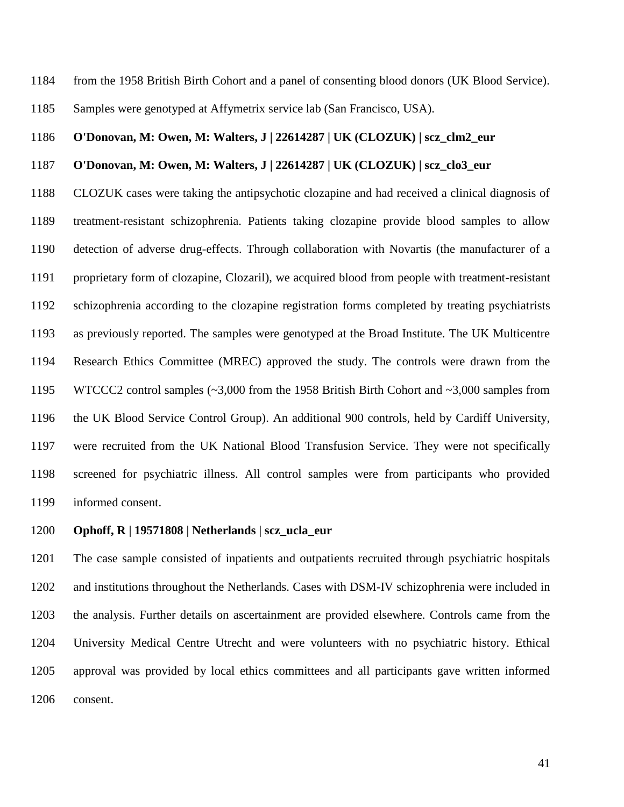from the 1958 British Birth Cohort and a panel of consenting blood donors (UK Blood Service).

Samples were genotyped at Affymetrix service lab (San Francisco, USA).

# **O'Donovan, M: Owen, M: Walters, J | 22614287 | UK (CLOZUK) | scz\_clm2\_eur**

#### **O'Donovan, M: Owen, M: Walters, J | 22614287 | UK (CLOZUK) | scz\_clo3\_eur**

 CLOZUK cases were taking the antipsychotic clozapine and had received a clinical diagnosis of treatment-resistant schizophrenia. Patients taking clozapine provide blood samples to allow detection of adverse drug-effects. Through collaboration with Novartis (the manufacturer of a proprietary form of clozapine, Clozaril), we acquired blood from people with treatment-resistant schizophrenia according to the clozapine registration forms completed by treating psychiatrists as previously reported. The samples were genotyped at the Broad Institute. The UK Multicentre Research Ethics Committee (MREC) approved the study. The controls were drawn from the WTCCC2 control samples (~3,000 from the 1958 British Birth Cohort and ~3,000 samples from the UK Blood Service Control Group). An additional 900 controls, held by Cardiff University, were recruited from the UK National Blood Transfusion Service. They were not specifically screened for psychiatric illness. All control samples were from participants who provided informed consent.

#### **Ophoff, R | 19571808 | Netherlands | scz\_ucla\_eur**

 The case sample consisted of inpatients and outpatients recruited through psychiatric hospitals and institutions throughout the Netherlands. Cases with DSM-IV schizophrenia were included in the analysis. Further details on ascertainment are provided elsewhere. Controls came from the University Medical Centre Utrecht and were volunteers with no psychiatric history. Ethical approval was provided by local ethics committees and all participants gave written informed consent.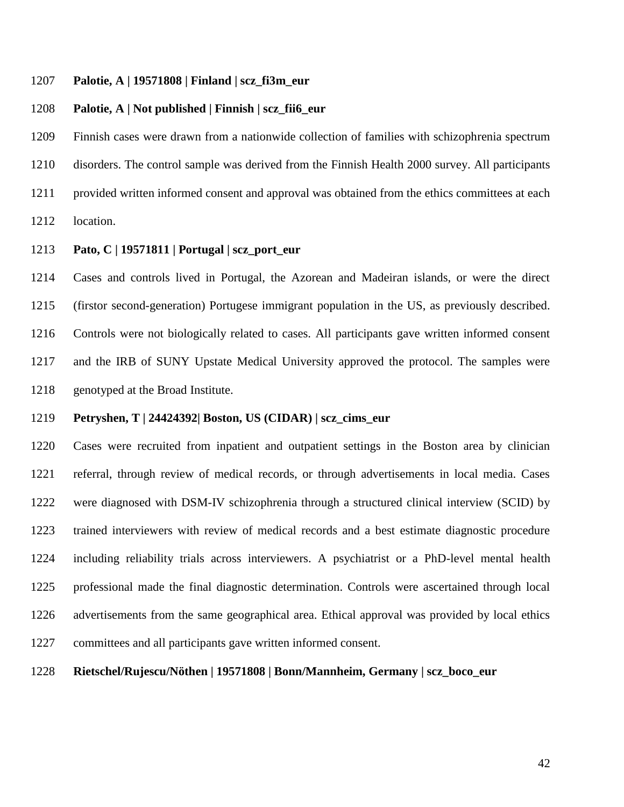#### **Palotie, A | 19571808 | Finland | scz\_fi3m\_eur**

### **Palotie, A | Not published | Finnish | scz\_fii6\_eur**

 Finnish cases were drawn from a nationwide collection of families with schizophrenia spectrum disorders. The control sample was derived from the Finnish Health 2000 survey. All participants provided written informed consent and approval was obtained from the ethics committees at each

location.

**Pato, C | 19571811 | Portugal | scz\_port\_eur** 

 Cases and controls lived in Portugal, the Azorean and Madeiran islands, or were the direct (firstor second-generation) Portugese immigrant population in the US, as previously described. Controls were not biologically related to cases. All participants gave written informed consent and the IRB of SUNY Upstate Medical University approved the protocol. The samples were genotyped at the Broad Institute.

## **Petryshen, T | 24424392| Boston, US (CIDAR) | scz\_cims\_eur**

 Cases were recruited from inpatient and outpatient settings in the Boston area by clinician referral, through review of medical records, or through advertisements in local media. Cases were diagnosed with DSM-IV schizophrenia through a structured clinical interview (SCID) by trained interviewers with review of medical records and a best estimate diagnostic procedure including reliability trials across interviewers. A psychiatrist or a PhD-level mental health professional made the final diagnostic determination. Controls were ascertained through local advertisements from the same geographical area. Ethical approval was provided by local ethics committees and all participants gave written informed consent.

**Rietschel/Rujescu/Nöthen | 19571808 | Bonn/Mannheim, Germany | scz\_boco\_eur**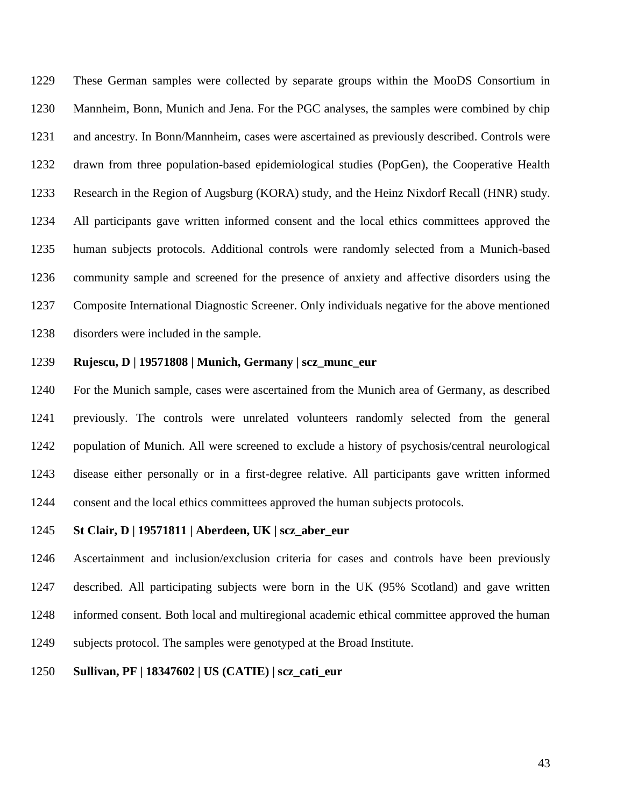These German samples were collected by separate groups within the MooDS Consortium in Mannheim, Bonn, Munich and Jena. For the PGC analyses, the samples were combined by chip and ancestry. In Bonn/Mannheim, cases were ascertained as previously described. Controls were drawn from three population-based epidemiological studies (PopGen), the Cooperative Health Research in the Region of Augsburg (KORA) study, and the Heinz Nixdorf Recall (HNR) study. All participants gave written informed consent and the local ethics committees approved the human subjects protocols. Additional controls were randomly selected from a Munich-based community sample and screened for the presence of anxiety and affective disorders using the Composite International Diagnostic Screener. Only individuals negative for the above mentioned disorders were included in the sample.

#### **Rujescu, D | 19571808 | Munich, Germany | scz\_munc\_eur**

 For the Munich sample, cases were ascertained from the Munich area of Germany, as described previously. The controls were unrelated volunteers randomly selected from the general population of Munich. All were screened to exclude a history of psychosis/central neurological disease either personally or in a first-degree relative. All participants gave written informed consent and the local ethics committees approved the human subjects protocols.

#### **St Clair, D | 19571811 | Aberdeen, UK | scz\_aber\_eur**

 Ascertainment and inclusion/exclusion criteria for cases and controls have been previously described. All participating subjects were born in the UK (95% Scotland) and gave written informed consent. Both local and multiregional academic ethical committee approved the human subjects protocol. The samples were genotyped at the Broad Institute.

# **Sullivan, PF | 18347602 | US (CATIE) | scz\_cati\_eur**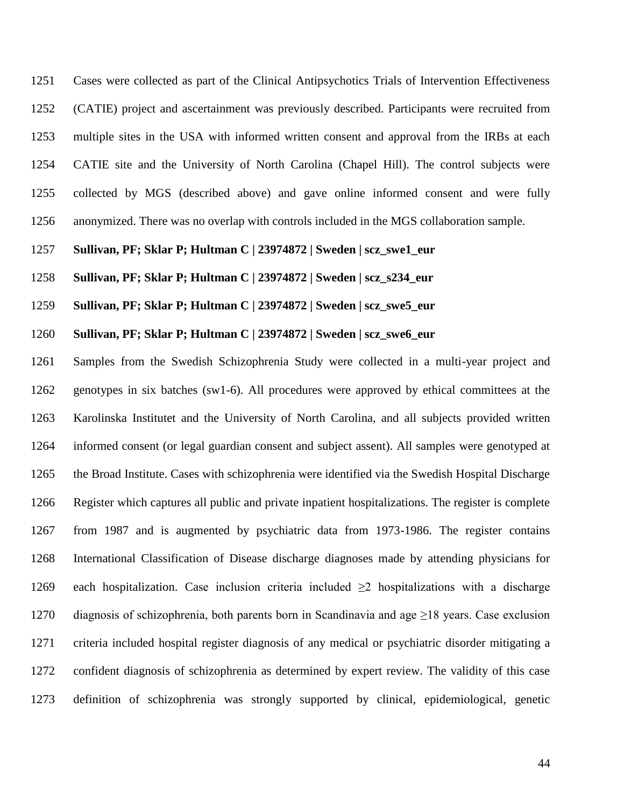Cases were collected as part of the Clinical Antipsychotics Trials of Intervention Effectiveness (CATIE) project and ascertainment was previously described. Participants were recruited from multiple sites in the USA with informed written consent and approval from the IRBs at each CATIE site and the University of North Carolina (Chapel Hill). The control subjects were collected by MGS (described above) and gave online informed consent and were fully anonymized. There was no overlap with controls included in the MGS collaboration sample.

**Sullivan, PF; Sklar P; Hultman C | 23974872 | Sweden | scz\_swe1\_eur** 

**Sullivan, PF; Sklar P; Hultman C | 23974872 | Sweden | scz\_s234\_eur** 

**Sullivan, PF; Sklar P; Hultman C | 23974872 | Sweden | scz\_swe5\_eur** 

**Sullivan, PF; Sklar P; Hultman C | 23974872 | Sweden | scz\_swe6\_eur** 

 Samples from the Swedish Schizophrenia Study were collected in a multi-year project and genotypes in six batches (sw1-6). All procedures were approved by ethical committees at the Karolinska Institutet and the University of North Carolina, and all subjects provided written informed consent (or legal guardian consent and subject assent). All samples were genotyped at the Broad Institute. Cases with schizophrenia were identified via the Swedish Hospital Discharge Register which captures all public and private inpatient hospitalizations. The register is complete from 1987 and is augmented by psychiatric data from 1973-1986. The register contains International Classification of Disease discharge diagnoses made by attending physicians for 1269 each hospitalization. Case inclusion criteria included  $\geq 2$  hospitalizations with a discharge 1270 diagnosis of schizophrenia, both parents born in Scandinavia and age  $\geq$ 18 years. Case exclusion criteria included hospital register diagnosis of any medical or psychiatric disorder mitigating a confident diagnosis of schizophrenia as determined by expert review. The validity of this case definition of schizophrenia was strongly supported by clinical, epidemiological, genetic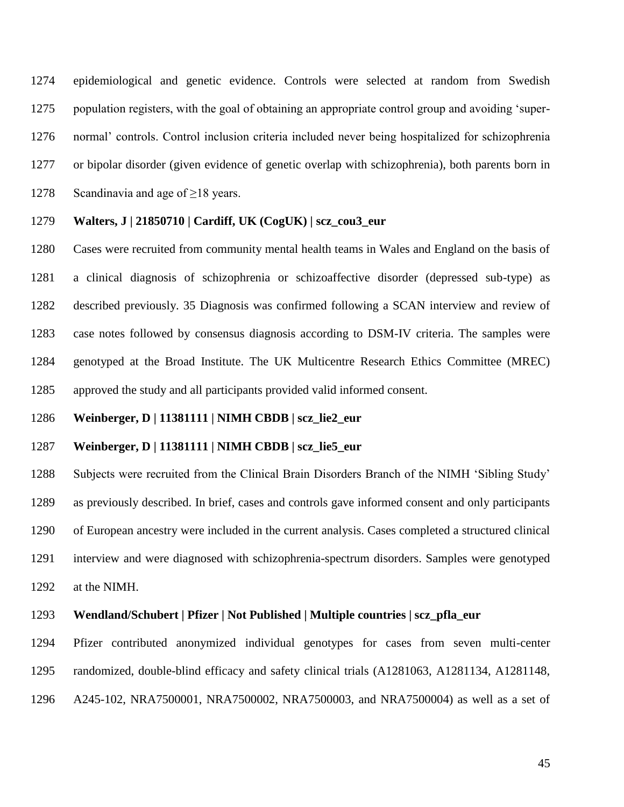epidemiological and genetic evidence. Controls were selected at random from Swedish population registers, with the goal of obtaining an appropriate control group and avoiding 'super- normal' controls. Control inclusion criteria included never being hospitalized for schizophrenia or bipolar disorder (given evidence of genetic overlap with schizophrenia), both parents born in 1278 Scandinavia and age of  $\geq$ 18 years.

# **Walters, J | 21850710 | Cardiff, UK (CogUK) | scz\_cou3\_eur**

 Cases were recruited from community mental health teams in Wales and England on the basis of a clinical diagnosis of schizophrenia or schizoaffective disorder (depressed sub-type) as described previously. 35 Diagnosis was confirmed following a SCAN interview and review of case notes followed by consensus diagnosis according to DSM-IV criteria. The samples were genotyped at the Broad Institute. The UK Multicentre Research Ethics Committee (MREC) approved the study and all participants provided valid informed consent.

#### **Weinberger, D | 11381111 | NIMH CBDB | scz\_lie2\_eur**

# **Weinberger, D | 11381111 | NIMH CBDB | scz\_lie5\_eur**

 Subjects were recruited from the Clinical Brain Disorders Branch of the NIMH 'Sibling Study' as previously described. In brief, cases and controls gave informed consent and only participants of European ancestry were included in the current analysis. Cases completed a structured clinical interview and were diagnosed with schizophrenia-spectrum disorders. Samples were genotyped at the NIMH.

#### **Wendland/Schubert | Pfizer | Not Published | Multiple countries | scz\_pfla\_eur**

 Pfizer contributed anonymized individual genotypes for cases from seven multi-center randomized, double-blind efficacy and safety clinical trials (A1281063, A1281134, A1281148, A245-102, NRA7500001, NRA7500002, NRA7500003, and NRA7500004) as well as a set of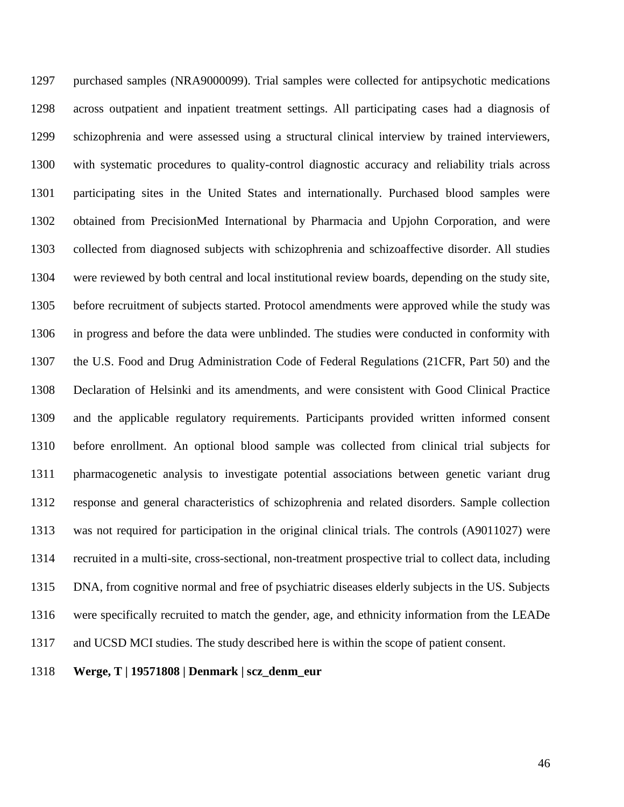purchased samples (NRA9000099). Trial samples were collected for antipsychotic medications across outpatient and inpatient treatment settings. All participating cases had a diagnosis of schizophrenia and were assessed using a structural clinical interview by trained interviewers, with systematic procedures to quality-control diagnostic accuracy and reliability trials across participating sites in the United States and internationally. Purchased blood samples were obtained from PrecisionMed International by Pharmacia and Upjohn Corporation, and were collected from diagnosed subjects with schizophrenia and schizoaffective disorder. All studies were reviewed by both central and local institutional review boards, depending on the study site, before recruitment of subjects started. Protocol amendments were approved while the study was in progress and before the data were unblinded. The studies were conducted in conformity with the U.S. Food and Drug Administration Code of Federal Regulations (21CFR, Part 50) and the Declaration of Helsinki and its amendments, and were consistent with Good Clinical Practice and the applicable regulatory requirements. Participants provided written informed consent before enrollment. An optional blood sample was collected from clinical trial subjects for pharmacogenetic analysis to investigate potential associations between genetic variant drug response and general characteristics of schizophrenia and related disorders. Sample collection was not required for participation in the original clinical trials. The controls (A9011027) were recruited in a multi-site, cross-sectional, non-treatment prospective trial to collect data, including DNA, from cognitive normal and free of psychiatric diseases elderly subjects in the US. Subjects were specifically recruited to match the gender, age, and ethnicity information from the LEADe and UCSD MCI studies. The study described here is within the scope of patient consent.

**Werge, T | 19571808 | Denmark | scz\_denm\_eur**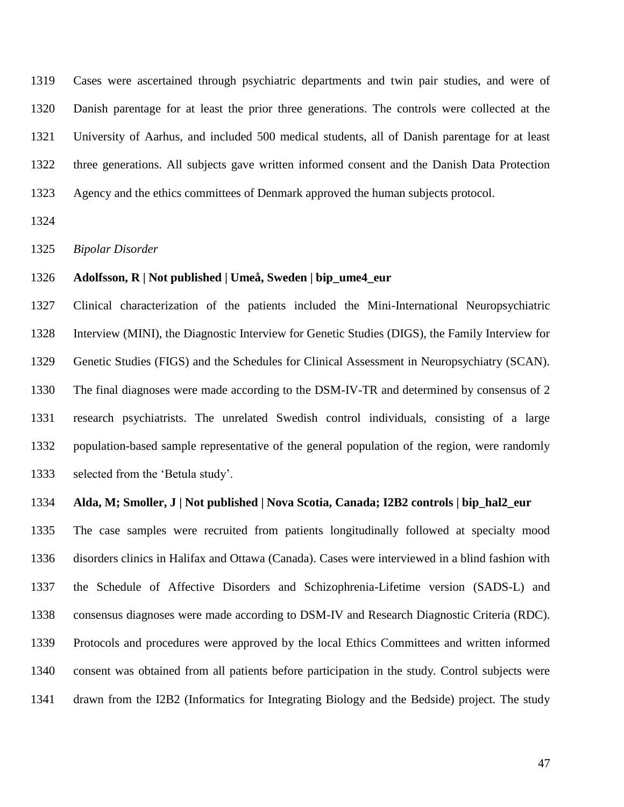Cases were ascertained through psychiatric departments and twin pair studies, and were of Danish parentage for at least the prior three generations. The controls were collected at the University of Aarhus, and included 500 medical students, all of Danish parentage for at least three generations. All subjects gave written informed consent and the Danish Data Protection Agency and the ethics committees of Denmark approved the human subjects protocol.

#### *Bipolar Disorder*

#### **Adolfsson, R | Not published | Umeå, Sweden | bip\_ume4\_eur**

 Clinical characterization of the patients included the Mini-International Neuropsychiatric Interview (MINI), the Diagnostic Interview for Genetic Studies (DIGS), the Family Interview for Genetic Studies (FIGS) and the Schedules for Clinical Assessment in Neuropsychiatry (SCAN). The final diagnoses were made according to the DSM-IV-TR and determined by consensus of 2 research psychiatrists. The unrelated Swedish control individuals, consisting of a large population-based sample representative of the general population of the region, were randomly selected from the 'Betula study'.

#### **Alda, M; Smoller, J | Not published | Nova Scotia, Canada; I2B2 controls | bip\_hal2\_eur**

 The case samples were recruited from patients longitudinally followed at specialty mood disorders clinics in Halifax and Ottawa (Canada). Cases were interviewed in a blind fashion with the Schedule of Affective Disorders and Schizophrenia-Lifetime version (SADS-L) and consensus diagnoses were made according to DSM-IV and Research Diagnostic Criteria (RDC). Protocols and procedures were approved by the local Ethics Committees and written informed consent was obtained from all patients before participation in the study. Control subjects were drawn from the I2B2 (Informatics for Integrating Biology and the Bedside) project. The study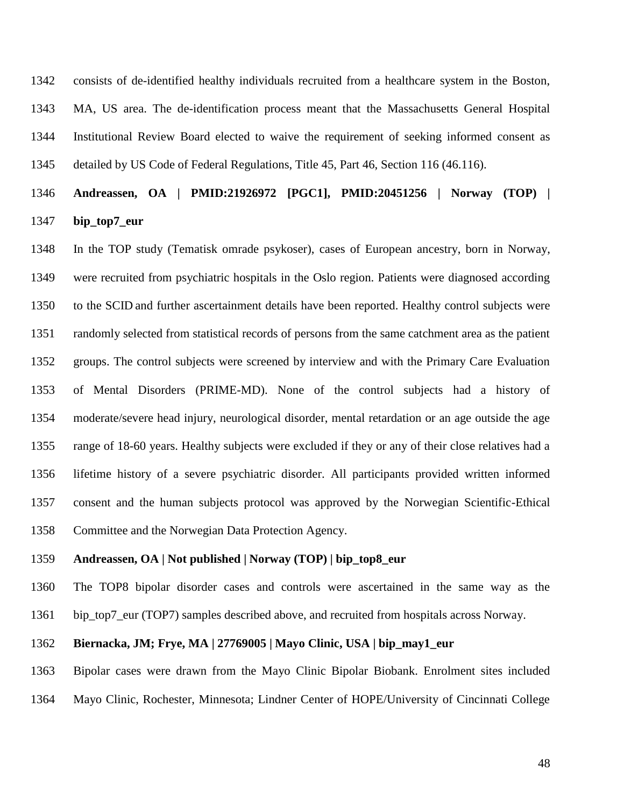consists of de-identified healthy individuals recruited from a healthcare system in the Boston, MA, US area. The de-identification process meant that the Massachusetts General Hospital Institutional Review Board elected to waive the requirement of seeking informed consent as detailed by US Code of Federal Regulations, Title 45, Part 46, Section 116 (46.116).

# **Andreassen, OA | PMID:21926972 [PGC1], PMID:20451256 | Norway (TOP) | bip\_top7\_eur**

 In the TOP study (Tematisk omrade psykoser), cases of European ancestry, born in Norway, were recruited from psychiatric hospitals in the Oslo region. Patients were diagnosed according to the SCID and further ascertainment details have been reported. Healthy control subjects were randomly selected from statistical records of persons from the same catchment area as the patient groups. The control subjects were screened by interview and with the Primary Care Evaluation of Mental Disorders (PRIME-MD). None of the control subjects had a history of moderate/severe head injury, neurological disorder, mental retardation or an age outside the age range of 18-60 years. Healthy subjects were excluded if they or any of their close relatives had a lifetime history of a severe psychiatric disorder. All participants provided written informed consent and the human subjects protocol was approved by the Norwegian Scientific-Ethical Committee and the Norwegian Data Protection Agency.

#### **Andreassen, OA | Not published | Norway (TOP) | bip\_top8\_eur**

 The TOP8 bipolar disorder cases and controls were ascertained in the same way as the bip\_top7\_eur (TOP7) samples described above, and recruited from hospitals across Norway.

#### **Biernacka, JM; Frye, MA | 27769005 | Mayo Clinic, USA | bip\_may1\_eur**

Bipolar cases were drawn from the Mayo Clinic Bipolar Biobank. Enrolment sites included

Mayo Clinic, Rochester, Minnesota; Lindner Center of HOPE/University of Cincinnati College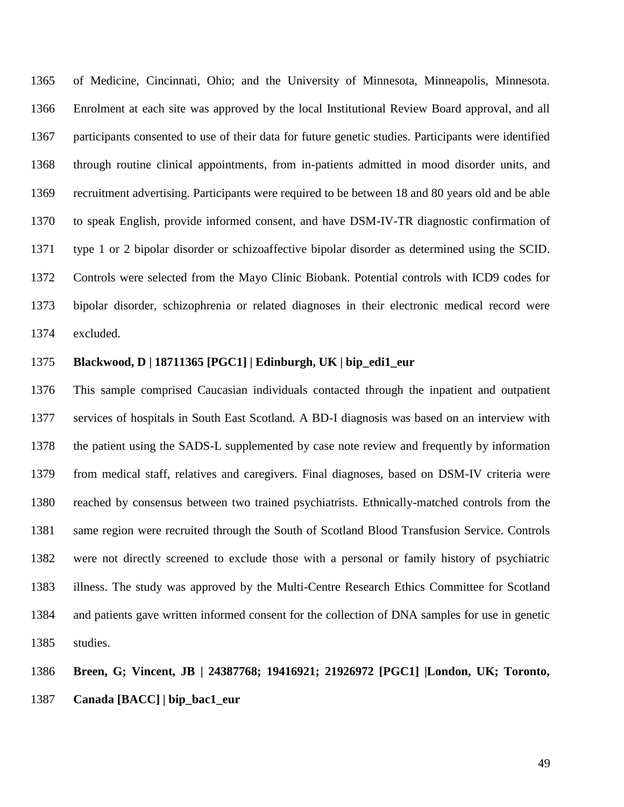of Medicine, Cincinnati, Ohio; and the University of Minnesota, Minneapolis, Minnesota. Enrolment at each site was approved by the local Institutional Review Board approval, and all participants consented to use of their data for future genetic studies. Participants were identified through routine clinical appointments, from in-patients admitted in mood disorder units, and recruitment advertising. Participants were required to be between 18 and 80 years old and be able to speak English, provide informed consent, and have DSM-IV-TR diagnostic confirmation of type 1 or 2 bipolar disorder or schizoaffective bipolar disorder as determined using the SCID. Controls were selected from the Mayo Clinic Biobank. Potential controls with ICD9 codes for bipolar disorder, schizophrenia or related diagnoses in their electronic medical record were excluded.

# **Blackwood, D | 18711365 [PGC1] | Edinburgh, UK | bip\_edi1\_eur**

 This sample comprised Caucasian individuals contacted through the inpatient and outpatient services of hospitals in South East Scotland. A BD-I diagnosis was based on an interview with the patient using the SADS-L supplemented by case note review and frequently by information from medical staff, relatives and caregivers. Final diagnoses, based on DSM-IV criteria were reached by consensus between two trained psychiatrists. Ethnically-matched controls from the same region were recruited through the South of Scotland Blood Transfusion Service. Controls were not directly screened to exclude those with a personal or family history of psychiatric illness. The study was approved by the Multi-Centre Research Ethics Committee for Scotland and patients gave written informed consent for the collection of DNA samples for use in genetic studies.

 **Breen, G; Vincent, JB | 24387768; 19416921; 21926972 [PGC1] |London, UK; Toronto, Canada [BACC] | bip\_bac1\_eur**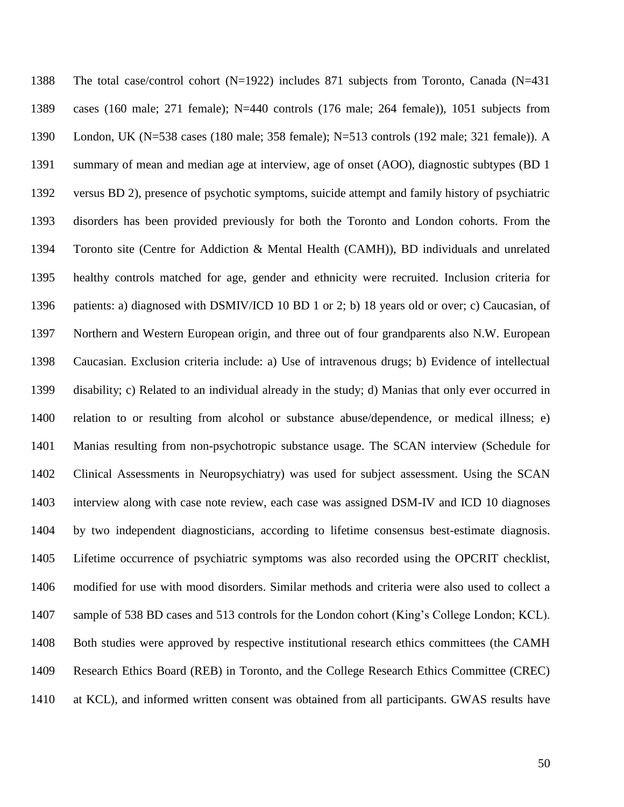The total case/control cohort (N=1922) includes 871 subjects from Toronto, Canada (N=431 cases (160 male; 271 female); N=440 controls (176 male; 264 female)), 1051 subjects from London, UK (N=538 cases (180 male; 358 female); N=513 controls (192 male; 321 female)). A summary of mean and median age at interview, age of onset (AOO), diagnostic subtypes (BD 1 versus BD 2), presence of psychotic symptoms, suicide attempt and family history of psychiatric disorders has been provided previously for both the Toronto and London cohorts. From the Toronto site (Centre for Addiction & Mental Health (CAMH)), BD individuals and unrelated healthy controls matched for age, gender and ethnicity were recruited. Inclusion criteria for patients: a) diagnosed with DSMIV/ICD 10 BD 1 or 2; b) 18 years old or over; c) Caucasian, of Northern and Western European origin, and three out of four grandparents also N.W. European Caucasian. Exclusion criteria include: a) Use of intravenous drugs; b) Evidence of intellectual disability; c) Related to an individual already in the study; d) Manias that only ever occurred in relation to or resulting from alcohol or substance abuse/dependence, or medical illness; e) Manias resulting from non-psychotropic substance usage. The SCAN interview (Schedule for Clinical Assessments in Neuropsychiatry) was used for subject assessment. Using the SCAN interview along with case note review, each case was assigned DSM-IV and ICD 10 diagnoses by two independent diagnosticians, according to lifetime consensus best-estimate diagnosis. Lifetime occurrence of psychiatric symptoms was also recorded using the OPCRIT checklist, modified for use with mood disorders. Similar methods and criteria were also used to collect a sample of 538 BD cases and 513 controls for the London cohort (King's College London; KCL). Both studies were approved by respective institutional research ethics committees (the CAMH Research Ethics Board (REB) in Toronto, and the College Research Ethics Committee (CREC) at KCL), and informed written consent was obtained from all participants. GWAS results have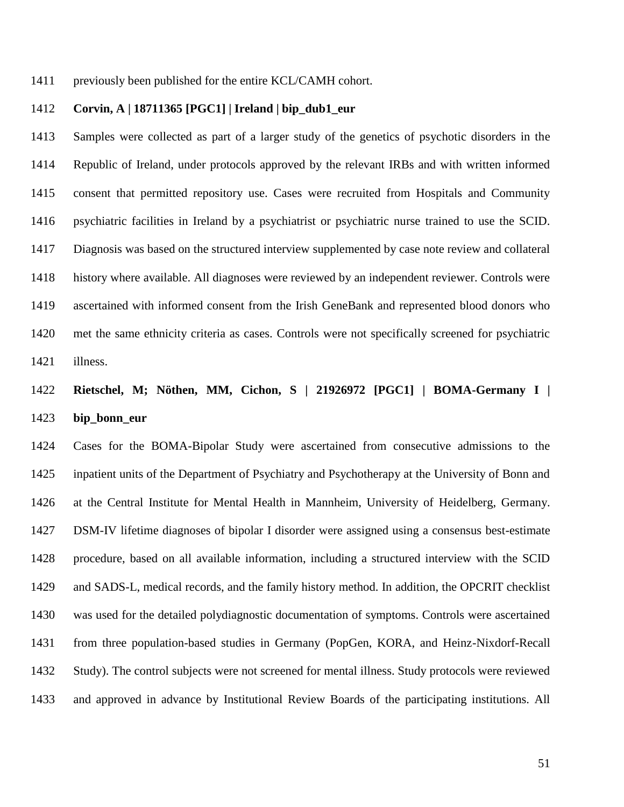previously been published for the entire KCL/CAMH cohort.

## **Corvin, A | 18711365 [PGC1] | Ireland | bip\_dub1\_eur**

 Samples were collected as part of a larger study of the genetics of psychotic disorders in the Republic of Ireland, under protocols approved by the relevant IRBs and with written informed consent that permitted repository use. Cases were recruited from Hospitals and Community psychiatric facilities in Ireland by a psychiatrist or psychiatric nurse trained to use the SCID. Diagnosis was based on the structured interview supplemented by case note review and collateral history where available. All diagnoses were reviewed by an independent reviewer. Controls were ascertained with informed consent from the Irish GeneBank and represented blood donors who met the same ethnicity criteria as cases. Controls were not specifically screened for psychiatric illness.

 **Rietschel, M; Nöthen, MM, Cichon, S | 21926972 [PGC1] | BOMA-Germany I | bip\_bonn\_eur**

 Cases for the BOMA-Bipolar Study were ascertained from consecutive admissions to the inpatient units of the Department of Psychiatry and Psychotherapy at the University of Bonn and at the Central Institute for Mental Health in Mannheim, University of Heidelberg, Germany. DSM-IV lifetime diagnoses of bipolar I disorder were assigned using a consensus best-estimate procedure, based on all available information, including a structured interview with the SCID and SADS-L, medical records, and the family history method. In addition, the OPCRIT checklist was used for the detailed polydiagnostic documentation of symptoms. Controls were ascertained from three population-based studies in Germany (PopGen, KORA, and Heinz-Nixdorf-Recall Study). The control subjects were not screened for mental illness. Study protocols were reviewed and approved in advance by Institutional Review Boards of the participating institutions. All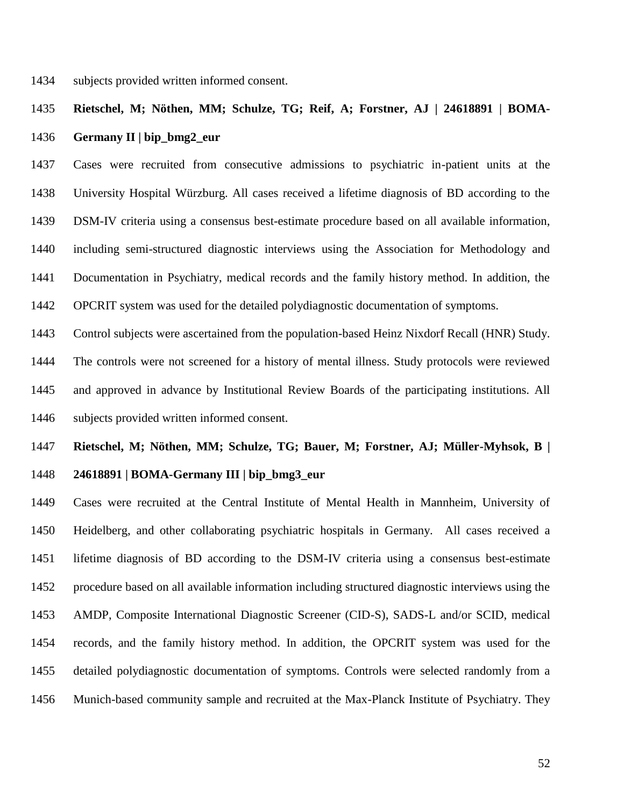subjects provided written informed consent.

# **Rietschel, M; Nöthen, MM; Schulze, TG; Reif, A; Forstner, AJ | 24618891 | BOMA-Germany II | bip\_bmg2\_eur**

 Cases were recruited from consecutive admissions to psychiatric in-patient units at the University Hospital Würzburg. All cases received a lifetime diagnosis of BD according to the DSM-IV criteria using a consensus best-estimate procedure based on all available information, including semi-structured diagnostic interviews using the Association for Methodology and Documentation in Psychiatry, medical records and the family history method. In addition, the OPCRIT system was used for the detailed polydiagnostic documentation of symptoms.

 Control subjects were ascertained from the population-based Heinz Nixdorf Recall (HNR) Study. The controls were not screened for a history of mental illness. Study protocols were reviewed and approved in advance by Institutional Review Boards of the participating institutions. All 1446 subjects provided written informed consent.

# **Rietschel, M; Nöthen, MM; Schulze, TG; Bauer, M; Forstner, AJ; Müller-Myhsok, B | 24618891 | BOMA-Germany III | bip\_bmg3\_eur**

 Cases were recruited at the Central Institute of Mental Health in Mannheim, University of Heidelberg, and other collaborating psychiatric hospitals in Germany. All cases received a lifetime diagnosis of BD according to the DSM-IV criteria using a consensus best-estimate procedure based on all available information including structured diagnostic interviews using the AMDP, Composite International Diagnostic Screener (CID-S), SADS-L and/or SCID, medical records, and the family history method. In addition, the OPCRIT system was used for the detailed polydiagnostic documentation of symptoms. Controls were selected randomly from a Munich-based community sample and recruited at the Max-Planck Institute of Psychiatry. They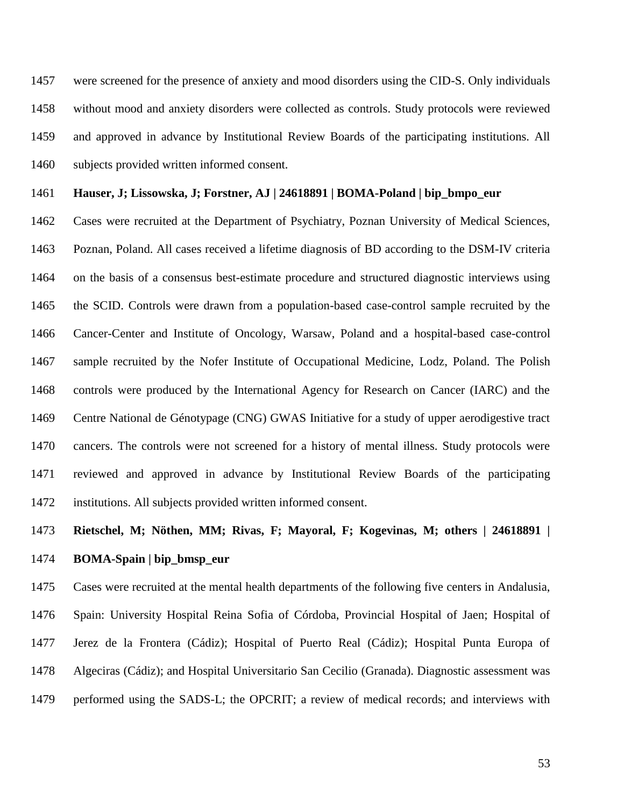were screened for the presence of anxiety and mood disorders using the CID-S. Only individuals without mood and anxiety disorders were collected as controls. Study protocols were reviewed and approved in advance by Institutional Review Boards of the participating institutions. All subjects provided written informed consent.

# **Hauser, J; Lissowska, J; Forstner, AJ | 24618891 | BOMA-Poland | bip\_bmpo\_eur**

 Cases were recruited at the Department of Psychiatry, Poznan University of Medical Sciences, Poznan, Poland. All cases received a lifetime diagnosis of BD according to the DSM-IV criteria on the basis of a consensus best-estimate procedure and structured diagnostic interviews using the SCID. Controls were drawn from a population-based case-control sample recruited by the Cancer-Center and Institute of Oncology, Warsaw, Poland and a hospital-based case-control sample recruited by the Nofer Institute of Occupational Medicine, Lodz, Poland. The Polish controls were produced by the International Agency for Research on Cancer (IARC) and the Centre National de Génotypage (CNG) GWAS Initiative for a study of upper aerodigestive tract cancers. The controls were not screened for a history of mental illness. Study protocols were reviewed and approved in advance by Institutional Review Boards of the participating institutions. All subjects provided written informed consent.

# **Rietschel, M; Nöthen, MM; Rivas, F; Mayoral, F; Kogevinas, M; others | 24618891 | BOMA-Spain | bip\_bmsp\_eur**

 Cases were recruited at the mental health departments of the following five centers in Andalusia, Spain: University Hospital Reina Sofia of Córdoba, Provincial Hospital of Jaen; Hospital of Jerez de la Frontera (Cádiz); Hospital of Puerto Real (Cádiz); Hospital Punta Europa of Algeciras (Cádiz); and Hospital Universitario San Cecilio (Granada). Diagnostic assessment was performed using the SADS-L; the OPCRIT; a review of medical records; and interviews with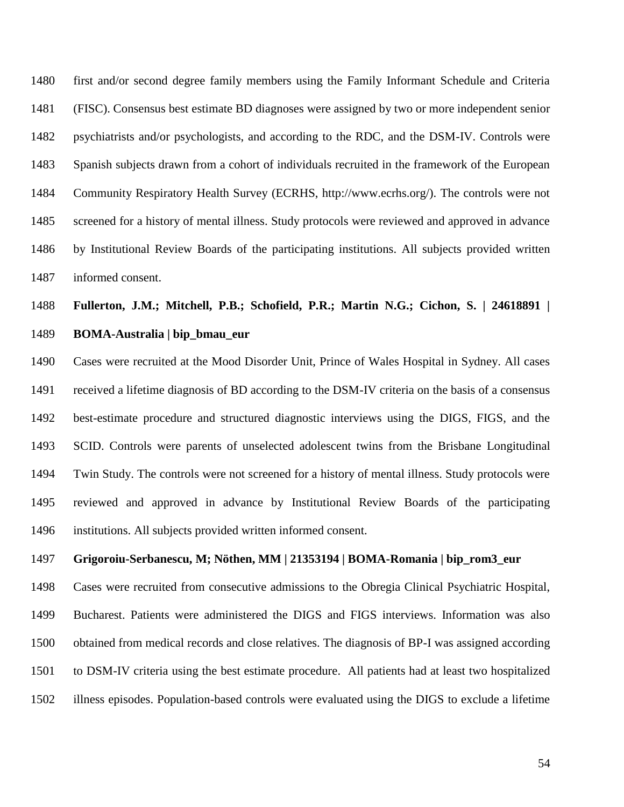first and/or second degree family members using the Family Informant Schedule and Criteria (FISC). Consensus best estimate BD diagnoses were assigned by two or more independent senior psychiatrists and/or psychologists, and according to the RDC, and the DSM-IV. Controls were Spanish subjects drawn from a cohort of individuals recruited in the framework of the European Community Respiratory Health Survey (ECRHS, http://www.ecrhs.org/). The controls were not screened for a history of mental illness. Study protocols were reviewed and approved in advance by Institutional Review Boards of the participating institutions. All subjects provided written informed consent.

# **Fullerton, J.M.; Mitchell, P.B.; Schofield, P.R.; Martin N.G.; Cichon, S. | 24618891 | BOMA-Australia | bip\_bmau\_eur**

 Cases were recruited at the Mood Disorder Unit, Prince of Wales Hospital in Sydney. All cases received a lifetime diagnosis of BD according to the DSM-IV criteria on the basis of a consensus best-estimate procedure and structured diagnostic interviews using the DIGS, FIGS, and the SCID. Controls were parents of unselected adolescent twins from the Brisbane Longitudinal Twin Study. The controls were not screened for a history of mental illness. Study protocols were reviewed and approved in advance by Institutional Review Boards of the participating institutions. All subjects provided written informed consent.

#### **Grigoroiu-Serbanescu, M; Nöthen, MM | 21353194 | BOMA-Romania | bip\_rom3\_eur**

 Cases were recruited from consecutive admissions to the Obregia Clinical Psychiatric Hospital, Bucharest. Patients were administered the DIGS and FIGS interviews. Information was also obtained from medical records and close relatives. The diagnosis of BP-I was assigned according to DSM-IV criteria using the best estimate procedure. All patients had at least two hospitalized illness episodes. Population-based controls were evaluated using the DIGS to exclude a lifetime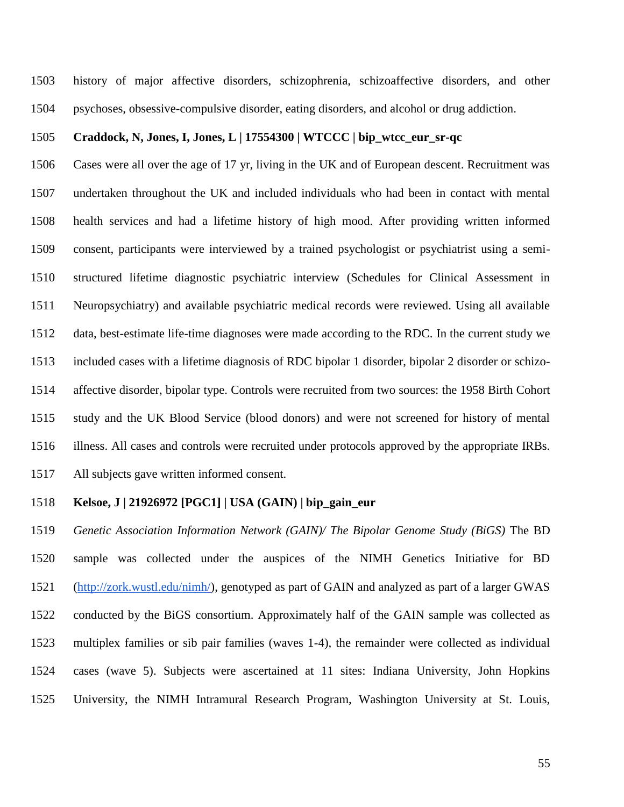history of major affective disorders, schizophrenia, schizoaffective disorders, and other psychoses, obsessive-compulsive disorder, eating disorders, and alcohol or drug addiction.

### **Craddock, N, Jones, I, Jones, L | 17554300 | WTCCC | bip\_wtcc\_eur\_sr-qc**

 Cases were all over the age of 17 yr, living in the UK and of European descent. Recruitment was undertaken throughout the UK and included individuals who had been in contact with mental health services and had a lifetime history of high mood. After providing written informed consent, participants were interviewed by a trained psychologist or psychiatrist using a semi- structured lifetime diagnostic psychiatric interview (Schedules for Clinical Assessment in Neuropsychiatry) and available psychiatric medical records were reviewed. Using all available data, best-estimate life-time diagnoses were made according to the RDC. In the current study we included cases with a lifetime diagnosis of RDC bipolar 1 disorder, bipolar 2 disorder or schizo- affective disorder, bipolar type. Controls were recruited from two sources: the 1958 Birth Cohort study and the UK Blood Service (blood donors) and were not screened for history of mental illness. All cases and controls were recruited under protocols approved by the appropriate IRBs. All subjects gave written informed consent.

#### **Kelsoe, J | 21926972 [PGC1] | USA (GAIN) | bip\_gain\_eur**

 *Genetic Association Information Network (GAIN)/ The Bipolar Genome Study (BiGS)* The BD sample was collected under the auspices of the NIMH Genetics Initiative for BD [\(http://zork.wustl.edu/nimh/\)](http://zork.wustl.edu/nimh/), genotyped as part of GAIN and analyzed as part of a larger GWAS conducted by the BiGS consortium. Approximately half of the GAIN sample was collected as multiplex families or sib pair families (waves 1-4), the remainder were collected as individual cases (wave 5). Subjects were ascertained at 11 sites: Indiana University, John Hopkins University, the NIMH Intramural Research Program, Washington University at St. Louis,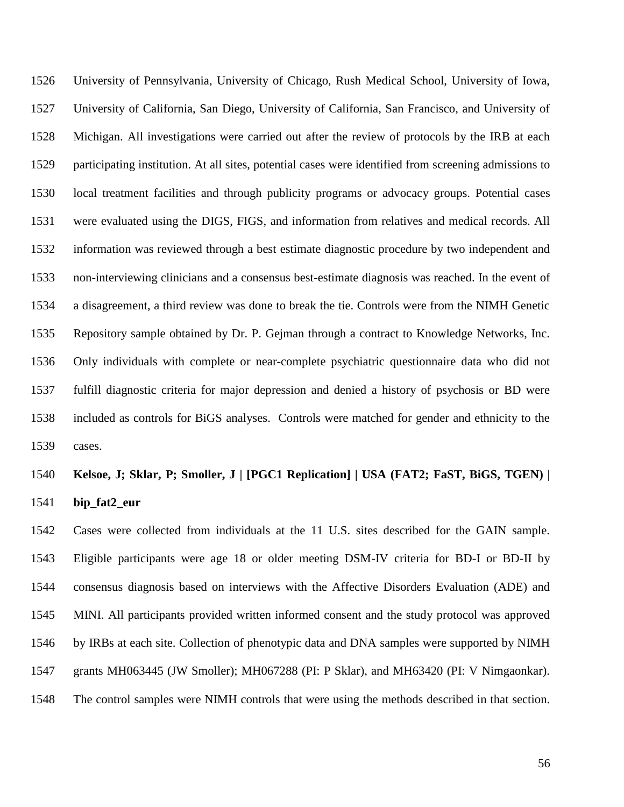University of Pennsylvania, University of Chicago, Rush Medical School, University of Iowa, University of California, San Diego, University of California, San Francisco, and University of Michigan. All investigations were carried out after the review of protocols by the IRB at each participating institution. At all sites, potential cases were identified from screening admissions to local treatment facilities and through publicity programs or advocacy groups. Potential cases were evaluated using the DIGS, FIGS, and information from relatives and medical records. All information was reviewed through a best estimate diagnostic procedure by two independent and non-interviewing clinicians and a consensus best-estimate diagnosis was reached. In the event of a disagreement, a third review was done to break the tie. Controls were from the NIMH Genetic Repository sample obtained by Dr. P. Gejman through a contract to Knowledge Networks, Inc. Only individuals with complete or near-complete psychiatric questionnaire data who did not fulfill diagnostic criteria for major depression and denied a history of psychosis or BD were included as controls for BiGS analyses. Controls were matched for gender and ethnicity to the cases.

# **Kelsoe, J; Sklar, P; Smoller, J | [PGC1 Replication] | USA (FAT2; FaST, BiGS, TGEN) | bip\_fat2\_eur**

 Cases were collected from individuals at the 11 U.S. sites described for the GAIN sample. Eligible participants were age 18 or older meeting DSM-IV criteria for BD-I or BD-II by consensus diagnosis based on interviews with the Affective Disorders Evaluation (ADE) and MINI. All participants provided written informed consent and the study protocol was approved by IRBs at each site. Collection of phenotypic data and DNA samples were supported by NIMH grants MH063445 (JW Smoller); MH067288 (PI: P Sklar), and MH63420 (PI: V Nimgaonkar). The control samples were NIMH controls that were using the methods described in that section.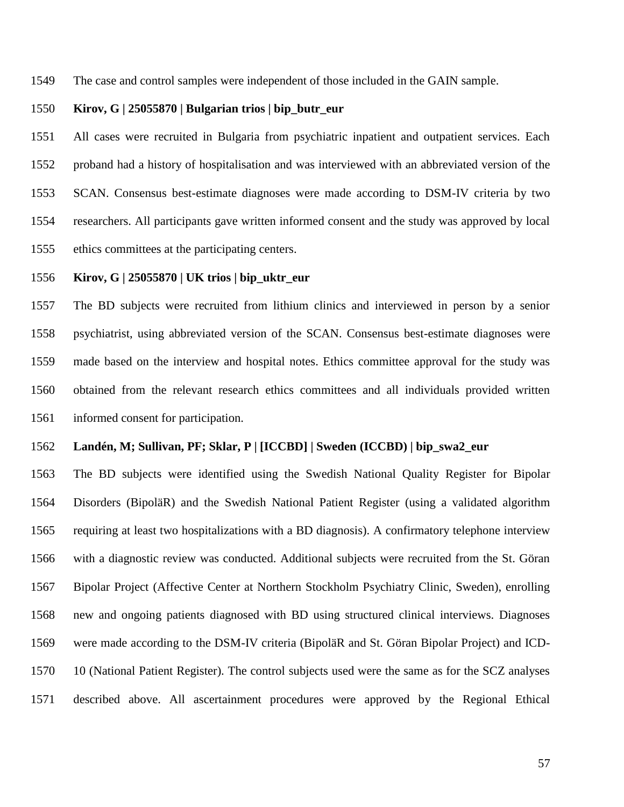The case and control samples were independent of those included in the GAIN sample.

### **Kirov, G | 25055870 | Bulgarian trios | bip\_butr\_eur**

 All cases were recruited in Bulgaria from psychiatric inpatient and outpatient services. Each proband had a history of hospitalisation and was interviewed with an abbreviated version of the SCAN. Consensus best-estimate diagnoses were made according to DSM-IV criteria by two researchers. All participants gave written informed consent and the study was approved by local ethics committees at the participating centers.

#### **Kirov, G | 25055870 | UK trios | bip\_uktr\_eur**

 The BD subjects were recruited from lithium clinics and interviewed in person by a senior psychiatrist, using abbreviated version of the SCAN. Consensus best-estimate diagnoses were made based on the interview and hospital notes. Ethics committee approval for the study was obtained from the relevant research ethics committees and all individuals provided written informed consent for participation.

#### **Landén, M; Sullivan, PF; Sklar, P | [ICCBD] | Sweden (ICCBD) | bip\_swa2\_eur**

 The BD subjects were identified using the Swedish National Quality Register for Bipolar Disorders (BipoläR) and the Swedish National Patient Register (using a validated algorithm requiring at least two hospitalizations with a BD diagnosis). A confirmatory telephone interview with a diagnostic review was conducted. Additional subjects were recruited from the St. Göran Bipolar Project (Affective Center at Northern Stockholm Psychiatry Clinic, Sweden), enrolling new and ongoing patients diagnosed with BD using structured clinical interviews. Diagnoses were made according to the DSM-IV criteria (BipoläR and St. Göran Bipolar Project) and ICD- 10 (National Patient Register). The control subjects used were the same as for the SCZ analyses described above. All ascertainment procedures were approved by the Regional Ethical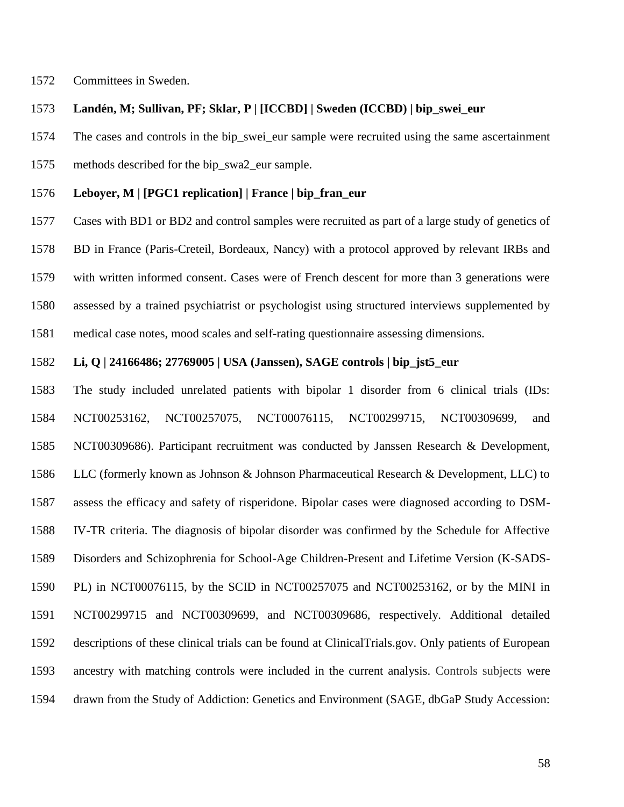Committees in Sweden.

### **Landén, M; Sullivan, PF; Sklar, P | [ICCBD] | Sweden (ICCBD) | bip\_swei\_eur**

1574 The cases and controls in the bip swei eur sample were recruited using the same ascertainment

- methods described for the bip\_swa2\_eur sample.
- **Leboyer, M | [PGC1 replication] | France | bip\_fran\_eur**

 Cases with BD1 or BD2 and control samples were recruited as part of a large study of genetics of BD in France (Paris-Creteil, Bordeaux, Nancy) with a protocol approved by relevant IRBs and with written informed consent. Cases were of French descent for more than 3 generations were assessed by a trained psychiatrist or psychologist using structured interviews supplemented by

medical case notes, mood scales and self-rating questionnaire assessing dimensions.

#### **Li, Q | 24166486; 27769005 | USA (Janssen), SAGE controls | bip\_jst5\_eur**

 The study included unrelated patients with bipolar 1 disorder from 6 clinical trials (IDs: NCT00253162, NCT00257075, NCT00076115, NCT00299715, NCT00309699, and NCT00309686). Participant recruitment was conducted by Janssen Research & Development, LLC (formerly known as Johnson & Johnson Pharmaceutical Research & Development, LLC) to assess the efficacy and safety of risperidone. Bipolar cases were diagnosed according to DSM- IV-TR criteria. The diagnosis of bipolar disorder was confirmed by the Schedule for Affective Disorders and Schizophrenia for School-Age Children-Present and Lifetime Version (K-SADS- PL) in NCT00076115, by the SCID in NCT00257075 and NCT00253162, or by the MINI in NCT00299715 and NCT00309699, and NCT00309686, respectively. Additional detailed descriptions of these clinical trials can be found at ClinicalTrials.gov. Only patients of European ancestry with matching controls were included in the current analysis. Controls subjects were drawn from the Study of Addiction: Genetics and Environment (SAGE, dbGaP Study Accession: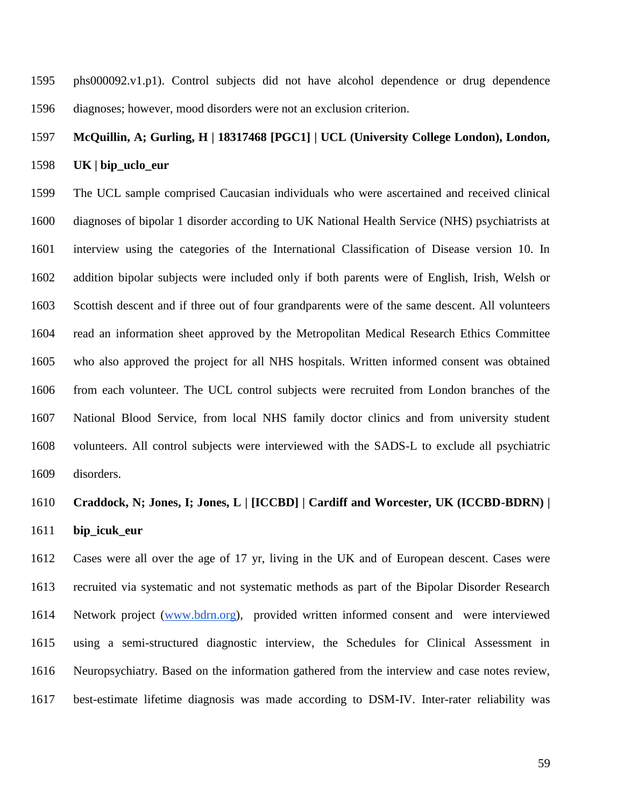phs000092.v1.p1). Control subjects did not have alcohol dependence or drug dependence diagnoses; however, mood disorders were not an exclusion criterion.

# **McQuillin, A; Gurling, H | 18317468 [PGC1] | UCL (University College London), London, UK | bip\_uclo\_eur**

 The UCL sample comprised Caucasian individuals who were ascertained and received clinical diagnoses of bipolar 1 disorder according to UK National Health Service (NHS) psychiatrists at interview using the categories of the International Classification of Disease version 10. In addition bipolar subjects were included only if both parents were of English, Irish, Welsh or Scottish descent and if three out of four grandparents were of the same descent. All volunteers read an information sheet approved by the Metropolitan Medical Research Ethics Committee who also approved the project for all NHS hospitals. Written informed consent was obtained from each volunteer. The UCL control subjects were recruited from London branches of the National Blood Service, from local NHS family doctor clinics and from university student volunteers. All control subjects were interviewed with the SADS-L to exclude all psychiatric disorders.

# **Craddock, N; Jones, I; Jones, L | [ICCBD] | Cardiff and Worcester, UK (ICCBD-BDRN) | bip\_icuk\_eur**

 Cases were all over the age of 17 yr, living in the UK and of European descent. Cases were recruited via systematic and not systematic methods as part of the Bipolar Disorder Research Network project [\(www.bdrn.org\)](http://www.bdrn.org/), provided written informed consent and were interviewed using a semi-structured diagnostic interview, the Schedules for Clinical Assessment in Neuropsychiatry. Based on the information gathered from the interview and case notes review, best-estimate lifetime diagnosis was made according to DSM-IV. Inter-rater reliability was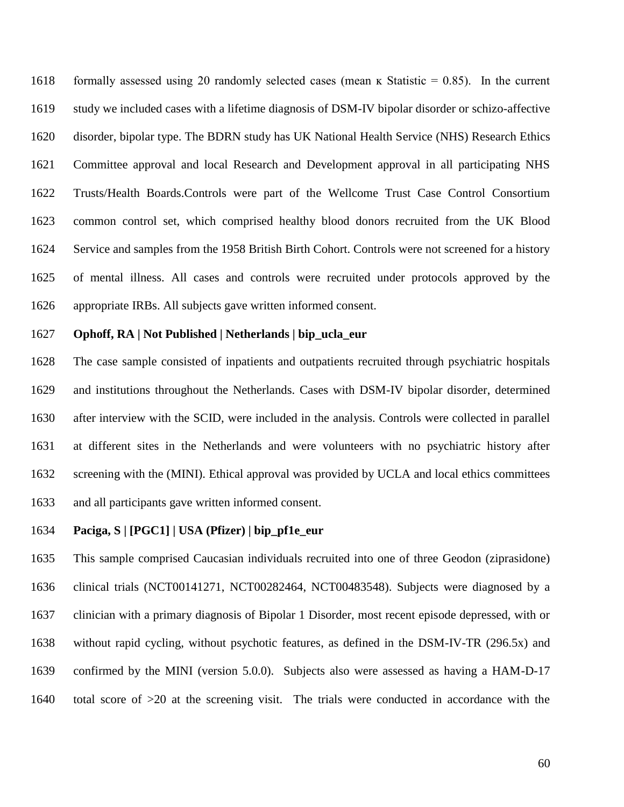1618 formally assessed using 20 randomly selected cases (mean  $\kappa$  Statistic = 0.85). In the current study we included cases with a lifetime diagnosis of DSM-IV bipolar disorder or schizo-affective disorder, bipolar type. The BDRN study has UK National Health Service (NHS) Research Ethics Committee approval and local Research and Development approval in all participating NHS Trusts/Health Boards.Controls were part of the Wellcome Trust Case Control Consortium common control set, which comprised healthy blood donors recruited from the UK Blood Service and samples from the 1958 British Birth Cohort. Controls were not screened for a history of mental illness. All cases and controls were recruited under protocols approved by the appropriate IRBs. All subjects gave written informed consent.

### **Ophoff, RA | Not Published | Netherlands | bip\_ucla\_eur**

 The case sample consisted of inpatients and outpatients recruited through psychiatric hospitals and institutions throughout the Netherlands. Cases with DSM-IV bipolar disorder, determined after interview with the SCID, were included in the analysis. Controls were collected in parallel at different sites in the Netherlands and were volunteers with no psychiatric history after screening with the (MINI). Ethical approval was provided by UCLA and local ethics committees and all participants gave written informed consent.

#### **Paciga, S | [PGC1] | USA (Pfizer) | bip\_pf1e\_eur**

 This sample comprised Caucasian individuals recruited into one of three Geodon (ziprasidone) clinical trials (NCT00141271, NCT00282464, NCT00483548). Subjects were diagnosed by a clinician with a primary diagnosis of Bipolar 1 Disorder, most recent episode depressed, with or without rapid cycling, without psychotic features, as defined in the DSM-IV-TR (296.5x) and confirmed by the MINI (version 5.0.0). Subjects also were assessed as having a HAM-D-17 total score of >20 at the screening visit. The trials were conducted in accordance with the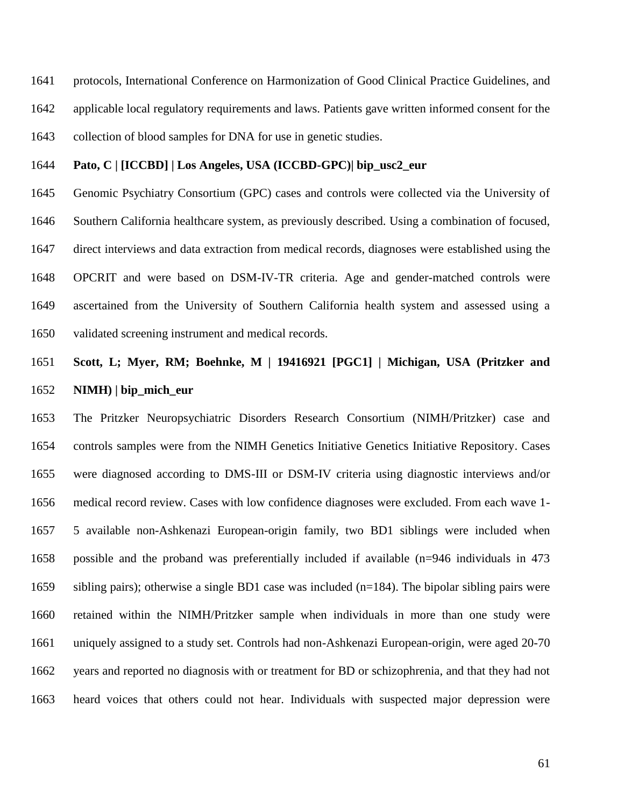protocols, International Conference on Harmonization of Good Clinical Practice Guidelines, and applicable local regulatory requirements and laws. Patients gave written informed consent for the collection of blood samples for DNA for use in genetic studies.

#### **Pato, C | [ICCBD] | Los Angeles, USA (ICCBD-GPC)| bip\_usc2\_eur**

 Genomic Psychiatry Consortium (GPC) cases and controls were collected via the University of Southern California healthcare system, as previously described. Using a combination of focused, direct interviews and data extraction from medical records, diagnoses were established using the OPCRIT and were based on DSM-IV-TR criteria. Age and gender-matched controls were ascertained from the University of Southern California health system and assessed using a validated screening instrument and medical records.

# **Scott, L; Myer, RM; Boehnke, M | 19416921 [PGC1] | Michigan, USA (Pritzker and NIMH) | bip\_mich\_eur**

 The Pritzker Neuropsychiatric Disorders Research Consortium (NIMH/Pritzker) case and controls samples were from the NIMH Genetics Initiative Genetics Initiative Repository. Cases were diagnosed according to DMS-III or DSM-IV criteria using diagnostic interviews and/or medical record review. Cases with low confidence diagnoses were excluded. From each wave 1- 5 available non-Ashkenazi European-origin family, two BD1 siblings were included when possible and the proband was preferentially included if available (n=946 individuals in 473 sibling pairs); otherwise a single BD1 case was included (n=184). The bipolar sibling pairs were retained within the NIMH/Pritzker sample when individuals in more than one study were uniquely assigned to a study set. Controls had non-Ashkenazi European-origin, were aged 20-70 years and reported no diagnosis with or treatment for BD or schizophrenia, and that they had not heard voices that others could not hear. Individuals with suspected major depression were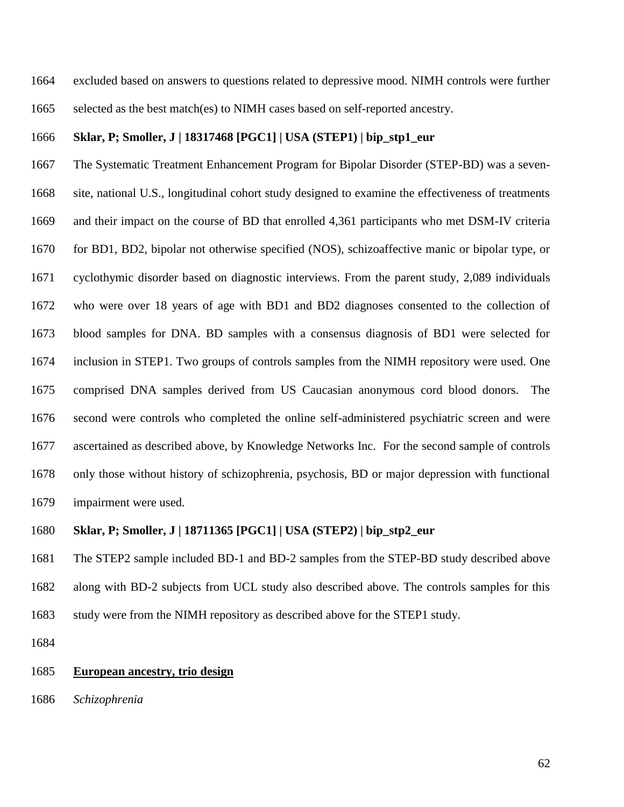excluded based on answers to questions related to depressive mood. NIMH controls were further selected as the best match(es) to NIMH cases based on self-reported ancestry.

#### **Sklar, P; Smoller, J | 18317468 [PGC1] | USA (STEP1) | bip\_stp1\_eur**

 The Systematic Treatment Enhancement Program for Bipolar Disorder (STEP-BD) was a seven- site, national U.S., longitudinal cohort study designed to examine the effectiveness of treatments and their impact on the course of BD that enrolled 4,361 participants who met DSM-IV criteria 1670 for BD1, BD2, bipolar not otherwise specified (NOS), schizoaffective manic or bipolar type, or cyclothymic disorder based on diagnostic interviews. From the parent study, 2,089 individuals who were over 18 years of age with BD1 and BD2 diagnoses consented to the collection of blood samples for DNA. BD samples with a consensus diagnosis of BD1 were selected for inclusion in STEP1. Two groups of controls samples from the NIMH repository were used. One comprised DNA samples derived from US Caucasian anonymous cord blood donors. The second were controls who completed the online self-administered psychiatric screen and were ascertained as described above, by Knowledge Networks Inc. For the second sample of controls only those without history of schizophrenia, psychosis, BD or major depression with functional impairment were used.

#### **Sklar, P; Smoller, J | 18711365 [PGC1] | USA (STEP2) | bip\_stp2\_eur**

 The STEP2 sample included BD-1 and BD-2 samples from the STEP-BD study described above along with BD-2 subjects from UCL study also described above. The controls samples for this study were from the NIMH repository as described above for the STEP1 study.

# **European ancestry, trio design**

*Schizophrenia*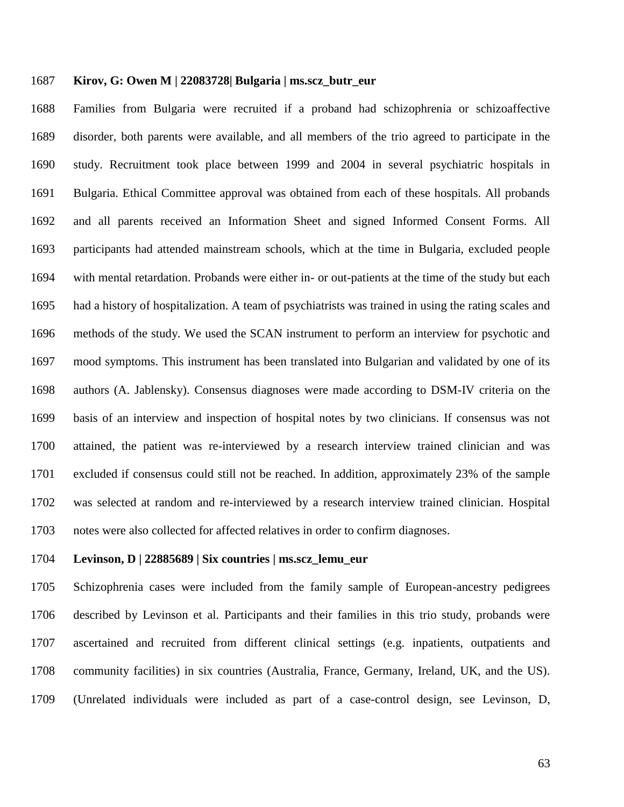#### **Kirov, G: Owen M | 22083728| Bulgaria | ms.scz\_butr\_eur**

 Families from Bulgaria were recruited if a proband had schizophrenia or schizoaffective disorder, both parents were available, and all members of the trio agreed to participate in the study. Recruitment took place between 1999 and 2004 in several psychiatric hospitals in Bulgaria. Ethical Committee approval was obtained from each of these hospitals. All probands and all parents received an Information Sheet and signed Informed Consent Forms. All participants had attended mainstream schools, which at the time in Bulgaria, excluded people with mental retardation. Probands were either in- or out-patients at the time of the study but each had a history of hospitalization. A team of psychiatrists was trained in using the rating scales and methods of the study. We used the SCAN instrument to perform an interview for psychotic and mood symptoms. This instrument has been translated into Bulgarian and validated by one of its authors (A. Jablensky). Consensus diagnoses were made according to DSM-IV criteria on the basis of an interview and inspection of hospital notes by two clinicians. If consensus was not attained, the patient was re-interviewed by a research interview trained clinician and was excluded if consensus could still not be reached. In addition, approximately 23% of the sample was selected at random and re-interviewed by a research interview trained clinician. Hospital notes were also collected for affected relatives in order to confirm diagnoses.

#### **Levinson, D | 22885689 | Six countries | ms.scz\_lemu\_eur**

 Schizophrenia cases were included from the family sample of European-ancestry pedigrees described by Levinson et al. Participants and their families in this trio study, probands were ascertained and recruited from different clinical settings (e.g. inpatients, outpatients and community facilities) in six countries (Australia, France, Germany, Ireland, UK, and the US). (Unrelated individuals were included as part of a case-control design, see Levinson, D,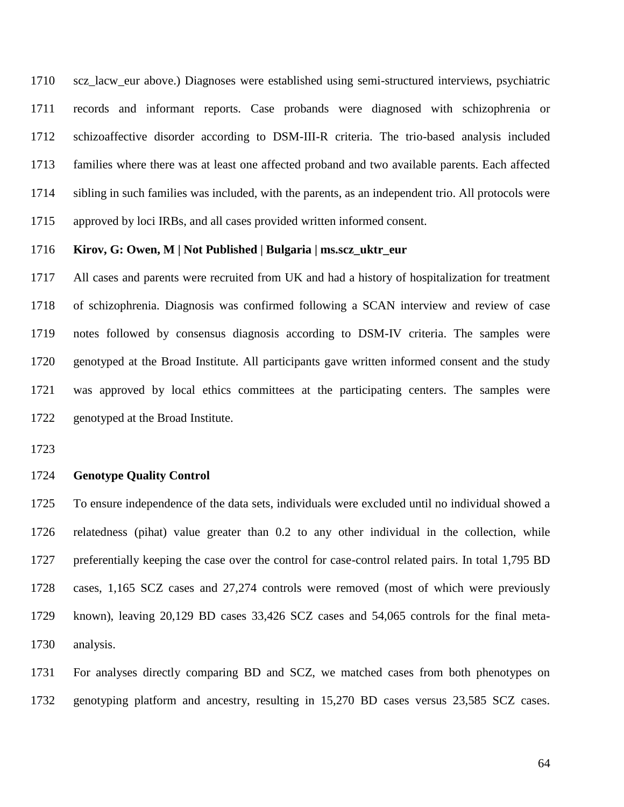scz\_lacw\_eur above.) Diagnoses were established using semi-structured interviews, psychiatric records and informant reports. Case probands were diagnosed with schizophrenia or schizoaffective disorder according to DSM-III-R criteria. The trio-based analysis included families where there was at least one affected proband and two available parents. Each affected sibling in such families was included, with the parents, as an independent trio. All protocols were approved by loci IRBs, and all cases provided written informed consent.

# **Kirov, G: Owen, M | Not Published | Bulgaria | ms.scz\_uktr\_eur**

 All cases and parents were recruited from UK and had a history of hospitalization for treatment of schizophrenia. Diagnosis was confirmed following a SCAN interview and review of case notes followed by consensus diagnosis according to DSM-IV criteria. The samples were genotyped at the Broad Institute. All participants gave written informed consent and the study was approved by local ethics committees at the participating centers. The samples were genotyped at the Broad Institute.

### **Genotype Quality Control**

 To ensure independence of the data sets, individuals were excluded until no individual showed a relatedness (pihat) value greater than 0.2 to any other individual in the collection, while preferentially keeping the case over the control for case-control related pairs. In total 1,795 BD cases, 1,165 SCZ cases and 27,274 controls were removed (most of which were previously known), leaving 20,129 BD cases 33,426 SCZ cases and 54,065 controls for the final meta-analysis.

 For analyses directly comparing BD and SCZ, we matched cases from both phenotypes on genotyping platform and ancestry, resulting in 15,270 BD cases versus 23,585 SCZ cases.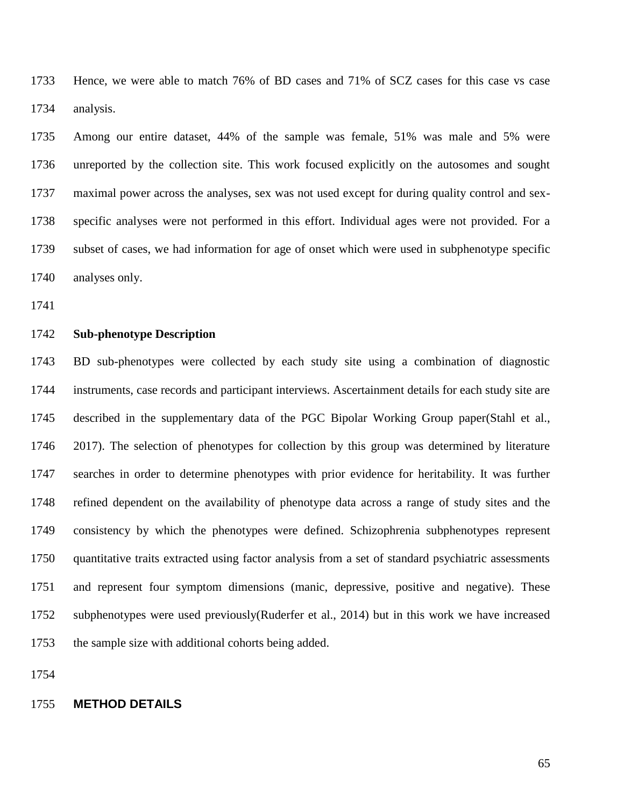Hence, we were able to match 76% of BD cases and 71% of SCZ cases for this case vs case analysis.

 Among our entire dataset, 44% of the sample was female, 51% was male and 5% were unreported by the collection site. This work focused explicitly on the autosomes and sought maximal power across the analyses, sex was not used except for during quality control and sex- specific analyses were not performed in this effort. Individual ages were not provided. For a subset of cases, we had information for age of onset which were used in subphenotype specific analyses only.

#### **Sub-phenotype Description**

 BD sub-phenotypes were collected by each study site using a combination of diagnostic instruments, case records and participant interviews. Ascertainment details for each study site are described in the supplementary data of the PGC Bipolar Working Group paper(Stahl et al., 2017). The selection of phenotypes for collection by this group was determined by literature searches in order to determine phenotypes with prior evidence for heritability. It was further refined dependent on the availability of phenotype data across a range of study sites and the consistency by which the phenotypes were defined. Schizophrenia subphenotypes represent quantitative traits extracted using factor analysis from a set of standard psychiatric assessments and represent four symptom dimensions (manic, depressive, positive and negative). These subphenotypes were used previously(Ruderfer et al., 2014) but in this work we have increased 1753 the sample size with additional cohorts being added.

#### **METHOD DETAILS**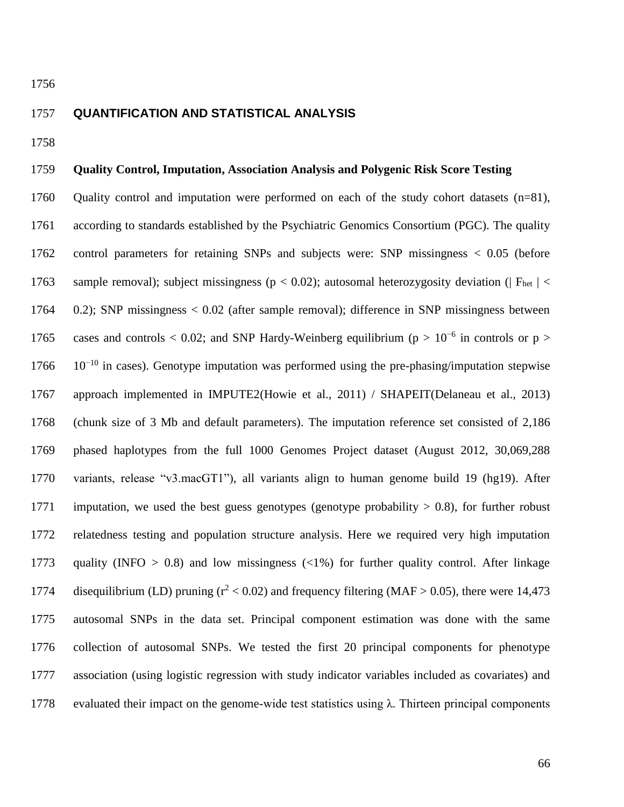#### **QUANTIFICATION AND STATISTICAL ANALYSIS**

# **Quality Control, Imputation, Association Analysis and Polygenic Risk Score Testing**

 Quality control and imputation were performed on each of the study cohort datasets (n=81), according to standards established by the Psychiatric Genomics Consortium (PGC). The quality control parameters for retaining SNPs and subjects were: SNP missingness < 0.05 (before 1763 sample removal); subject missingness ( $p < 0.02$ ); autosomal heterozygosity deviation (| F<sub>het</sub>  $|$  < 0.2); SNP missingness < 0.02 (after sample removal); difference in SNP missingness between 1765 cases and controls < 0.02; and SNP Hardy-Weinberg equilibrium ( $p > 10^{-6}$  in controls or  $p > 10^{-6}$  in cases). Genotype imputation was performed using the pre-phasing/imputation stepwise approach implemented in IMPUTE2(Howie et al., 2011) / SHAPEIT(Delaneau et al., 2013) (chunk size of 3 Mb and default parameters). The imputation reference set consisted of 2,186 phased haplotypes from the full 1000 Genomes Project dataset (August 2012, 30,069,288 variants, release "v3.macGT1"), all variants align to human genome build 19 (hg19). After 1771 imputation, we used the best guess genotypes (genotype probability  $> 0.8$ ), for further robust relatedness testing and population structure analysis. Here we required very high imputation 1773 quality (INFO  $> 0.8$ ) and low missingness (<1%) for further quality control. After linkage 1774 disequilibrium (LD) pruning ( $r^2$  < 0.02) and frequency filtering (MAF > 0.05), there were 14,473 autosomal SNPs in the data set. Principal component estimation was done with the same collection of autosomal SNPs. We tested the first 20 principal components for phenotype association (using logistic regression with study indicator variables included as covariates) and 1778 evaluated their impact on the genome-wide test statistics using  $\lambda$ . Thirteen principal components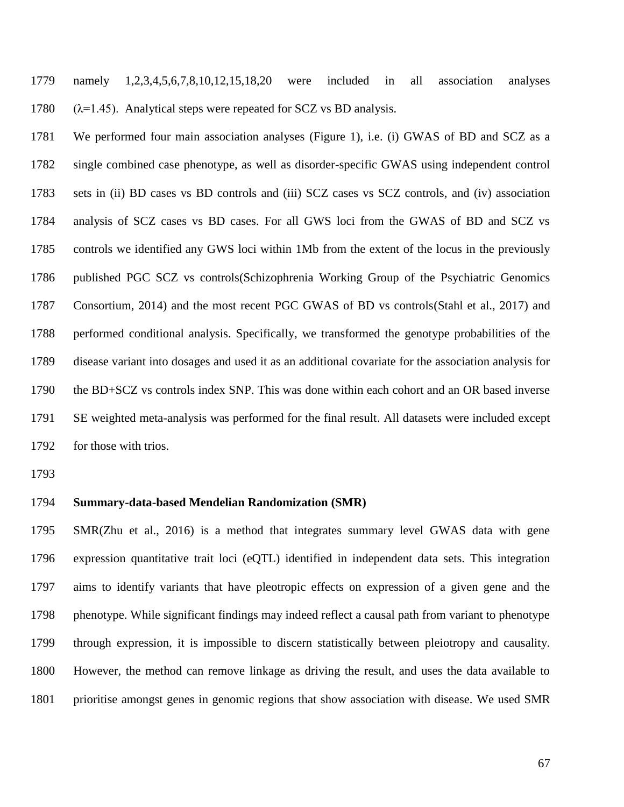namely 1,2,3,4,5,6,7,8,10,12,15,18,20 were included in all association analyses 1780  $(\lambda=1.45)$ . Analytical steps were repeated for SCZ vs BD analysis.

 We performed four main association analyses (Figure 1), i.e. (i) GWAS of BD and SCZ as a single combined case phenotype, as well as disorder-specific GWAS using independent control sets in (ii) BD cases vs BD controls and (iii) SCZ cases vs SCZ controls, and (iv) association analysis of SCZ cases vs BD cases. For all GWS loci from the GWAS of BD and SCZ vs controls we identified any GWS loci within 1Mb from the extent of the locus in the previously published PGC SCZ vs controls(Schizophrenia Working Group of the Psychiatric Genomics Consortium, 2014) and the most recent PGC GWAS of BD vs controls(Stahl et al., 2017) and performed conditional analysis. Specifically, we transformed the genotype probabilities of the disease variant into dosages and used it as an additional covariate for the association analysis for the BD+SCZ vs controls index SNP. This was done within each cohort and an OR based inverse SE weighted meta-analysis was performed for the final result. All datasets were included except for those with trios.

### **Summary-data-based Mendelian Randomization (SMR)**

 SMR(Zhu et al., 2016) is a method that integrates summary level GWAS data with gene expression quantitative trait loci (eQTL) identified in independent data sets. This integration aims to identify variants that have pleotropic effects on expression of a given gene and the phenotype. While significant findings may indeed reflect a causal path from variant to phenotype through expression, it is impossible to discern statistically between pleiotropy and causality. However, the method can remove linkage as driving the result, and uses the data available to prioritise amongst genes in genomic regions that show association with disease. We used SMR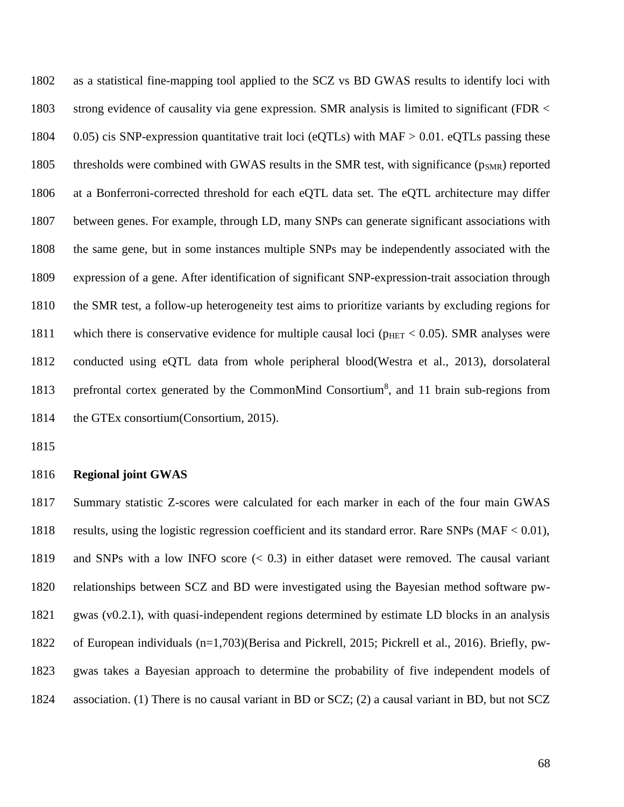as a statistical fine-mapping tool applied to the SCZ vs BD GWAS results to identify loci with strong evidence of causality via gene expression. SMR analysis is limited to significant (FDR < 1804 0.05) cis SNP-expression quantitative trait loci (eQTLs) with MAF > 0.01. eQTLs passing these 1805 thresholds were combined with GWAS results in the SMR test, with significance  $(p_{SNR})$  reported at a Bonferroni-corrected threshold for each eQTL data set. The eQTL architecture may differ between genes. For example, through LD, many SNPs can generate significant associations with the same gene, but in some instances multiple SNPs may be independently associated with the expression of a gene. After identification of significant SNP-expression-trait association through the SMR test, a follow-up heterogeneity test aims to prioritize variants by excluding regions for 1811 which there is conservative evidence for multiple causal loci ( $p_{\text{HET}} < 0.05$ ). SMR analyses were conducted using eQTL data from whole peripheral blood(Westra et al., 2013), dorsolateral 1813 prefrontal cortex generated by the CommonMind Consortium<sup>8</sup>, and 11 brain sub-regions from 1814 the GTEx consortium(Consortium, 2015).

#### **Regional joint GWAS**

 Summary statistic Z-scores were calculated for each marker in each of the four main GWAS results, using the logistic regression coefficient and its standard error. Rare SNPs (MAF < 0.01), and SNPs with a low INFO score (< 0.3) in either dataset were removed. The causal variant relationships between SCZ and BD were investigated using the Bayesian method software pw- gwas (v0.2.1), with quasi-independent regions determined by estimate LD blocks in an analysis of European individuals (n=1,703)(Berisa and Pickrell, 2015; Pickrell et al., 2016). Briefly, pw- gwas takes a Bayesian approach to determine the probability of five independent models of association. (1) There is no causal variant in BD or SCZ; (2) a causal variant in BD, but not SCZ